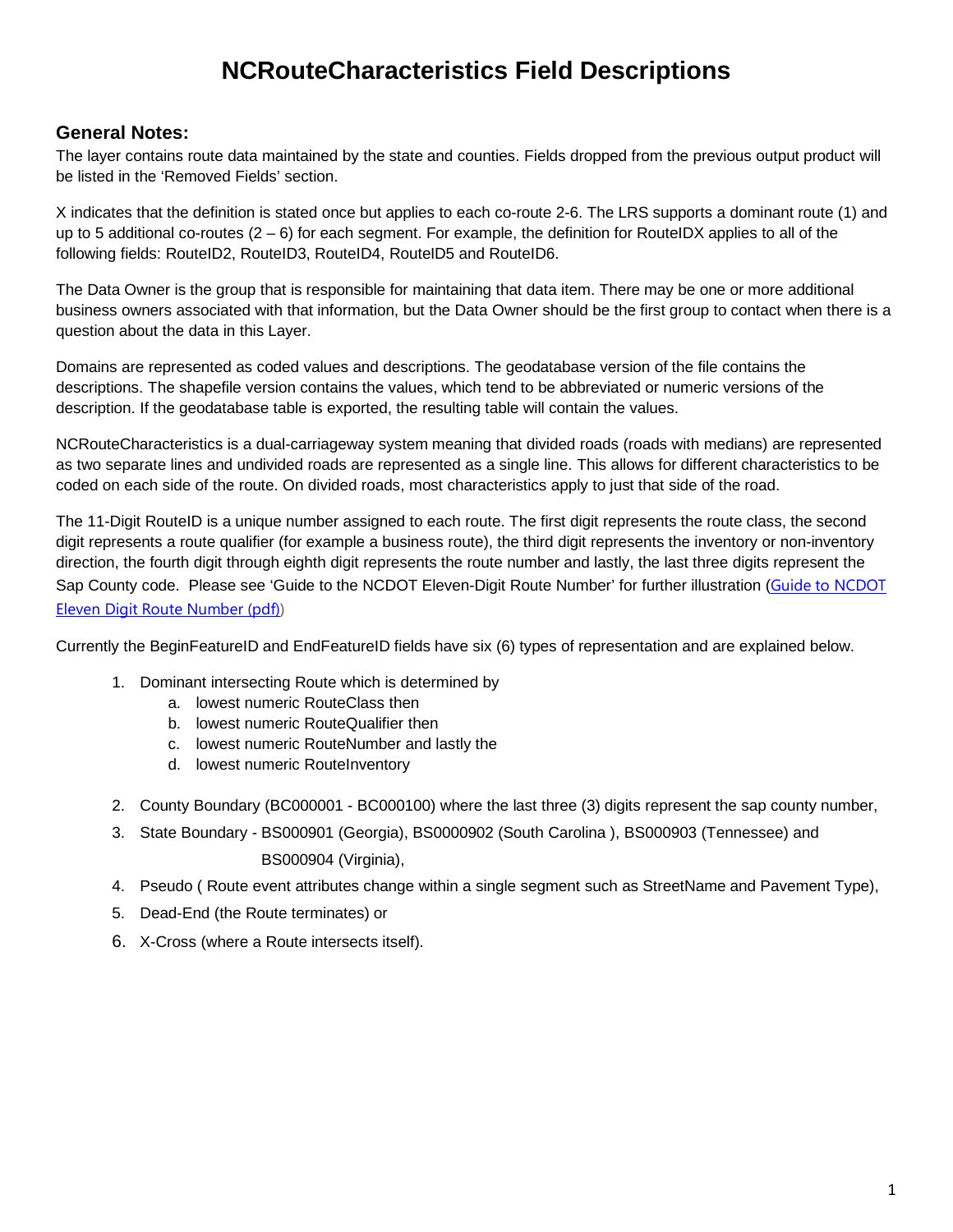# **NCRouteCharacteristics Field Descriptions**

#### **General Notes:**

The layer contains route data maintained by the state and counties. Fields dropped from the previous output product will be listed in the 'Removed Fields' section.

X indicates that the definition is stated once but applies to each co-route 2-6. The LRS supports a dominant route (1) and up to 5 additional co-routes  $(2 - 6)$  for each segment. For example, the definition for RouteIDX applies to all of the following fields: RouteID2, RouteID3, RouteID4, RouteID5 and RouteID6.

The Data Owner is the group that is responsible for maintaining that data item. There may be one or more additional business owners associated with that information, but the Data Owner should be the first group to contact when there is a question about the data in this Layer.

Domains are represented as coded values and descriptions. The geodatabase version of the file contains the descriptions. The shapefile version contains the values, which tend to be abbreviated or numeric versions of the description. If the geodatabase table is exported, the resulting table will contain the values.

NCRouteCharacteristics is a dual-carriageway system meaning that divided roads (roads with medians) are represented as two separate lines and undivided roads are represented as a single line. This allows for different characteristics to be coded on each side of the route. On divided roads, most characteristics apply to just that side of the road.

The 11-Digit RouteID is a unique number assigned to each route. The first digit represents the route class, the second digit represents a route qualifier (for example a business route), the third digit represents the inventory or non-inventory direction, the fourth digit through eighth digit represents the route number and lastly, the last three digits represent the Sap County code. Please see 'Guide to the NCDOT Eleven-Digit Route Number' for further illustration (Guide to NCDOT Eleven Digit Route Number (pdf))

Currently the BeginFeatureID and EndFeatureID fields have six (6) types of representation and are explained below.

- 1. Dominant intersecting Route which is determined by
	- a. lowest numeric RouteClass then
	- b. lowest numeric RouteQualifier then
	- c. lowest numeric RouteNumber and lastly the
	- d. lowest numeric RouteInventory
- 2. County Boundary (BC000001 BC000100) where the last three (3) digits represent the sap county number,
- 3. State Boundary BS000901 (Georgia), BS0000902 (South Carolina ), BS000903 (Tennessee) and BS000904 (Virginia),
- 4. Pseudo ( Route event attributes change within a single segment such as StreetName and Pavement Type),
- 5. Dead-End (the Route terminates) or
- 6. X-Cross (where a Route intersects itself).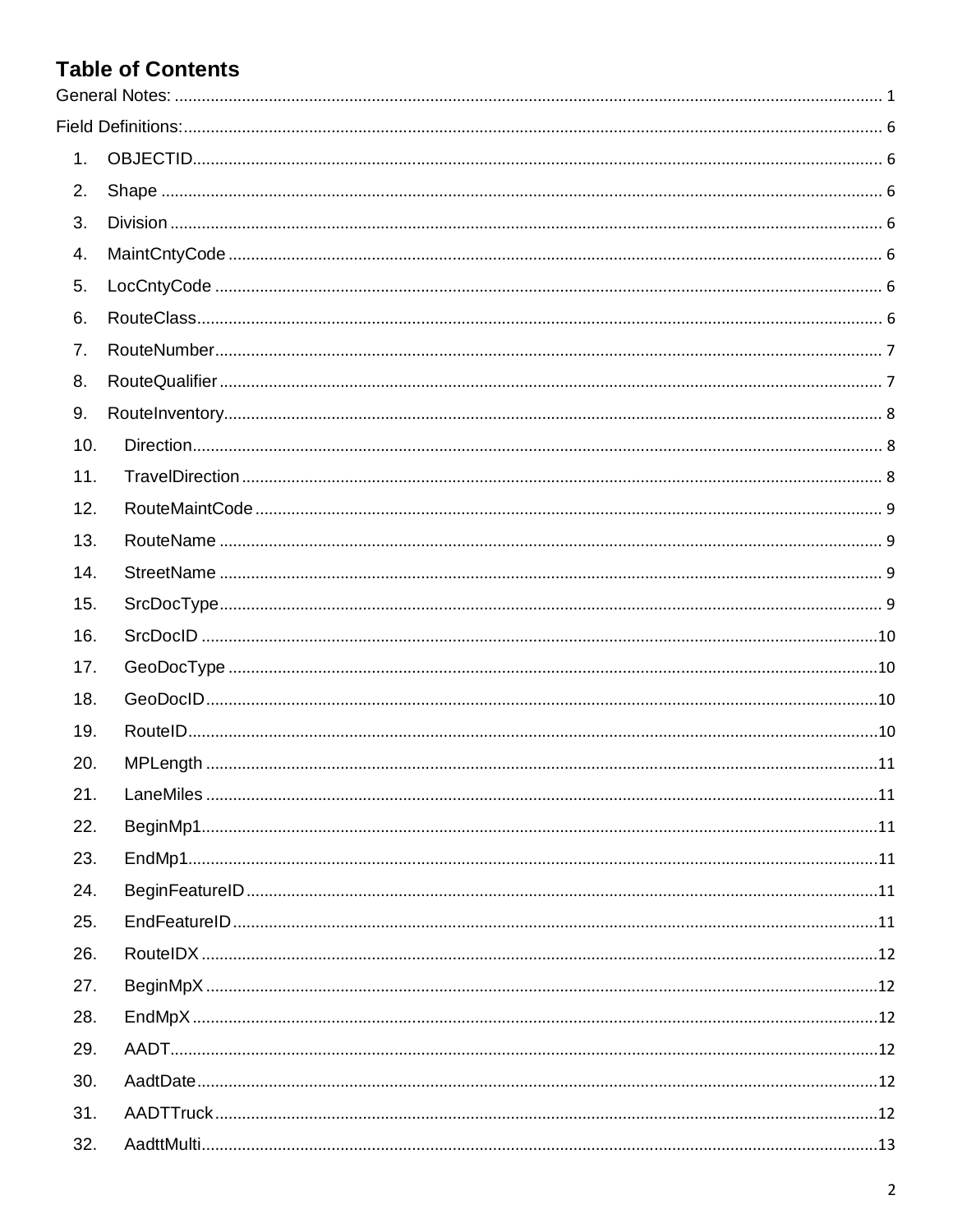# **Table of Contents**

| 1.  |  |
|-----|--|
| 2.  |  |
| 3.  |  |
| 4.  |  |
| 5.  |  |
| 6.  |  |
| 7.  |  |
| 8.  |  |
| 9.  |  |
| 10. |  |
| 11. |  |
| 12. |  |
| 13. |  |
| 14. |  |
| 15. |  |
| 16. |  |
| 17. |  |
| 18. |  |
| 19. |  |
| 20. |  |
| 21. |  |
| 22. |  |
| 23. |  |
| 24. |  |
| 25. |  |
| 26. |  |
| 27. |  |
| 28. |  |
| 29. |  |
| 30. |  |
| 31. |  |
| 32. |  |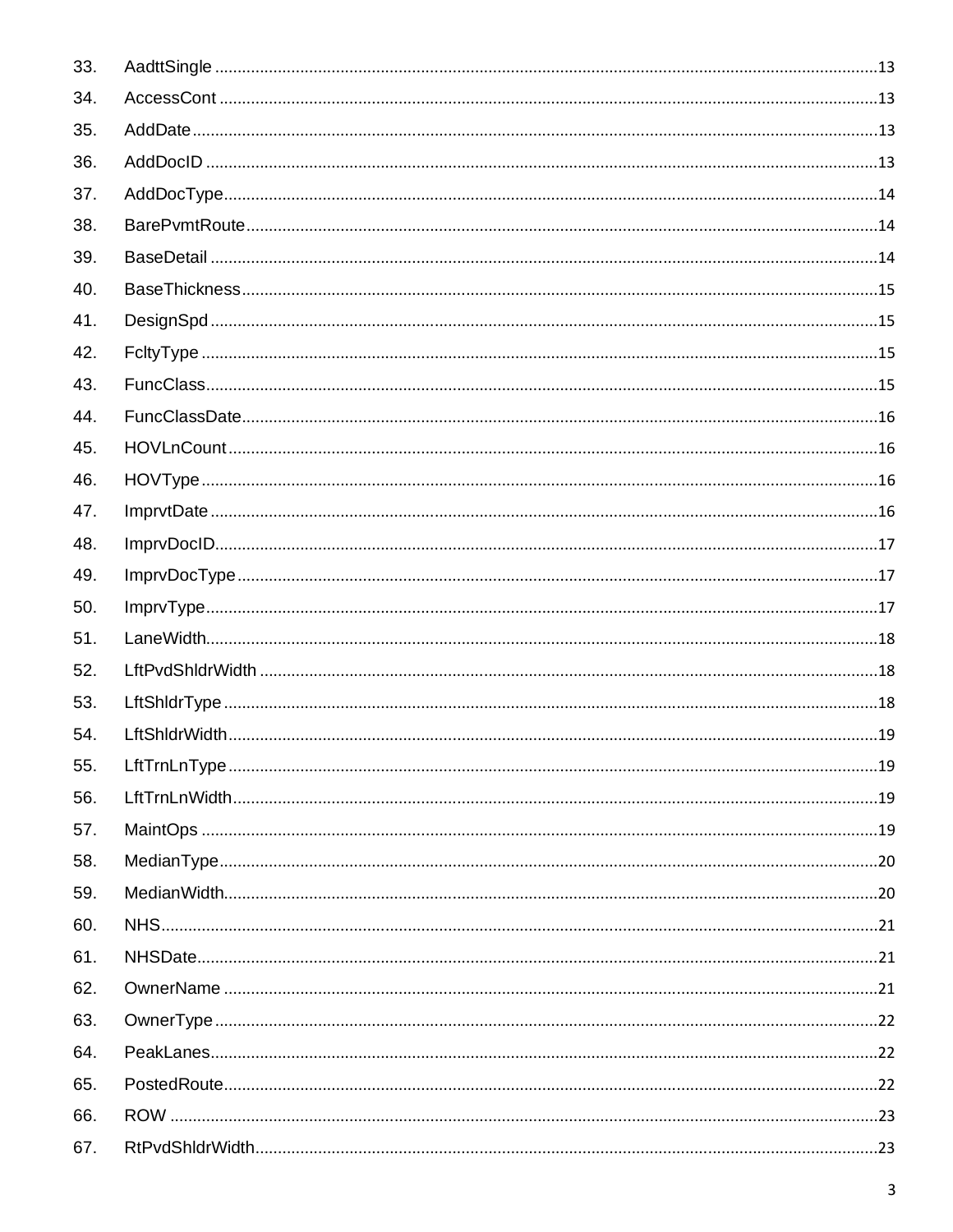| 33. |  |
|-----|--|
| 34. |  |
| 35. |  |
| 36. |  |
| 37. |  |
| 38. |  |
| 39. |  |
| 40. |  |
| 41. |  |
| 42. |  |
| 43. |  |
| 44. |  |
| 45. |  |
| 46. |  |
| 47. |  |
| 48. |  |
| 49. |  |
| 50. |  |
| 51. |  |
| 52. |  |
| 53. |  |
| 54. |  |
| 55. |  |
| 56. |  |
| 57. |  |
| 58. |  |
| 59. |  |
| 60. |  |
| 61. |  |
| 62. |  |
| 63. |  |
| 64. |  |
| 65. |  |
| 66. |  |
| 67. |  |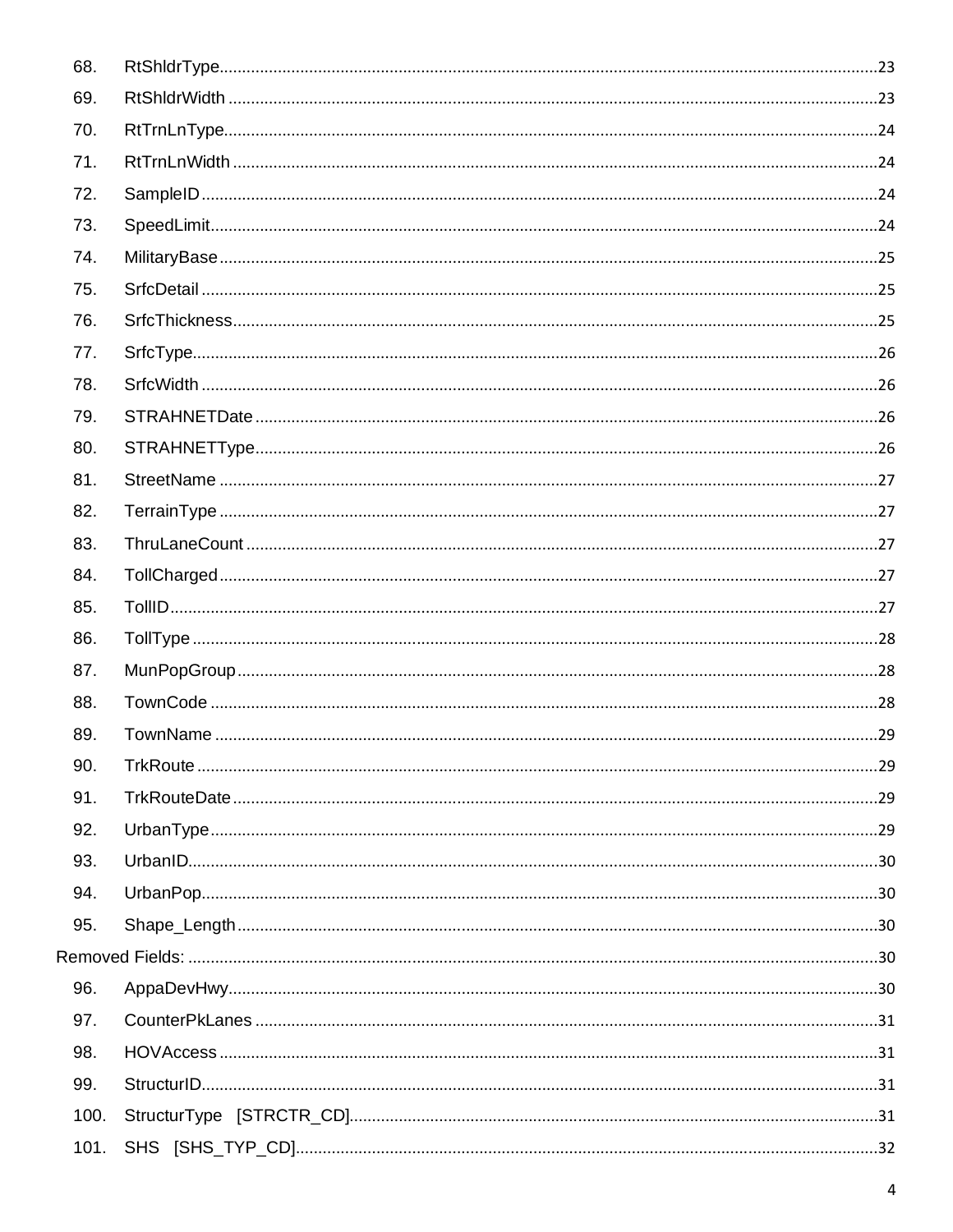| 68.  |  |
|------|--|
| 69.  |  |
| 70.  |  |
| 71.  |  |
| 72.  |  |
| 73.  |  |
| 74.  |  |
| 75.  |  |
| 76.  |  |
| 77.  |  |
| 78.  |  |
| 79.  |  |
| 80.  |  |
| 81.  |  |
| 82.  |  |
| 83.  |  |
| 84.  |  |
| 85.  |  |
| 86.  |  |
| 87.  |  |
| 88.  |  |
| 89.  |  |
| 90.  |  |
| 91.  |  |
| 92.  |  |
| 93.  |  |
| 94.  |  |
| 95.  |  |
|      |  |
| 96.  |  |
| 97.  |  |
| 98.  |  |
| 99.  |  |
| 100. |  |
| 101. |  |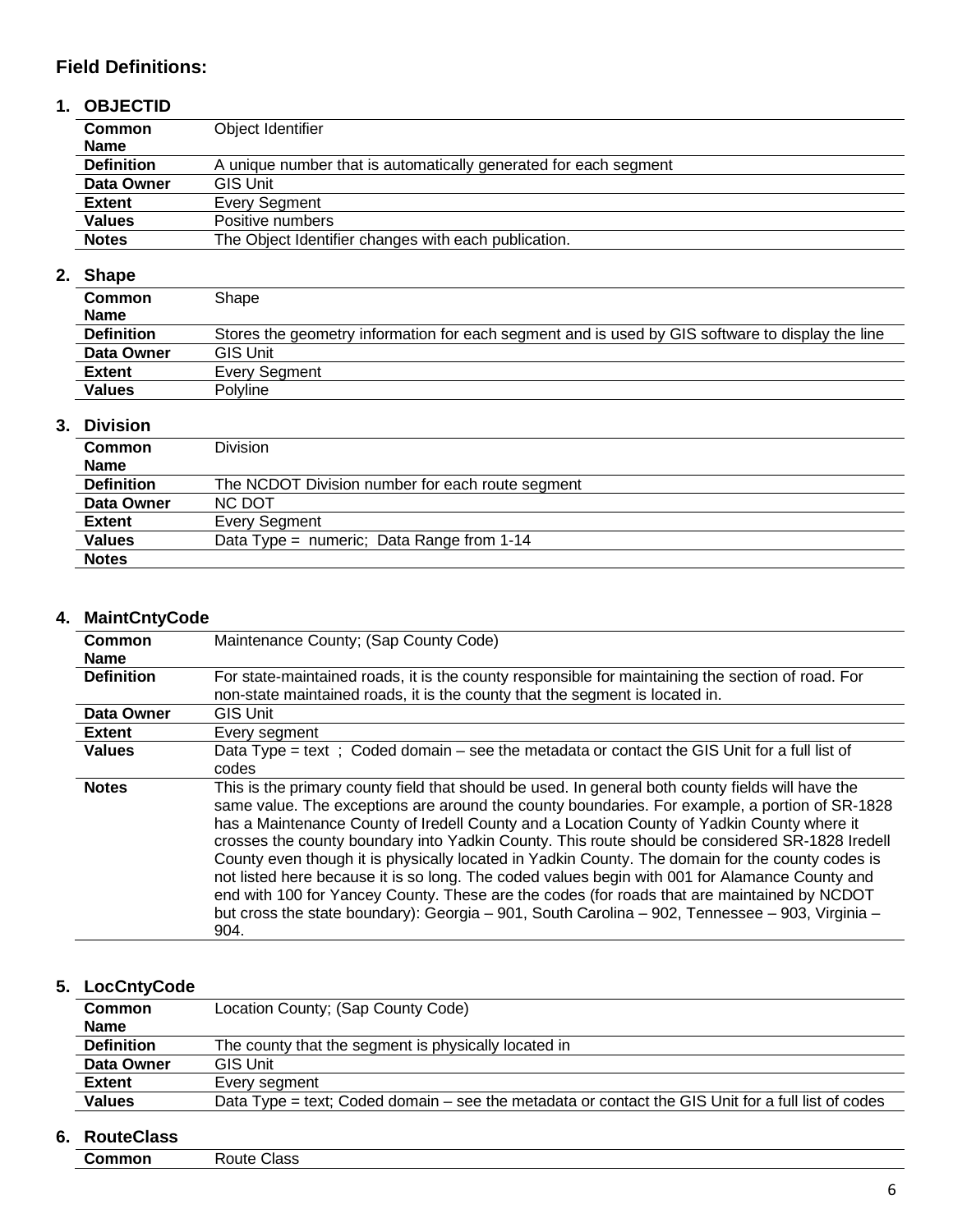## **Field Definitions:**

### **1. OBJECTID**

| <b>Common</b>     | Object Identifier                                                |  |
|-------------------|------------------------------------------------------------------|--|
| <b>Name</b>       |                                                                  |  |
| <b>Definition</b> | A unique number that is automatically generated for each segment |  |
| Data Owner        | <b>GIS Unit</b>                                                  |  |
| <b>Extent</b>     | Every Segment                                                    |  |
| <b>Values</b>     | Positive numbers                                                 |  |
| <b>Notes</b>      | The Object Identifier changes with each publication.             |  |

#### **2. Shape**

| <b>Common</b><br><b>Name</b> | Shape                                                                                            |
|------------------------------|--------------------------------------------------------------------------------------------------|
| <b>Definition</b>            | Stores the geometry information for each segment and is used by GIS software to display the line |
| Data Owner                   | <b>GIS Unit</b>                                                                                  |
| <b>Extent</b>                | Every Seament                                                                                    |
| <b>Values</b>                | Polvline                                                                                         |

#### **3. Division**

| <b>Common</b>     | <b>Division</b>                                  |  |
|-------------------|--------------------------------------------------|--|
| <b>Name</b>       |                                                  |  |
| <b>Definition</b> | The NCDOT Division number for each route segment |  |
| Data Owner        | NC DOT                                           |  |
| <b>Extent</b>     | Every Segment                                    |  |
| <b>Values</b>     | Data Type = numeric; Data Range from $1-14$      |  |
| <b>Notes</b>      |                                                  |  |

### **4. MaintCntyCode**

| <b>Common</b>                                                                                                   | Maintenance County; (Sap County Code)                                                                                                                                                                                                                                                                                                                                                                                                                                                                                                                                                                                                                                                                                                                                                                                |  |
|-----------------------------------------------------------------------------------------------------------------|----------------------------------------------------------------------------------------------------------------------------------------------------------------------------------------------------------------------------------------------------------------------------------------------------------------------------------------------------------------------------------------------------------------------------------------------------------------------------------------------------------------------------------------------------------------------------------------------------------------------------------------------------------------------------------------------------------------------------------------------------------------------------------------------------------------------|--|
| <b>Name</b>                                                                                                     |                                                                                                                                                                                                                                                                                                                                                                                                                                                                                                                                                                                                                                                                                                                                                                                                                      |  |
| <b>Definition</b>                                                                                               | For state-maintained roads, it is the county responsible for maintaining the section of road. For                                                                                                                                                                                                                                                                                                                                                                                                                                                                                                                                                                                                                                                                                                                    |  |
| non-state maintained roads, it is the county that the segment is located in.                                    |                                                                                                                                                                                                                                                                                                                                                                                                                                                                                                                                                                                                                                                                                                                                                                                                                      |  |
| Data Owner                                                                                                      | <b>GIS Unit</b>                                                                                                                                                                                                                                                                                                                                                                                                                                                                                                                                                                                                                                                                                                                                                                                                      |  |
| <b>Extent</b>                                                                                                   | Every segment                                                                                                                                                                                                                                                                                                                                                                                                                                                                                                                                                                                                                                                                                                                                                                                                        |  |
| <b>Values</b><br>Data Type = text; Coded domain $-$ see the metadata or contact the GIS Unit for a full list of |                                                                                                                                                                                                                                                                                                                                                                                                                                                                                                                                                                                                                                                                                                                                                                                                                      |  |
|                                                                                                                 | codes                                                                                                                                                                                                                                                                                                                                                                                                                                                                                                                                                                                                                                                                                                                                                                                                                |  |
| <b>Notes</b>                                                                                                    | This is the primary county field that should be used. In general both county fields will have the<br>same value. The exceptions are around the county boundaries. For example, a portion of SR-1828<br>has a Maintenance County of Iredell County and a Location County of Yadkin County where it<br>crosses the county boundary into Yadkin County. This route should be considered SR-1828 Iredell<br>County even though it is physically located in Yadkin County. The domain for the county codes is<br>not listed here because it is so long. The coded values begin with 001 for Alamance County and<br>end with 100 for Yancey County. These are the codes (for roads that are maintained by NCDOT<br>but cross the state boundary): Georgia - 901, South Carolina - 902, Tennessee - 903, Virginia -<br>904. |  |

## **5. LocCntyCode**

| <b>Common</b>     | Location County; (Sap County Code)                                                                   |  |
|-------------------|------------------------------------------------------------------------------------------------------|--|
| <b>Name</b>       |                                                                                                      |  |
| <b>Definition</b> | The county that the segment is physically located in                                                 |  |
| Data Owner        | <b>GIS Unit</b>                                                                                      |  |
| <b>Extent</b>     | Every segment                                                                                        |  |
| <b>Values</b>     | Data Type = text; Coded domain $-$ see the metadata or contact the GIS Unit for a full list of codes |  |

## **6. RouteClass**

|--|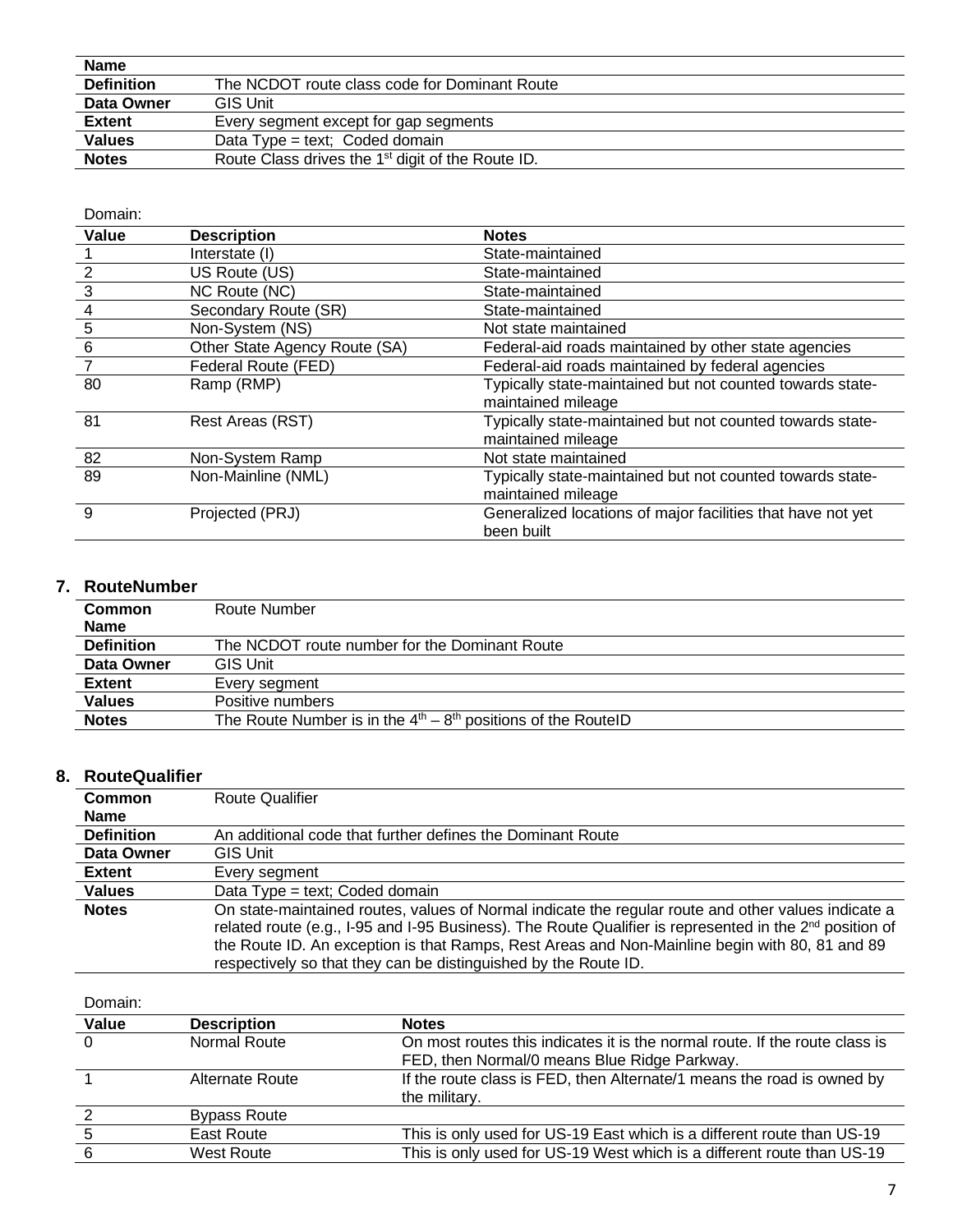| <b>Name</b>       |                                                               |  |
|-------------------|---------------------------------------------------------------|--|
| <b>Definition</b> | The NCDOT route class code for Dominant Route                 |  |
| Data Owner        | <b>GIS Unit</b>                                               |  |
| <b>Extent</b>     | Every segment except for gap segments                         |  |
| <b>Values</b>     | Data Type = text; Coded domain                                |  |
| <b>Notes</b>      | Route Class drives the 1 <sup>st</sup> digit of the Route ID. |  |

| Domain:        |                               |                                                                                 |
|----------------|-------------------------------|---------------------------------------------------------------------------------|
| Value          | <b>Description</b>            | <b>Notes</b>                                                                    |
|                | Interstate (I)                | State-maintained                                                                |
| $\overline{2}$ | US Route (US)                 | State-maintained                                                                |
| $\mathbf{3}$   | NC Route (NC)                 | State-maintained                                                                |
| $\overline{4}$ | Secondary Route (SR)          | State-maintained                                                                |
| $\frac{5}{1}$  | Non-System (NS)               | Not state maintained                                                            |
| 6              | Other State Agency Route (SA) | Federal-aid roads maintained by other state agencies                            |
|                | Federal Route (FED)           | Federal-aid roads maintained by federal agencies                                |
| 80             | Ramp (RMP)                    | Typically state-maintained but not counted towards state-<br>maintained mileage |
| 81             | Rest Areas (RST)              | Typically state-maintained but not counted towards state-<br>maintained mileage |
| 82             | Non-System Ramp               | Not state maintained                                                            |
| 89             | Non-Mainline (NML)            | Typically state-maintained but not counted towards state-<br>maintained mileage |
| 9              | Projected (PRJ)               | Generalized locations of major facilities that have not yet<br>been built       |

#### **7. RouteNumber**

| <b>Common</b>     | Route Number                                                    |
|-------------------|-----------------------------------------------------------------|
| <b>Name</b>       |                                                                 |
| <b>Definition</b> | The NCDOT route number for the Dominant Route                   |
| Data Owner        | <b>GIS Unit</b>                                                 |
| <b>Extent</b>     | Every segment                                                   |
| <b>Values</b>     | Positive numbers                                                |
| <b>Notes</b>      | The Route Number is in the $4th - 8th$ positions of the RoutelD |

### **8. RouteQualifier**

| <b>Route Qualifier</b>                                                                                                                                                                                                                                                                                                                                                                   |
|------------------------------------------------------------------------------------------------------------------------------------------------------------------------------------------------------------------------------------------------------------------------------------------------------------------------------------------------------------------------------------------|
|                                                                                                                                                                                                                                                                                                                                                                                          |
| An additional code that further defines the Dominant Route                                                                                                                                                                                                                                                                                                                               |
| GIS Unit                                                                                                                                                                                                                                                                                                                                                                                 |
| Every segment                                                                                                                                                                                                                                                                                                                                                                            |
| Data Type = text; Coded domain                                                                                                                                                                                                                                                                                                                                                           |
| On state-maintained routes, values of Normal indicate the regular route and other values indicate a<br>related route (e.g., I-95 and I-95 Business). The Route Qualifier is represented in the $2^{nd}$ position of<br>the Route ID. An exception is that Ramps, Rest Areas and Non-Mainline begin with 80, 81 and 89<br>respectively so that they can be distinguished by the Route ID. |
|                                                                                                                                                                                                                                                                                                                                                                                          |

| Domain:  |                     |                                                                             |
|----------|---------------------|-----------------------------------------------------------------------------|
| Value    | <b>Description</b>  | <b>Notes</b>                                                                |
| $\Omega$ | Normal Route        | On most routes this indicates it is the normal route. If the route class is |
|          |                     | FED, then Normal/0 means Blue Ridge Parkway.                                |
|          | Alternate Route     | If the route class is FED, then Alternate/1 means the road is owned by      |
|          |                     | the military.                                                               |
|          | <b>Bypass Route</b> |                                                                             |
|          | East Route          | This is only used for US-19 East which is a different route than US-19      |
|          | West Route          | This is only used for US-19 West which is a different route than US-19      |
|          |                     |                                                                             |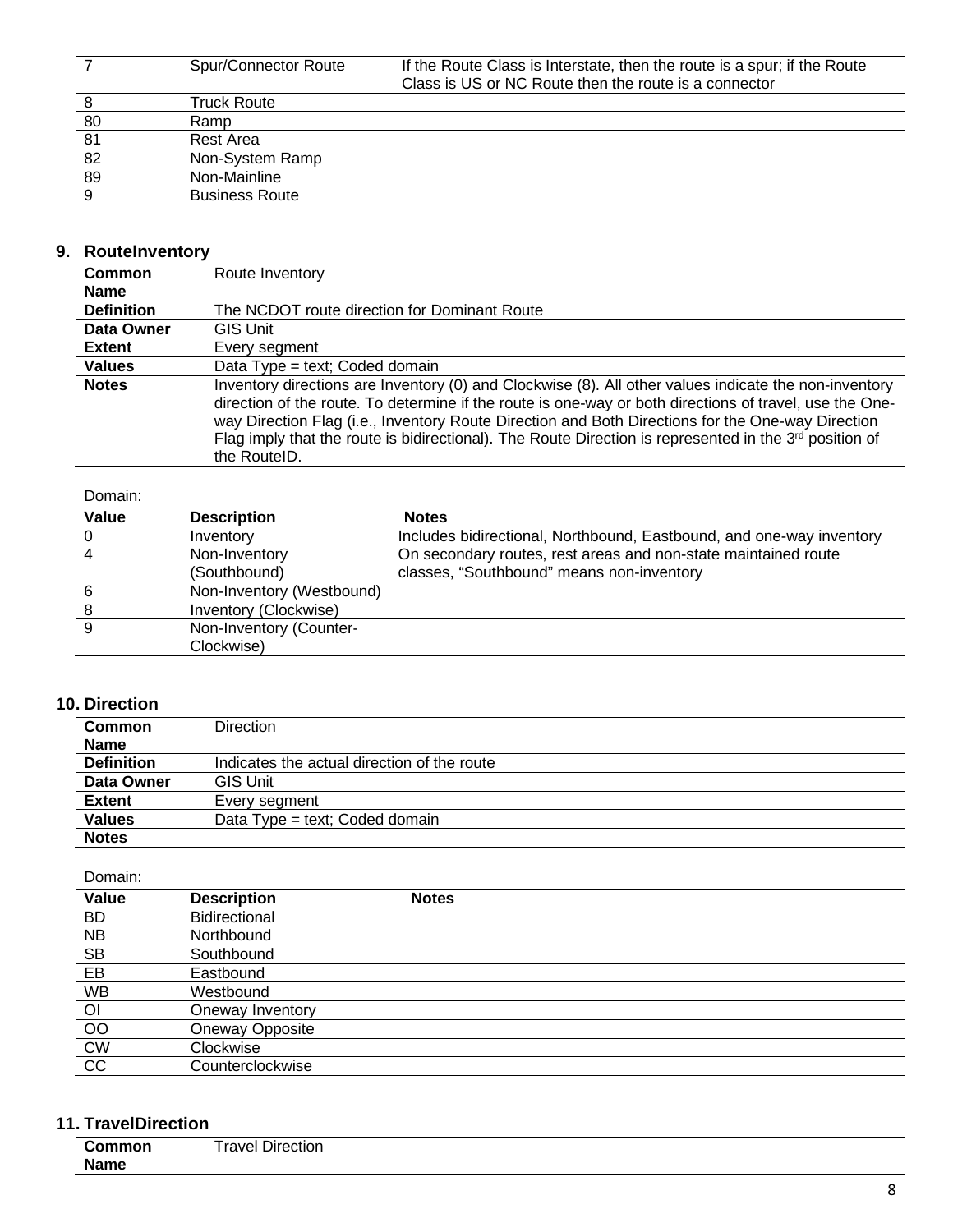|    | Spur/Connector Route  | If the Route Class is Interstate, then the route is a spur; if the Route |
|----|-----------------------|--------------------------------------------------------------------------|
|    |                       | Class is US or NC Route then the route is a connector                    |
|    | Truck Route           |                                                                          |
| 80 | Ramp                  |                                                                          |
| 81 | Rest Area             |                                                                          |
| 82 | Non-System Ramp       |                                                                          |
| 89 | Non-Mainline          |                                                                          |
|    | <b>Business Route</b> |                                                                          |
|    |                       |                                                                          |

### **9. RouteInventory**

| <b>Common</b>     | Route Inventory                                                                                                                                                                                                                                                                                                                                                                                                                                      |
|-------------------|------------------------------------------------------------------------------------------------------------------------------------------------------------------------------------------------------------------------------------------------------------------------------------------------------------------------------------------------------------------------------------------------------------------------------------------------------|
| <b>Name</b>       |                                                                                                                                                                                                                                                                                                                                                                                                                                                      |
| <b>Definition</b> | The NCDOT route direction for Dominant Route                                                                                                                                                                                                                                                                                                                                                                                                         |
| Data Owner        | GIS Unit                                                                                                                                                                                                                                                                                                                                                                                                                                             |
| <b>Extent</b>     | Every segment                                                                                                                                                                                                                                                                                                                                                                                                                                        |
| <b>Values</b>     | Data Type = text; Coded domain                                                                                                                                                                                                                                                                                                                                                                                                                       |
| <b>Notes</b>      | Inventory directions are Inventory (0) and Clockwise (8). All other values indicate the non-inventory<br>direction of the route. To determine if the route is one-way or both directions of travel, use the One-<br>way Direction Flag (i.e., Inventory Route Direction and Both Directions for the One-way Direction<br>Flag imply that the route is bidirectional). The Route Direction is represented in the $3^{rd}$ position of<br>the RouteID. |

#### Domain:

| Value | <b>Description</b>        | <b>Notes</b>                                                         |
|-------|---------------------------|----------------------------------------------------------------------|
|       | Inventory                 | Includes bidirectional, Northbound, Eastbound, and one-way inventory |
|       | Non-Inventory             | On secondary routes, rest areas and non-state maintained route       |
|       | (Southbound)              | classes, "Southbound" means non-inventory                            |
|       | Non-Inventory (Westbound) |                                                                      |
|       | Inventory (Clockwise)     |                                                                      |
| 9     | Non-Inventory (Counter-   |                                                                      |
|       | Clockwise)                |                                                                      |
|       |                           |                                                                      |

#### **10. Direction**

| <b>Common</b>     | <b>Direction</b>                            |
|-------------------|---------------------------------------------|
| <b>Name</b>       |                                             |
| <b>Definition</b> | Indicates the actual direction of the route |
| Data Owner        | <b>GIS Unit</b>                             |
| <b>Extent</b>     | Every segment                               |
| <b>Values</b>     | Data Type = text; Coded domain              |
| <b>Notes</b>      |                                             |

#### Domain:

| Value          | <b>Description</b>   | <b>Notes</b> |
|----------------|----------------------|--------------|
| <b>BD</b>      | <b>Bidirectional</b> |              |
| <b>NB</b>      | Northbound           |              |
| <b>SB</b>      | Southbound           |              |
| EB             | Eastbound            |              |
| <b>WB</b>      | Westbound            |              |
| $\overline{O}$ | Oneway Inventory     |              |
| O <sub>O</sub> | Oneway Opposite      |              |
| <b>CW</b>      | Clockwise            |              |
| CC             | Counterclockwise     |              |

## **11. TravelDirection**

| . <b>.</b> |                                     |  |  |
|------------|-------------------------------------|--|--|
|            | $r \cap (n)$<br>ction<br>лн<br>1∨ ⊢ |  |  |
| ____       |                                     |  |  |
| Name       |                                     |  |  |
|            |                                     |  |  |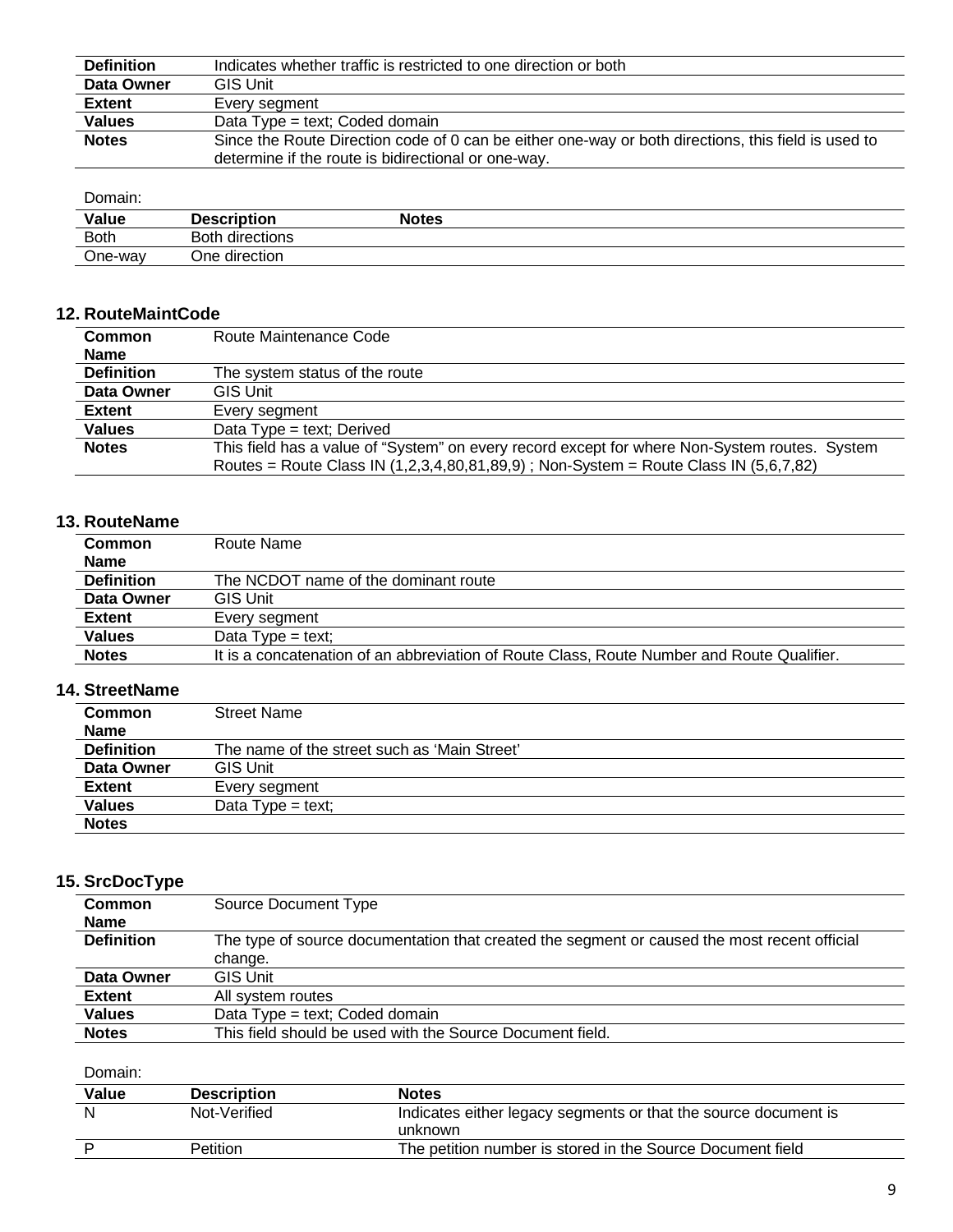| <b>Definition</b> | Indicates whether traffic is restricted to one direction or both                                    |
|-------------------|-----------------------------------------------------------------------------------------------------|
| Data Owner        | <b>GIS Unit</b>                                                                                     |
| <b>Extent</b>     | Every segment                                                                                       |
| <b>Values</b>     | Data Type = text; Coded domain                                                                      |
| <b>Notes</b>      | Since the Route Direction code of 0 can be either one-way or both directions, this field is used to |
|                   | determine if the route is bidirectional or one-way.                                                 |

#### Domain:<br>Value **Value Description Notes** Both Both directions One-way One direction

#### **12. RouteMaintCode**

| Common            | Route Maintenance Code                                                                        |  |
|-------------------|-----------------------------------------------------------------------------------------------|--|
| <b>Name</b>       |                                                                                               |  |
| <b>Definition</b> | The system status of the route                                                                |  |
| Data Owner        | <b>GIS Unit</b>                                                                               |  |
| <b>Extent</b>     | Every segment                                                                                 |  |
| <b>Values</b>     | Data Type = text; Derived                                                                     |  |
| <b>Notes</b>      | This field has a value of "System" on every record except for where Non-System routes. System |  |
|                   | Routes = Route Class IN (1,2,3,4,80,81,89,9); Non-System = Route Class IN (5,6,7,82)          |  |

### **13. RouteName**

| <b>Common</b>     | Route Name                                                                                 |
|-------------------|--------------------------------------------------------------------------------------------|
| <b>Name</b>       |                                                                                            |
| <b>Definition</b> | The NCDOT name of the dominant route                                                       |
| Data Owner        | <b>GIS Unit</b>                                                                            |
| <b>Extent</b>     | Every segment                                                                              |
| <b>Values</b>     | Data Type = text;                                                                          |
| <b>Notes</b>      | It is a concatenation of an abbreviation of Route Class, Route Number and Route Qualifier. |

#### **14. StreetName**

| <b>Common</b>     | <b>Street Name</b>                           |
|-------------------|----------------------------------------------|
| <b>Name</b>       |                                              |
| <b>Definition</b> | The name of the street such as 'Main Street' |
| Data Owner        | <b>GIS Unit</b>                              |
| <b>Extent</b>     | Every segment                                |
| <b>Values</b>     | Data $Type = text$ ;                         |
| <b>Notes</b>      |                                              |

#### **15. SrcDocType**

| . .               |                                                                                              |
|-------------------|----------------------------------------------------------------------------------------------|
| <b>Common</b>     | Source Document Type                                                                         |
| <b>Name</b>       |                                                                                              |
| <b>Definition</b> | The type of source documentation that created the segment or caused the most recent official |
|                   | change.                                                                                      |
| Data Owner        | <b>GIS Unit</b>                                                                              |
| <b>Extent</b>     | All system routes                                                                            |
| <b>Values</b>     | Data Type = text; Coded domain                                                               |
| <b>Notes</b>      | This field should be used with the Source Document field.                                    |
|                   |                                                                                              |

| Value | <b>Description</b> | <b>Notes</b>                                                               |
|-------|--------------------|----------------------------------------------------------------------------|
| N     | Not-Verified       | Indicates either legacy segments or that the source document is<br>unknown |
|       | Petition           | The petition number is stored in the Source Document field                 |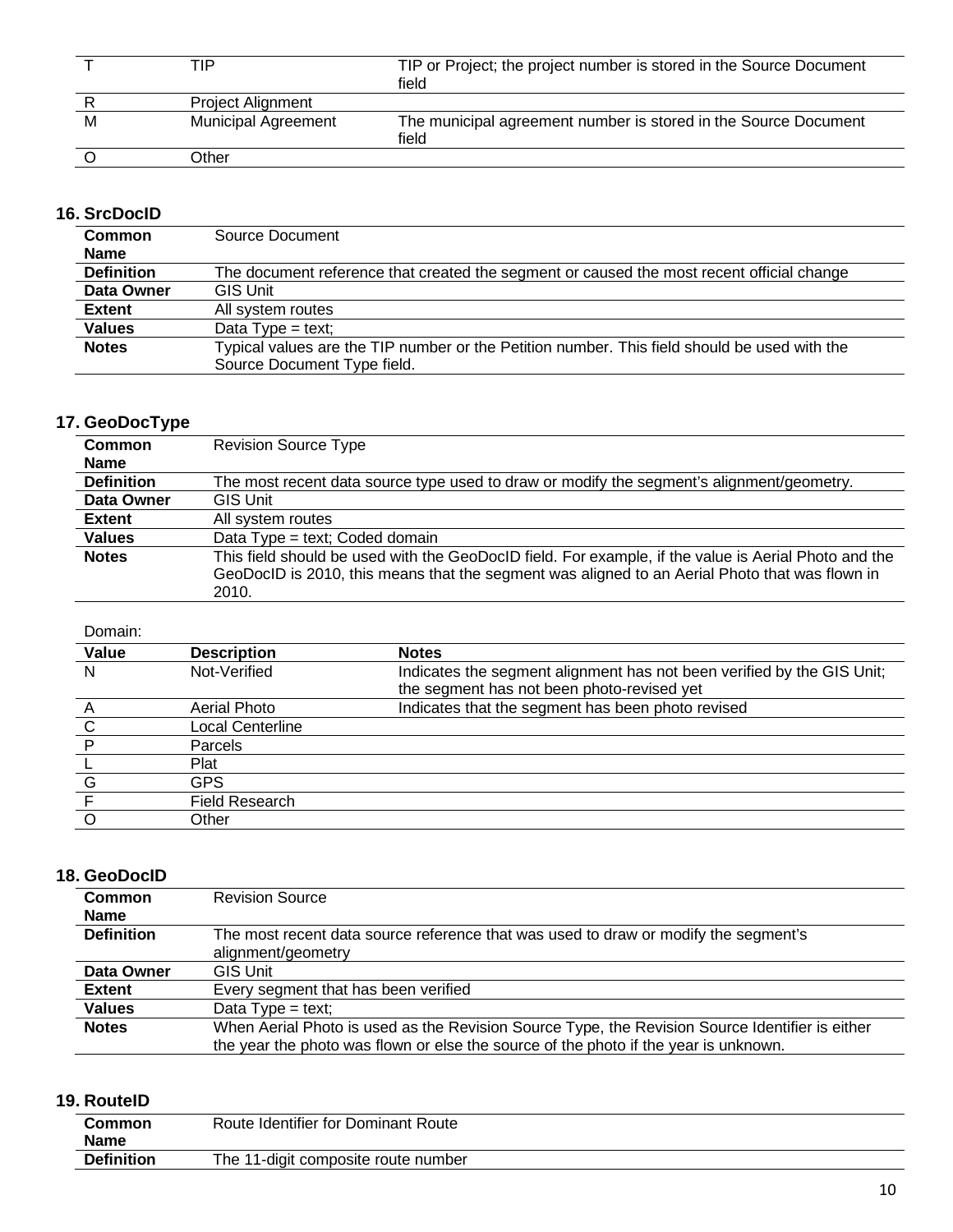|   | TIP                        | TIP or Project; the project number is stored in the Source Document<br>field |
|---|----------------------------|------------------------------------------------------------------------------|
|   | <b>Project Alignment</b>   |                                                                              |
| M | <b>Municipal Agreement</b> | The municipal agreement number is stored in the Source Document<br>field     |
|   | Other                      |                                                                              |

### **16. SrcDocID**

| <b>Common</b>     | Source Document                                                                                                             |  |
|-------------------|-----------------------------------------------------------------------------------------------------------------------------|--|
| <b>Name</b>       |                                                                                                                             |  |
| <b>Definition</b> | The document reference that created the segment or caused the most recent official change                                   |  |
| Data Owner        | <b>GIS Unit</b>                                                                                                             |  |
| <b>Extent</b>     | All system routes                                                                                                           |  |
| <b>Values</b>     | Data $Type = text$ ;                                                                                                        |  |
| <b>Notes</b>      | Typical values are the TIP number or the Petition number. This field should be used with the<br>Source Document Type field. |  |

## **17. GeoDocType**

| <b>Common</b>     | <b>Revision Source Type</b>                                                                          |
|-------------------|------------------------------------------------------------------------------------------------------|
| <b>Name</b>       |                                                                                                      |
| <b>Definition</b> | The most recent data source type used to draw or modify the segment's alignment/geometry.            |
| Data Owner        | <b>GIS Unit</b>                                                                                      |
| <b>Extent</b>     | All system routes                                                                                    |
| <b>Values</b>     | Data Type = text; Coded domain                                                                       |
| <b>Notes</b>      | This field should be used with the GeoDocID field. For example, if the value is Aerial Photo and the |
|                   | GeoDocID is 2010, this means that the segment was aligned to an Aerial Photo that was flown in       |
|                   | 2010.                                                                                                |

#### Domain:

| Value | <b>Description</b>      | <b>Notes</b>                                                           |
|-------|-------------------------|------------------------------------------------------------------------|
| N     | Not-Verified            | Indicates the segment alignment has not been verified by the GIS Unit; |
|       |                         | the segment has not been photo-revised yet                             |
|       | Aerial Photo            | Indicates that the segment has been photo revised                      |
| C     | <b>Local Centerline</b> |                                                                        |
|       | Parcels                 |                                                                        |
|       | Plat                    |                                                                        |
| G     | <b>GPS</b>              |                                                                        |
|       | <b>Field Research</b>   |                                                                        |
|       | Other                   |                                                                        |

## **18. GeoDocID**

| <b>Common</b>     | <b>Revision Source</b>                                                                          |
|-------------------|-------------------------------------------------------------------------------------------------|
| <b>Name</b>       |                                                                                                 |
| <b>Definition</b> | The most recent data source reference that was used to draw or modify the segment's             |
|                   | alignment/geometry                                                                              |
| Data Owner        | <b>GIS Unit</b>                                                                                 |
| <b>Extent</b>     | Every segment that has been verified                                                            |
| <b>Values</b>     | Data Type = text;                                                                               |
| <b>Notes</b>      | When Aerial Photo is used as the Revision Source Type, the Revision Source Identifier is either |
|                   | the year the photo was flown or else the source of the photo if the year is unknown.            |

### **19. RouteID**

| Common<br><b>Name</b> | Route Identifier for Dominant Route |
|-----------------------|-------------------------------------|
| <b>Definition</b>     | The 11-digit composite route number |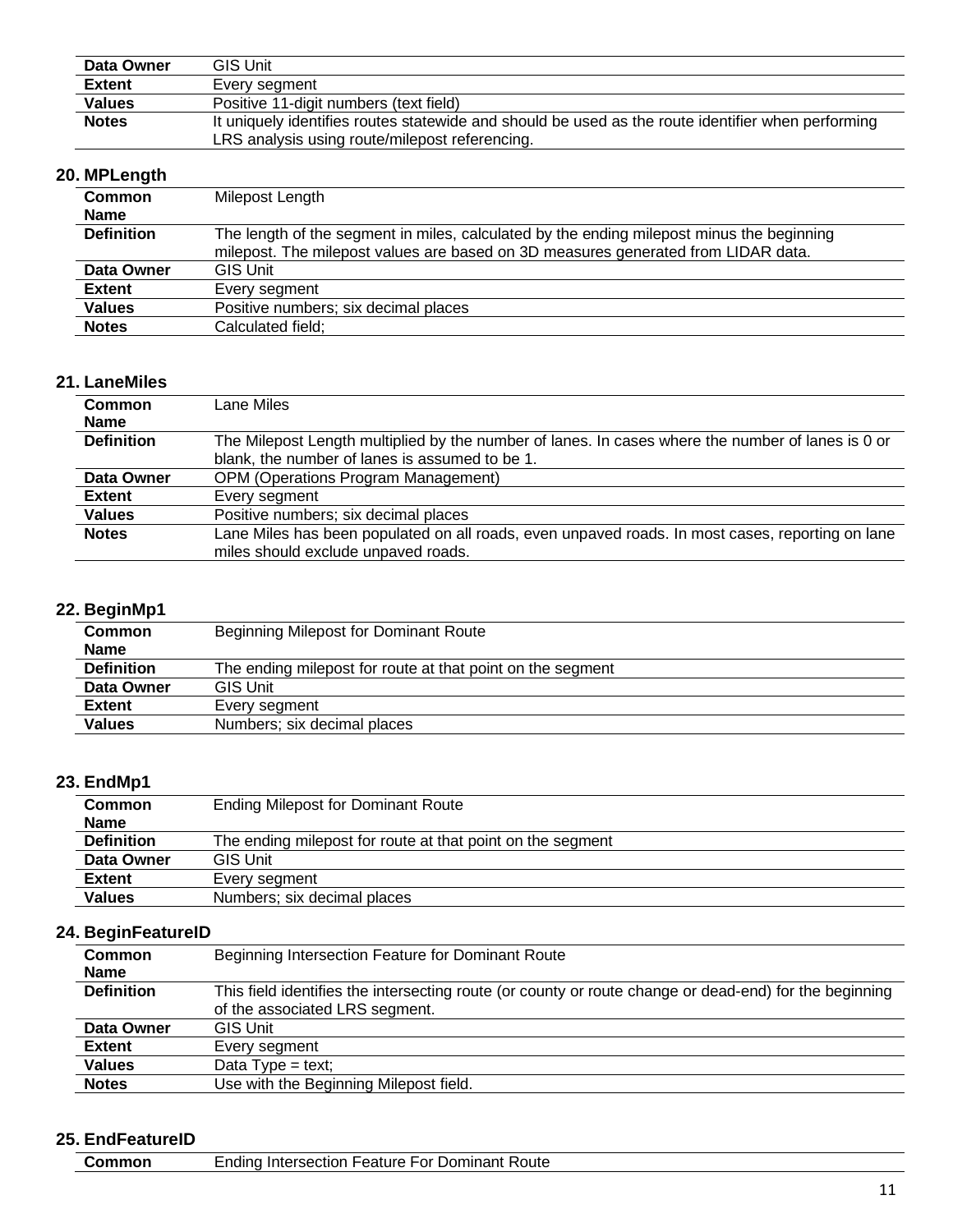| Data Owner    | <b>GIS Unit</b>                                                                                    |
|---------------|----------------------------------------------------------------------------------------------------|
| <b>Extent</b> | Every seament                                                                                      |
| <b>Values</b> | Positive 11-digit numbers (text field)                                                             |
| <b>Notes</b>  | It uniquely identifies routes statewide and should be used as the route identifier when performing |
|               | LRS analysis using route/milepost referencing.                                                     |

## **20. MPLength**

| Common            | Milepost Length                                                                           |
|-------------------|-------------------------------------------------------------------------------------------|
| <b>Name</b>       |                                                                                           |
| <b>Definition</b> | The length of the segment in miles, calculated by the ending milepost minus the beginning |
|                   | milepost. The milepost values are based on 3D measures generated from LIDAR data.         |
| Data Owner        | <b>GIS Unit</b>                                                                           |
| <b>Extent</b>     | Every segment                                                                             |
| <b>Values</b>     | Positive numbers; six decimal places                                                      |
| <b>Notes</b>      | Calculated field;                                                                         |

### **21. LaneMiles**

| <b>Common</b>     | Lane Miles                                                                                        |
|-------------------|---------------------------------------------------------------------------------------------------|
| <b>Name</b>       |                                                                                                   |
| <b>Definition</b> | The Milepost Length multiplied by the number of lanes. In cases where the number of lanes is 0 or |
|                   | blank, the number of lanes is assumed to be 1.                                                    |
| Data Owner        | <b>OPM (Operations Program Management)</b>                                                        |
| <b>Extent</b>     | Every segment                                                                                     |
| <b>Values</b>     | Positive numbers; six decimal places                                                              |
| <b>Notes</b>      | Lane Miles has been populated on all roads, even unpaved roads. In most cases, reporting on lane  |
|                   | miles should exclude unpaved roads.                                                               |

### **22. BeginMp1**

| <b>Common</b>     | Beginning Milepost for Dominant Route                      |
|-------------------|------------------------------------------------------------|
| <b>Name</b>       |                                                            |
| <b>Definition</b> | The ending milepost for route at that point on the segment |
| Data Owner        | <b>GIS Unit</b>                                            |
| <b>Extent</b>     | Every segment                                              |
| <b>Values</b>     | Numbers; six decimal places                                |
|                   |                                                            |

### **23. EndMp1**

| <b>Common</b>     | <b>Ending Milepost for Dominant Route</b>                  |
|-------------------|------------------------------------------------------------|
| <b>Name</b>       |                                                            |
| <b>Definition</b> | The ending milepost for route at that point on the segment |
| Data Owner        | <b>GIS Unit</b>                                            |
| <b>Extent</b>     | Every segment                                              |
| <b>Values</b>     | Numbers; six decimal places                                |

#### **24. BeginFeatureID**

| <b>Common</b>     | Beginning Intersection Feature for Dominant Route                                                      |
|-------------------|--------------------------------------------------------------------------------------------------------|
| <b>Name</b>       |                                                                                                        |
| <b>Definition</b> | This field identifies the intersecting route (or county or route change or dead-end) for the beginning |
|                   | of the associated LRS segment.                                                                         |
| Data Owner        | <b>GIS Unit</b>                                                                                        |
| <b>Extent</b>     | Every segment                                                                                          |
| <b>Values</b>     | Data Type = text;                                                                                      |
| <b>Notes</b>      | Use with the Beginning Milepost field.                                                                 |

### **25. EndFeatureID**

| Common | Ending Intersection Feature For Dominant Route |
|--------|------------------------------------------------|
|        |                                                |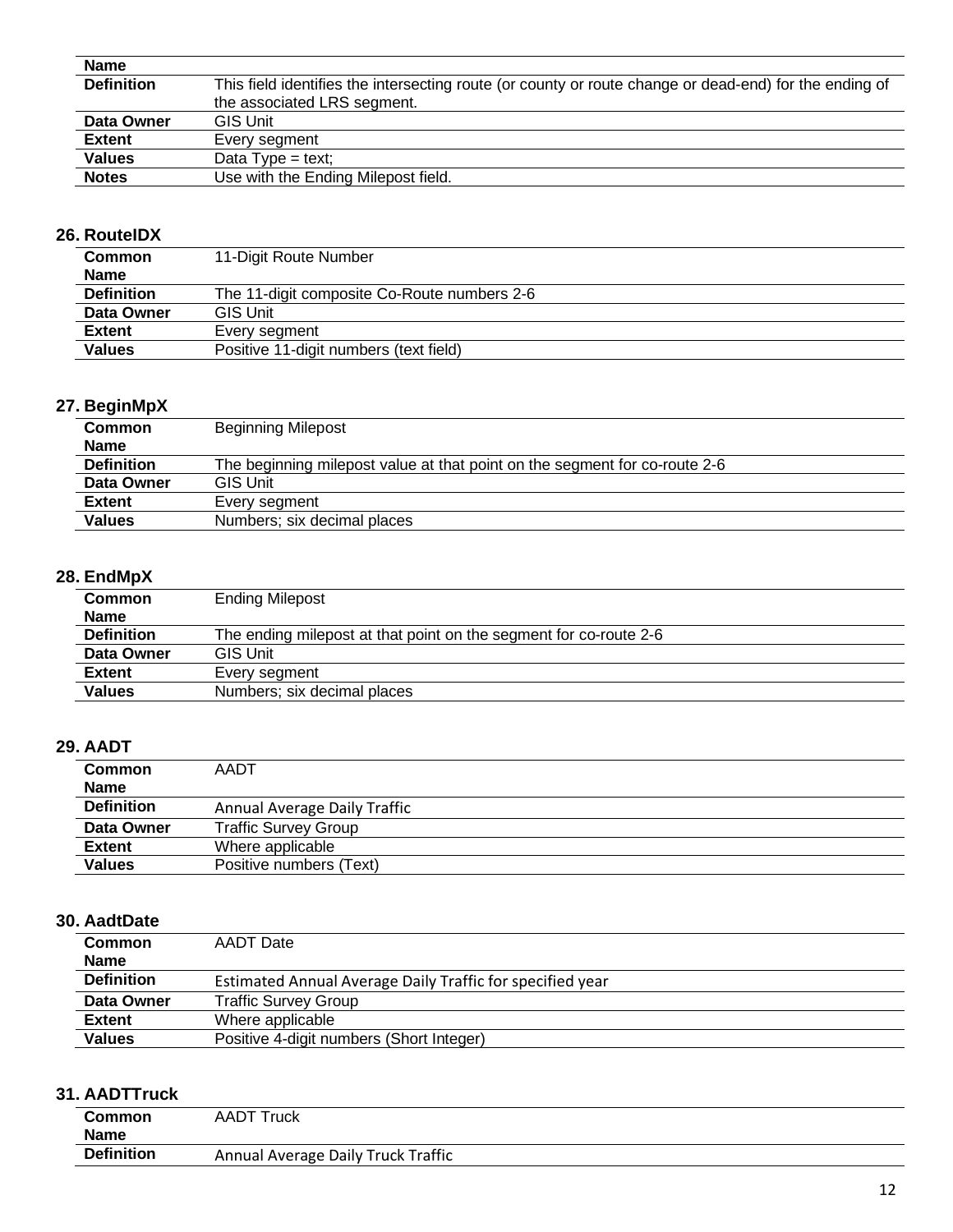| <b>Name</b>       |                                                                                                        |
|-------------------|--------------------------------------------------------------------------------------------------------|
| <b>Definition</b> | This field identifies the intersecting route (or county or route change or dead-end) for the ending of |
|                   | the associated LRS segment.                                                                            |
| Data Owner        | <b>GIS Unit</b>                                                                                        |
| <b>Extent</b>     | Every segment                                                                                          |
| <b>Values</b>     | Data $Type = text$ ;                                                                                   |
| <b>Notes</b>      | Use with the Ending Milepost field.                                                                    |
|                   |                                                                                                        |

## **26. RouteIDX**

| <b>Common</b><br><b>Name</b> | 11-Digit Route Number                       |
|------------------------------|---------------------------------------------|
| <b>Definition</b>            | The 11-digit composite Co-Route numbers 2-6 |
| Data Owner                   | <b>GIS Unit</b>                             |
| <b>Extent</b>                | Every segment                               |
| <b>Values</b>                | Positive 11-digit numbers (text field)      |

### **27. BeginMpX**

| $\sim$ $\sim$ 9.000 $\sim$ |                                                                            |
|----------------------------|----------------------------------------------------------------------------|
| <b>Common</b>              | <b>Beginning Milepost</b>                                                  |
| <b>Name</b>                |                                                                            |
| <b>Definition</b>          | The beginning milepost value at that point on the segment for co-route 2-6 |
| Data Owner                 | <b>GIS Unit</b>                                                            |
| <b>Extent</b>              | Every segment                                                              |
| <b>Values</b>              | Numbers; six decimal places                                                |
|                            |                                                                            |

### **28. EndMpX**

| . <i>. .</i> .    |                                                                   |
|-------------------|-------------------------------------------------------------------|
| <b>Common</b>     | <b>Ending Milepost</b>                                            |
| <b>Name</b>       |                                                                   |
| <b>Definition</b> | The ending milepost at that point on the segment for co-route 2-6 |
| Data Owner        | <b>GIS Unit</b>                                                   |
| <b>Extent</b>     | Every segment                                                     |
| <b>Values</b>     | Numbers; six decimal places                                       |
|                   |                                                                   |

### **29. AADT**

| .                 |                              |
|-------------------|------------------------------|
| <b>Common</b>     | AADT                         |
| <b>Name</b>       |                              |
| <b>Definition</b> | Annual Average Daily Traffic |
| Data Owner        | <b>Traffic Survey Group</b>  |
| <b>Extent</b>     | Where applicable             |
| <b>Values</b>     | Positive numbers (Text)      |
|                   |                              |

### **30. AadtDate**

| <b>Common</b><br><b>Name</b> | AADT Date                                                 |
|------------------------------|-----------------------------------------------------------|
| <b>Definition</b>            | Estimated Annual Average Daily Traffic for specified year |
| Data Owner                   | <b>Traffic Survey Group</b>                               |
| Extent                       | Where applicable                                          |
| <b>Values</b>                | Positive 4-digit numbers (Short Integer)                  |

### **31. AADTTruck**

| <b>Common</b><br><b>Name</b> | <b>AADT Truck</b>                  |  |
|------------------------------|------------------------------------|--|
| <b>Definition</b>            | Annual Average Daily Truck Traffic |  |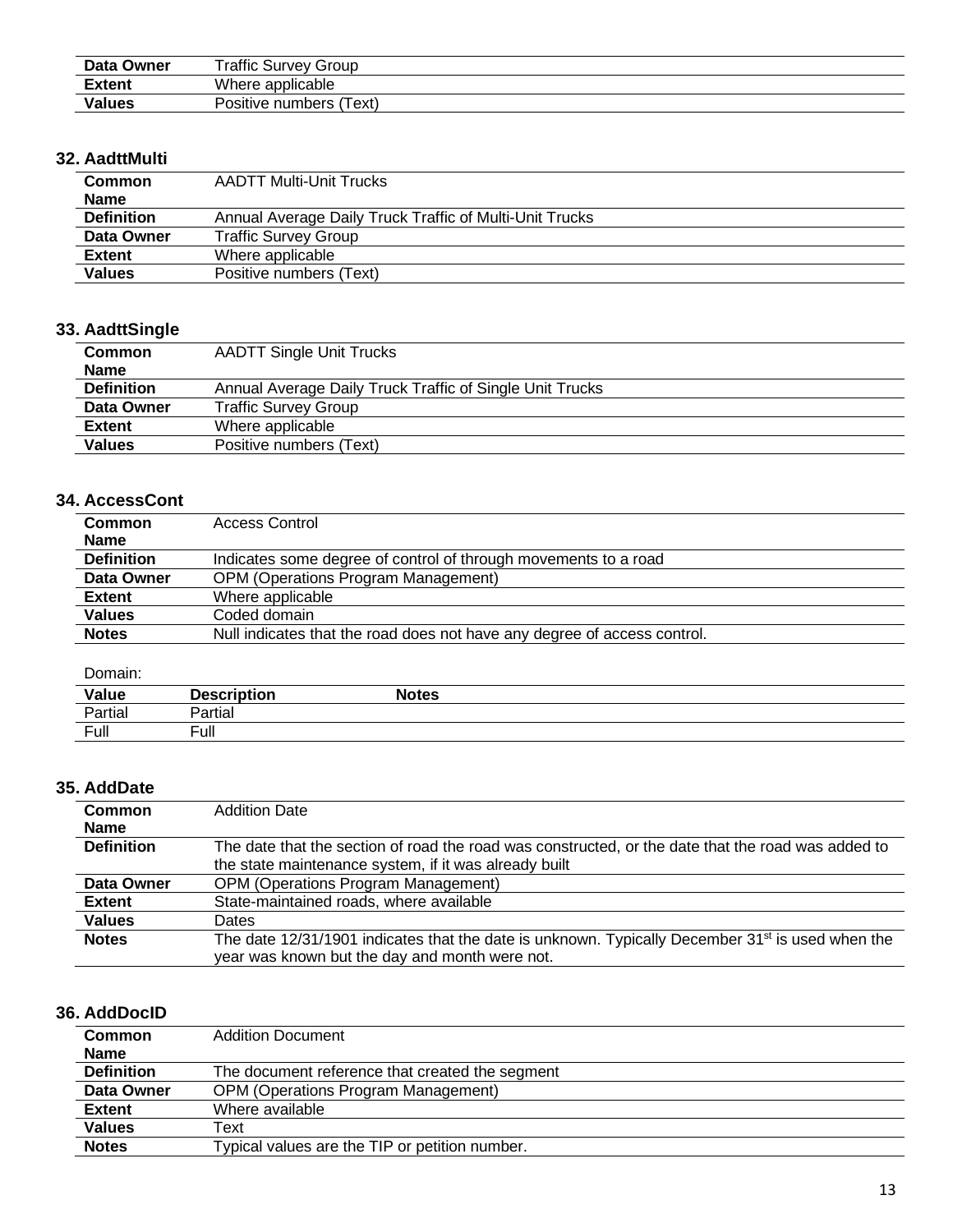| Data Owner    | <b>Traffic Survey Group</b>  |
|---------------|------------------------------|
| <b>Extent</b> | Where applicable             |
| <b>Values</b> | Positive numbers (<br>'Text) |

### **32. AadttMulti**

| <b>Common</b>     | <b>AADTT Multi-Unit Trucks</b>                          |  |
|-------------------|---------------------------------------------------------|--|
| <b>Name</b>       |                                                         |  |
| <b>Definition</b> | Annual Average Daily Truck Traffic of Multi-Unit Trucks |  |
| Data Owner        | <b>Traffic Survey Group</b>                             |  |
| <b>Extent</b>     | Where applicable                                        |  |
| <b>Values</b>     | Positive numbers (Text)                                 |  |

## **33. AadttSingle**

| <b>Common</b>     | <b>AADTT Single Unit Trucks</b>                          |
|-------------------|----------------------------------------------------------|
| <b>Name</b>       |                                                          |
| <b>Definition</b> | Annual Average Daily Truck Traffic of Single Unit Trucks |
| Data Owner        | <b>Traffic Survey Group</b>                              |
| <b>Extent</b>     | Where applicable                                         |
| <b>Values</b>     | Positive numbers (Text)                                  |

#### **34. AccessCont**

| <b>Common</b>     | <b>Access Control</b>                                                    |
|-------------------|--------------------------------------------------------------------------|
| <b>Name</b>       |                                                                          |
| <b>Definition</b> | Indicates some degree of control of through movements to a road          |
| Data Owner        | <b>OPM (Operations Program Management)</b>                               |
| Extent            | Where applicable                                                         |
| <b>Values</b>     | Coded domain                                                             |
| <b>Notes</b>      | Null indicates that the road does not have any degree of access control. |

#### Domain:

| <b>Value</b><br>and the control of the control of the | <b>Description</b>               | <b>Notes</b> |  |
|-------------------------------------------------------|----------------------------------|--------------|--|
| Partial                                               | Partial                          |              |  |
| Full                                                  | $\overline{\phantom{0}}$<br>Full |              |  |

### **35. AddDate**

| Common            | <b>Addition Date</b>                                                                                         |  |
|-------------------|--------------------------------------------------------------------------------------------------------------|--|
| <b>Name</b>       |                                                                                                              |  |
| <b>Definition</b> | The date that the section of road the road was constructed, or the date that the road was added to           |  |
|                   | the state maintenance system, if it was already built                                                        |  |
| Data Owner        | <b>OPM (Operations Program Management)</b>                                                                   |  |
| <b>Extent</b>     | State-maintained roads, where available                                                                      |  |
| <b>Values</b>     | Dates                                                                                                        |  |
| <b>Notes</b>      | The date 12/31/1901 indicates that the date is unknown. Typically December 31 <sup>st</sup> is used when the |  |
|                   | year was known but the day and month were not.                                                               |  |

#### **36. AddDocID**

| <b>Common</b>     | <b>Addition Document</b>                        |
|-------------------|-------------------------------------------------|
| <b>Name</b>       |                                                 |
| <b>Definition</b> | The document reference that created the segment |
| Data Owner        | <b>OPM (Operations Program Management)</b>      |
| <b>Extent</b>     | Where available                                 |
| <b>Values</b>     | Text                                            |
| <b>Notes</b>      | Typical values are the TIP or petition number.  |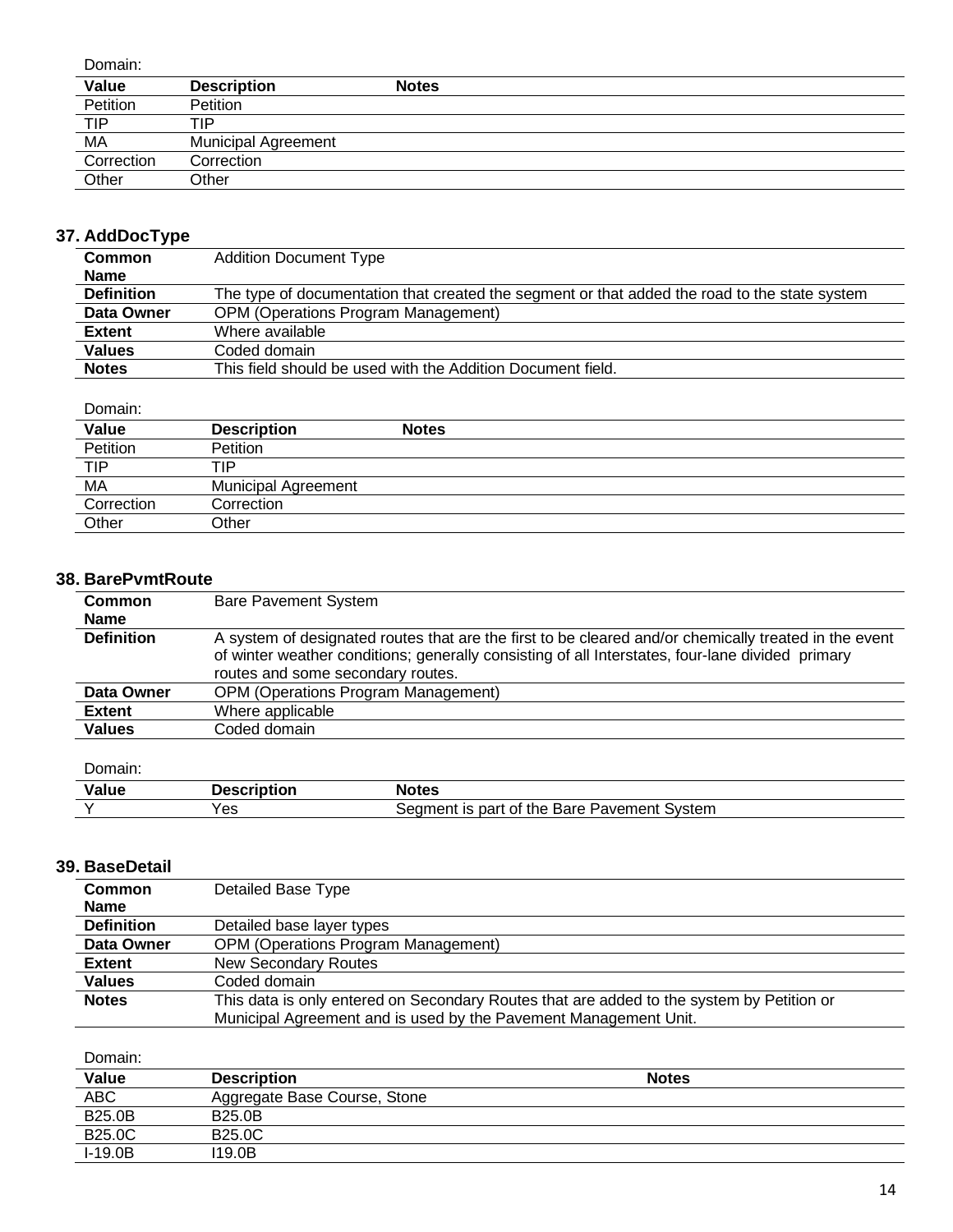| Domain:    |                            |              |
|------------|----------------------------|--------------|
| Value      | <b>Description</b>         | <b>Notes</b> |
| Petition   | <b>Petition</b>            |              |
| <b>TIP</b> | TIP                        |              |
| МA         | <b>Municipal Agreement</b> |              |
| Correction | Correction                 |              |
| Other      | Other                      |              |

## **37. AddDocType**

| <b>Common</b>     | <b>Addition Document Type</b>                                                                 |  |
|-------------------|-----------------------------------------------------------------------------------------------|--|
| <b>Name</b>       |                                                                                               |  |
| <b>Definition</b> | The type of documentation that created the segment or that added the road to the state system |  |
| Data Owner        | <b>OPM (Operations Program Management)</b>                                                    |  |
| Extent            | Where available                                                                               |  |
| <b>Values</b>     | Coded domain                                                                                  |  |
| <b>Notes</b>      | This field should be used with the Addition Document field.                                   |  |

#### Domain:

| Value      | <b>Description</b>         | <b>Notes</b> |
|------------|----------------------------|--------------|
| Petition   | <b>Petition</b>            |              |
| <b>TIP</b> | TIP                        |              |
| MA         | <b>Municipal Agreement</b> |              |
| Correction | Correction                 |              |
| Other      | Other                      |              |

#### **38. BarePvmtRoute**

| Common            | <b>Bare Pavement System</b>                                                                                                                                                                                                                    |  |  |
|-------------------|------------------------------------------------------------------------------------------------------------------------------------------------------------------------------------------------------------------------------------------------|--|--|
| <b>Name</b>       |                                                                                                                                                                                                                                                |  |  |
| <b>Definition</b> | A system of designated routes that are the first to be cleared and/or chemically treated in the event<br>of winter weather conditions; generally consisting of all Interstates, four-lane divided primary<br>routes and some secondary routes. |  |  |
| Data Owner        | <b>OPM (Operations Program Management)</b>                                                                                                                                                                                                     |  |  |
| <b>Extent</b>     | Where applicable                                                                                                                                                                                                                               |  |  |
| <b>Values</b>     | Coded domain                                                                                                                                                                                                                                   |  |  |
|                   |                                                                                                                                                                                                                                                |  |  |

#### Domain:

| $\cdot$ $\cdot$<br>Value | . 100000<br>------ | <b>Notes</b>                                                    |
|--------------------------|--------------------|-----------------------------------------------------------------|
|                          | $\sim$<br>ರಾ       | Bare<br>Svstem<br>part<br>Pavement<br>of the<br>Seamer.<br>nent |

### **39. BaseDetail**

| <b>Common</b>     | Detailed Base Type                                                                        |  |
|-------------------|-------------------------------------------------------------------------------------------|--|
| <b>Name</b>       |                                                                                           |  |
| <b>Definition</b> | Detailed base layer types                                                                 |  |
| Data Owner        | <b>OPM (Operations Program Management)</b>                                                |  |
| <b>Extent</b>     | New Secondary Routes                                                                      |  |
| <b>Values</b>     | Coded domain                                                                              |  |
| <b>Notes</b>      | This data is only entered on Secondary Routes that are added to the system by Petition or |  |
|                   | Municipal Agreement and is used by the Pavement Management Unit.                          |  |

| <b>Value</b>  | <b>Description</b>           | <b>Notes</b> |
|---------------|------------------------------|--------------|
| <b>ABC</b>    | Aggregate Base Course, Stone |              |
| <b>B25.0B</b> | <b>B25.0B</b>                |              |
| <b>B25.0C</b> | <b>B25.0C</b>                |              |
| $I-19.0B$     | 119.0B                       |              |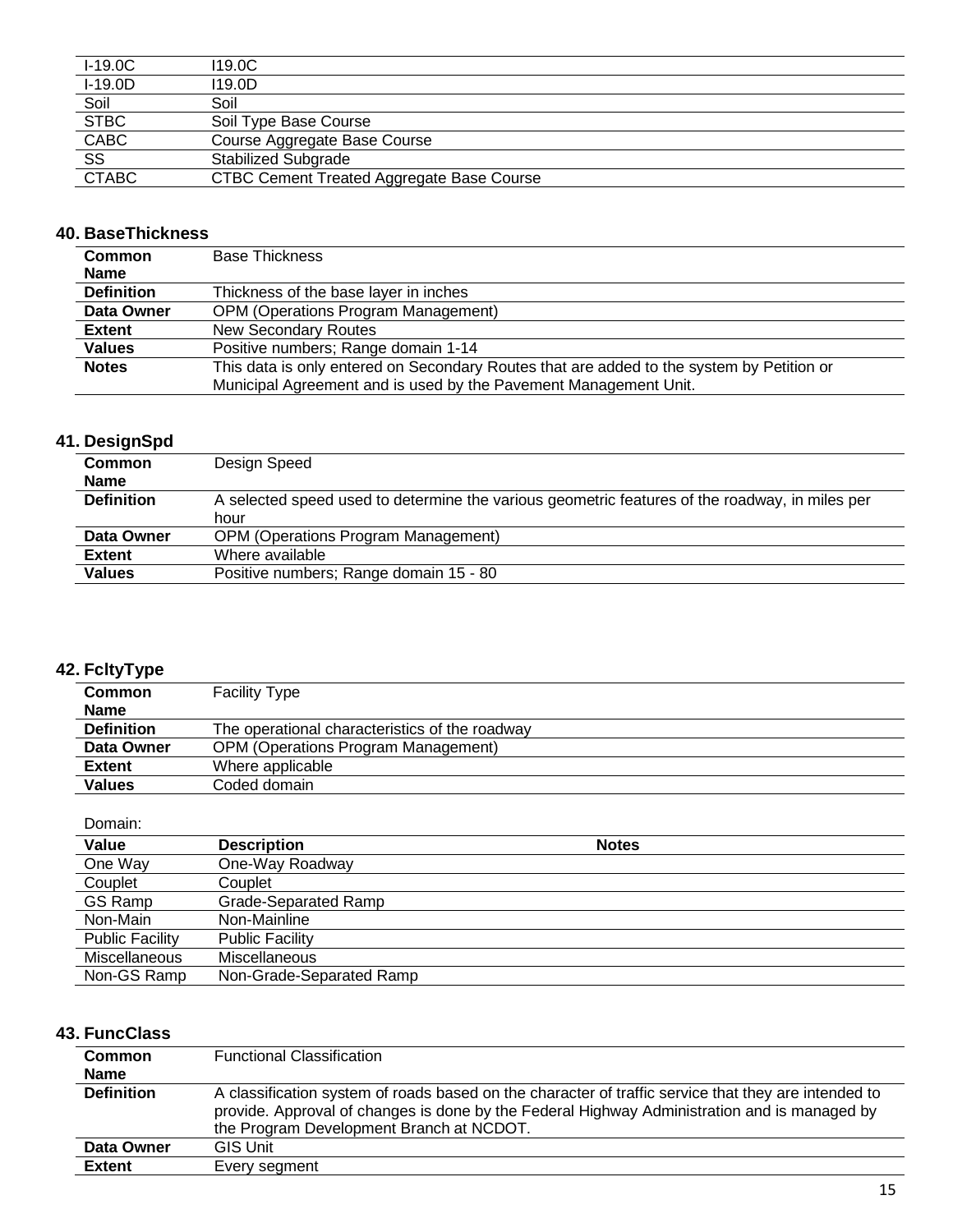| $I-19.0C$    | 119.0C                                           |
|--------------|--------------------------------------------------|
| $I-19.0D$    | 119.0D                                           |
| Soil         | Soil                                             |
| <b>STBC</b>  | Soil Type Base Course                            |
| CABC         | Course Aggregate Base Course                     |
| SS           | <b>Stabilized Subgrade</b>                       |
| <b>CTABC</b> | <b>CTBC Cement Treated Aggregate Base Course</b> |

### **40. BaseThickness**

| <b>Common</b>     | <b>Base Thickness</b>                                                                     |  |
|-------------------|-------------------------------------------------------------------------------------------|--|
| <b>Name</b>       |                                                                                           |  |
| <b>Definition</b> | Thickness of the base layer in inches                                                     |  |
| Data Owner        | <b>OPM (Operations Program Management)</b>                                                |  |
| <b>Extent</b>     | <b>New Secondary Routes</b>                                                               |  |
| <b>Values</b>     | Positive numbers; Range domain 1-14                                                       |  |
| <b>Notes</b>      | This data is only entered on Secondary Routes that are added to the system by Petition or |  |
|                   | Municipal Agreement and is used by the Pavement Management Unit.                          |  |

## **41. DesignSpd**

| <b>Common</b>     | Design Speed                                                                                   |  |
|-------------------|------------------------------------------------------------------------------------------------|--|
| <b>Name</b>       |                                                                                                |  |
| <b>Definition</b> | A selected speed used to determine the various geometric features of the roadway, in miles per |  |
|                   | hour                                                                                           |  |
| Data Owner        | <b>OPM (Operations Program Management)</b>                                                     |  |
| <b>Extent</b>     | Where available                                                                                |  |
| <b>Values</b>     | Positive numbers; Range domain 15 - 80                                                         |  |

## **42. FcltyType**

| -------           |                                                |  |
|-------------------|------------------------------------------------|--|
| <b>Common</b>     | <b>Facility Type</b>                           |  |
| <b>Name</b>       |                                                |  |
| <b>Definition</b> | The operational characteristics of the roadway |  |
| Data Owner        | <b>OPM (Operations Program Management)</b>     |  |
| <b>Extent</b>     | Where applicable                               |  |
| <b>Values</b>     | Coded domain                                   |  |

#### Domain:

| Value                  | <b>Description</b>       | <b>Notes</b> |  |
|------------------------|--------------------------|--------------|--|
| One Way                | One-Way Roadway          |              |  |
| Couplet                | Couplet                  |              |  |
| GS Ramp                | Grade-Separated Ramp     |              |  |
| Non-Main               | Non-Mainline             |              |  |
| <b>Public Facility</b> | <b>Public Facility</b>   |              |  |
| <b>Miscellaneous</b>   | Miscellaneous            |              |  |
| Non-GS Ramp            | Non-Grade-Separated Ramp |              |  |

## **43. FuncClass**

| <b>Common</b><br><b>Name</b> | <b>Functional Classification</b>                                                                                                                                                                                                                 |
|------------------------------|--------------------------------------------------------------------------------------------------------------------------------------------------------------------------------------------------------------------------------------------------|
| <b>Definition</b>            | A classification system of roads based on the character of traffic service that they are intended to<br>provide. Approval of changes is done by the Federal Highway Administration and is managed by<br>the Program Development Branch at NCDOT. |
| Data Owner                   | <b>GIS Unit</b>                                                                                                                                                                                                                                  |
| <b>Extent</b>                | Every segment                                                                                                                                                                                                                                    |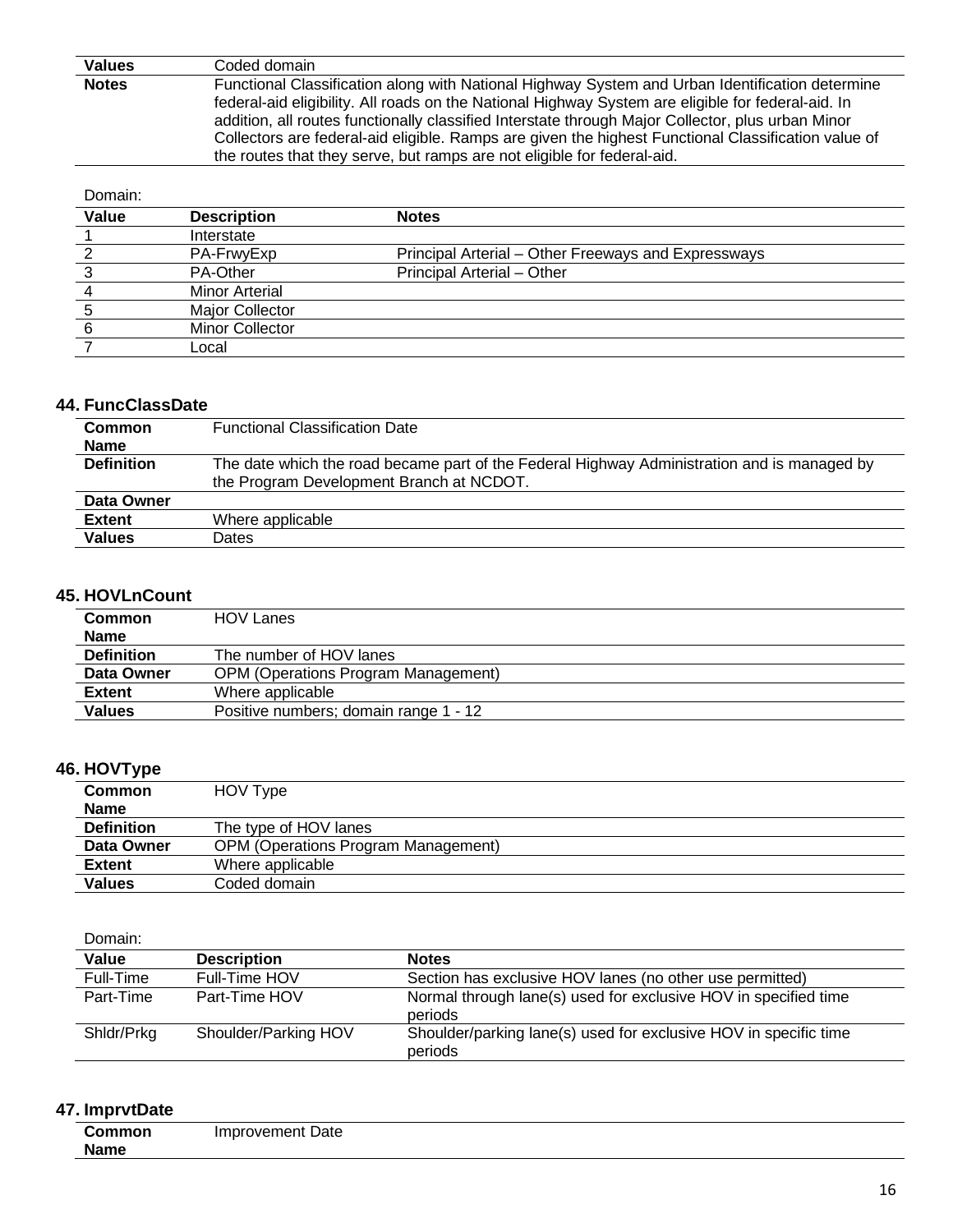**Values** Coded domain **Notes** Functional Classification along with National Highway System and Urban Identification determine federal-aid eligibility. All roads on the National Highway System are eligible for federal-aid. In addition, all routes functionally classified Interstate through Major Collector, plus urban Minor Collectors are federal-aid eligible. Ramps are given the highest Functional Classification value of the routes that they serve, but ramps are not eligible for federal-aid.

#### Domain:

| Value | <b>Description</b>    | <b>Notes</b>                                        |
|-------|-----------------------|-----------------------------------------------------|
|       | Interstate            |                                                     |
|       | PA-FrwyExp            | Principal Arterial – Other Freeways and Expressways |
|       | PA-Other              | Principal Arterial - Other                          |
|       | <b>Minor Arterial</b> |                                                     |
|       | Major Collector       |                                                     |
|       | Minor Collector       |                                                     |
|       | _ocal                 |                                                     |

#### **44. FuncClassDate**

| <b>Common</b>     | <b>Functional Classification Date</b>                                                       |  |
|-------------------|---------------------------------------------------------------------------------------------|--|
| <b>Name</b>       |                                                                                             |  |
| <b>Definition</b> | The date which the road became part of the Federal Highway Administration and is managed by |  |
|                   | the Program Development Branch at NCDOT.                                                    |  |
| Data Owner        |                                                                                             |  |
| <b>Extent</b>     | Where applicable                                                                            |  |
| <b>Values</b>     | Dates                                                                                       |  |

#### **45. HOVLnCount**

| <b>HOV Lanes</b>                           |
|--------------------------------------------|
|                                            |
| The number of HOV lanes                    |
| <b>OPM (Operations Program Management)</b> |
| Where applicable                           |
| Positive numbers; domain range 1 - 12      |
|                                            |

#### **46. HOVType**

| <b>Common</b>     | HOV Type                                   |  |
|-------------------|--------------------------------------------|--|
| <b>Name</b>       |                                            |  |
| <b>Definition</b> | The type of HOV lanes                      |  |
| Data Owner        | <b>OPM (Operations Program Management)</b> |  |
| <b>Extent</b>     | Where applicable                           |  |
| <b>Values</b>     | Coded domain                               |  |

#### Domain:

| Value      | <b>Description</b>   | <b>Notes</b>                                                                |
|------------|----------------------|-----------------------------------------------------------------------------|
| Full-Time  | Full-Time HOV        | Section has exclusive HOV lanes (no other use permitted)                    |
| Part-Time  | Part-Time HOV        | Normal through lane(s) used for exclusive HOV in specified time<br>periods  |
| Shidr/Prkg | Shoulder/Parking HOV | Shoulder/parking lane(s) used for exclusive HOV in specific time<br>periods |

#### **47. ImprvtDate**

| `ommon      | Improvement Date |
|-------------|------------------|
| <b>Name</b> |                  |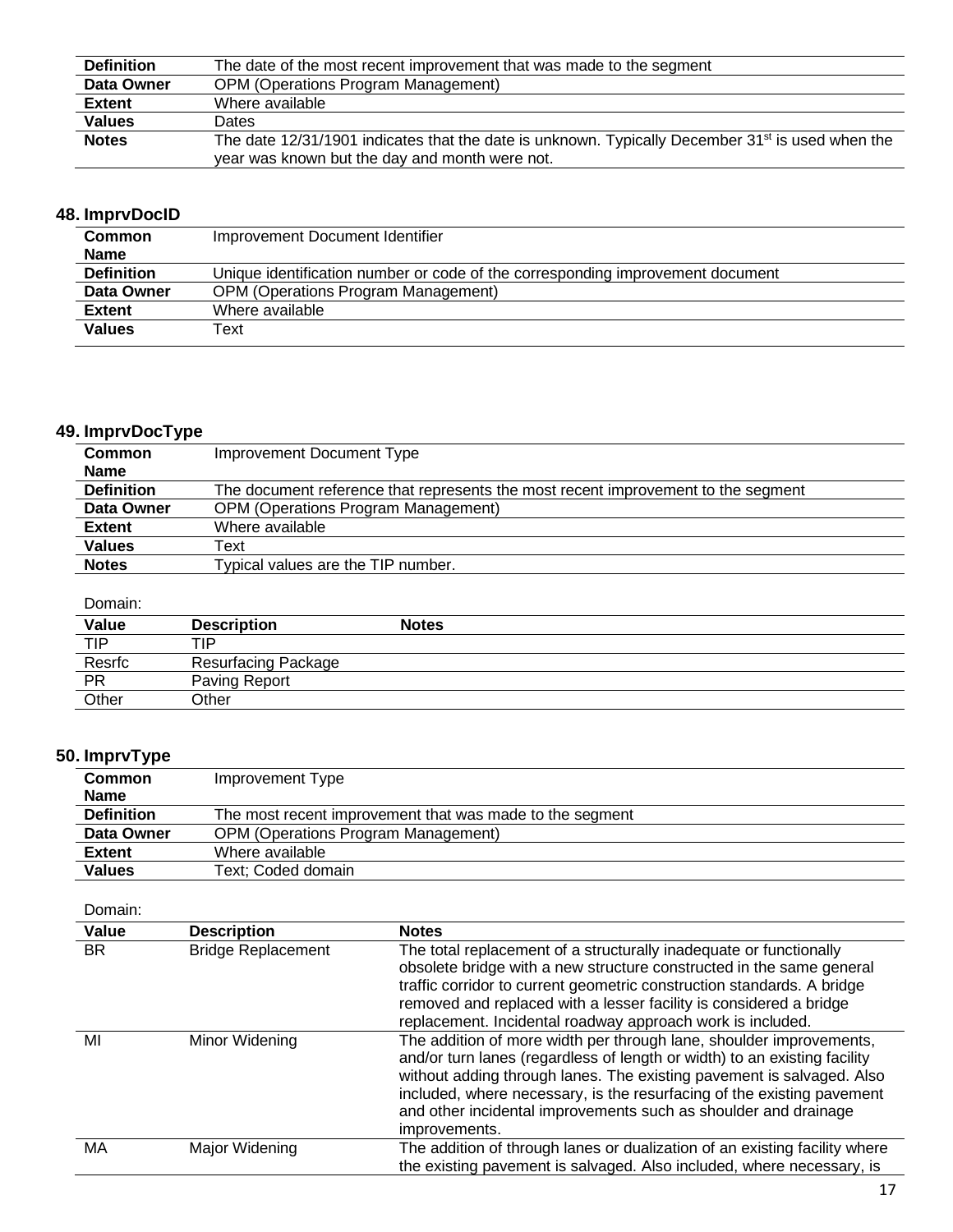| <b>Definition</b> | The date of the most recent improvement that was made to the segment                                         |  |
|-------------------|--------------------------------------------------------------------------------------------------------------|--|
| Data Owner        | <b>OPM (Operations Program Management)</b>                                                                   |  |
| <b>Extent</b>     | Where available                                                                                              |  |
| <b>Values</b>     | <b>Dates</b>                                                                                                 |  |
| <b>Notes</b>      | The date 12/31/1901 indicates that the date is unknown. Typically December 31 <sup>st</sup> is used when the |  |
|                   | year was known but the day and month were not.                                                               |  |

### **48. ImprvDocID**

| <b>Common</b>     | Improvement Document Identifier                                                |  |
|-------------------|--------------------------------------------------------------------------------|--|
| <b>Name</b>       |                                                                                |  |
| <b>Definition</b> | Unique identification number or code of the corresponding improvement document |  |
| Data Owner        | <b>OPM (Operations Program Management)</b>                                     |  |
| <b>Extent</b>     | Where available                                                                |  |
| <b>Values</b>     | Text                                                                           |  |
|                   |                                                                                |  |

## **49. ImprvDocType**

| <b>Common</b>     | Improvement Document Type                                                         |  |
|-------------------|-----------------------------------------------------------------------------------|--|
| <b>Name</b>       |                                                                                   |  |
| <b>Definition</b> | The document reference that represents the most recent improvement to the segment |  |
| Data Owner        | <b>OPM (Operations Program Management)</b>                                        |  |
| Extent            | Where available                                                                   |  |
| <b>Values</b>     | Text                                                                              |  |
| <b>Notes</b>      | Typical values are the TIP number.                                                |  |
|                   |                                                                                   |  |

#### Domain:

| Value      | <b>Description</b>         | <b>Notes</b> |
|------------|----------------------------|--------------|
| <b>TIP</b> | TIP                        |              |
| Resrfc     | <b>Resurfacing Package</b> |              |
| PR         | Paving Report              |              |
| Other      | Other                      |              |

## **50. ImprvType**

| <b>Common</b>     | Improvement Type                                         |  |
|-------------------|----------------------------------------------------------|--|
| <b>Name</b>       |                                                          |  |
| <b>Definition</b> | The most recent improvement that was made to the segment |  |
| Data Owner        | <b>OPM (Operations Program Management)</b>               |  |
| Extent            | Where available                                          |  |
| <b>Values</b>     | Text; Coded domain                                       |  |

| Value     | <b>Description</b>        | <b>Notes</b>                                                                                                                                                                                                                                                                                                                                                                            |
|-----------|---------------------------|-----------------------------------------------------------------------------------------------------------------------------------------------------------------------------------------------------------------------------------------------------------------------------------------------------------------------------------------------------------------------------------------|
| <b>BR</b> | <b>Bridge Replacement</b> | The total replacement of a structurally inadequate or functionally<br>obsolete bridge with a new structure constructed in the same general<br>traffic corridor to current geometric construction standards. A bridge<br>removed and replaced with a lesser facility is considered a bridge<br>replacement. Incidental roadway approach work is included.                                |
| MI        | Minor Widening            | The addition of more width per through lane, shoulder improvements,<br>and/or turn lanes (regardless of length or width) to an existing facility<br>without adding through lanes. The existing pavement is salvaged. Also<br>included, where necessary, is the resurfacing of the existing pavement<br>and other incidental improvements such as shoulder and drainage<br>improvements. |
| MA        | Major Widening            | The addition of through lanes or dualization of an existing facility where<br>the existing pavement is salvaged. Also included, where necessary, is                                                                                                                                                                                                                                     |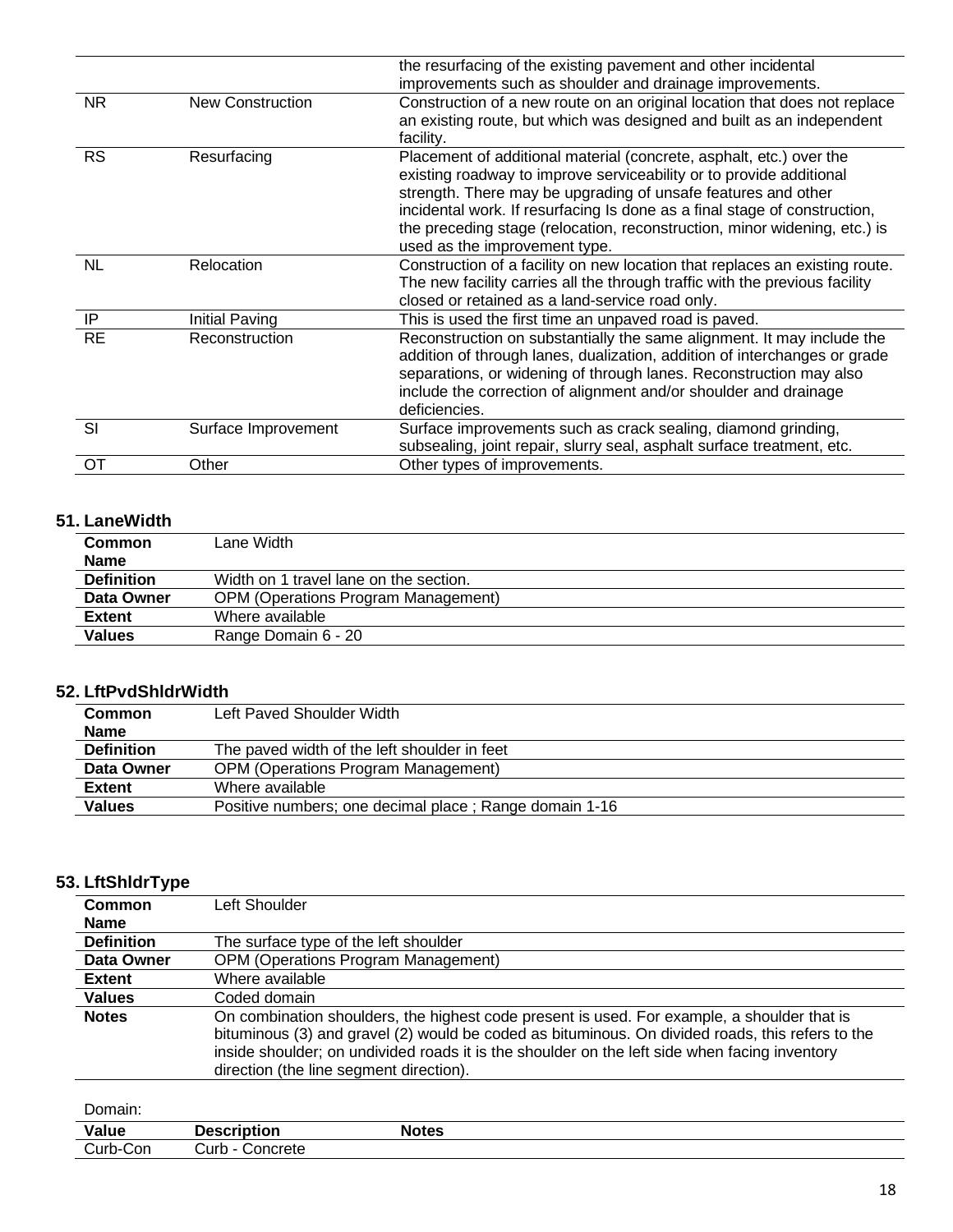| <b>OT</b> | Other                   | Other types of improvements.                                                                                                                                                                                                                                                                                                                                                                           |
|-----------|-------------------------|--------------------------------------------------------------------------------------------------------------------------------------------------------------------------------------------------------------------------------------------------------------------------------------------------------------------------------------------------------------------------------------------------------|
| SI        | Surface Improvement     | Surface improvements such as crack sealing, diamond grinding,<br>subsealing, joint repair, slurry seal, asphalt surface treatment, etc.                                                                                                                                                                                                                                                                |
| <b>RE</b> | Reconstruction          | Reconstruction on substantially the same alignment. It may include the<br>addition of through lanes, dualization, addition of interchanges or grade<br>separations, or widening of through lanes. Reconstruction may also<br>include the correction of alignment and/or shoulder and drainage<br>deficiencies.                                                                                         |
| IP        | Initial Paving          | This is used the first time an unpaved road is paved.                                                                                                                                                                                                                                                                                                                                                  |
| <b>NL</b> | Relocation              | Construction of a facility on new location that replaces an existing route.<br>The new facility carries all the through traffic with the previous facility<br>closed or retained as a land-service road only.                                                                                                                                                                                          |
| <b>RS</b> | Resurfacing             | Placement of additional material (concrete, asphalt, etc.) over the<br>existing roadway to improve serviceability or to provide additional<br>strength. There may be upgrading of unsafe features and other<br>incidental work. If resurfacing Is done as a final stage of construction,<br>the preceding stage (relocation, reconstruction, minor widening, etc.) is<br>used as the improvement type. |
| NR.       | <b>New Construction</b> | Construction of a new route on an original location that does not replace<br>an existing route, but which was designed and built as an independent<br>facility.                                                                                                                                                                                                                                        |
|           |                         | the resurfacing of the existing pavement and other incidental<br>improvements such as shoulder and drainage improvements.                                                                                                                                                                                                                                                                              |

#### **51. LaneWidth**

| <b>Common</b>     | Lane Width                                 |  |
|-------------------|--------------------------------------------|--|
| <b>Name</b>       |                                            |  |
| <b>Definition</b> | Width on 1 travel lane on the section.     |  |
| Data Owner        | <b>OPM (Operations Program Management)</b> |  |
| <b>Extent</b>     | Where available                            |  |
| <b>Values</b>     | Range Domain 6 - 20                        |  |

### **52. LftPvdShldrWidth**

| <b>Common</b><br><b>Name</b> | Left Paved Shoulder Width                              |  |
|------------------------------|--------------------------------------------------------|--|
| <b>Definition</b>            | The paved width of the left shoulder in feet           |  |
| Data Owner                   | <b>OPM (Operations Program Management)</b>             |  |
| <b>Extent</b>                | Where available                                        |  |
| <b>Values</b>                | Positive numbers; one decimal place; Range domain 1-16 |  |

#### **53. LftShldrType**

| Common            | Left Shoulder                                                                                                                                                                                                                                                                                                                               |  |  |
|-------------------|---------------------------------------------------------------------------------------------------------------------------------------------------------------------------------------------------------------------------------------------------------------------------------------------------------------------------------------------|--|--|
| <b>Name</b>       |                                                                                                                                                                                                                                                                                                                                             |  |  |
| <b>Definition</b> | The surface type of the left shoulder                                                                                                                                                                                                                                                                                                       |  |  |
| Data Owner        | <b>OPM (Operations Program Management)</b>                                                                                                                                                                                                                                                                                                  |  |  |
| <b>Extent</b>     | Where available                                                                                                                                                                                                                                                                                                                             |  |  |
| <b>Values</b>     | Coded domain                                                                                                                                                                                                                                                                                                                                |  |  |
| <b>Notes</b>      | On combination shoulders, the highest code present is used. For example, a shoulder that is<br>bituminous (3) and gravel (2) would be coded as bituminous. On divided roads, this refers to the<br>inside shoulder; on undivided roads it is the shoulder on the left side when facing inventory<br>direction (the line segment direction). |  |  |

| <b>Value</b>                                  | 1000000000000<br>-  | <b>Notes</b> |  |
|-----------------------------------------------|---------------------|--------------|--|
| $\overline{\phantom{a}}$<br>~<br>Con<br>`urh- | ∴urh -<br>`oncrete. |              |  |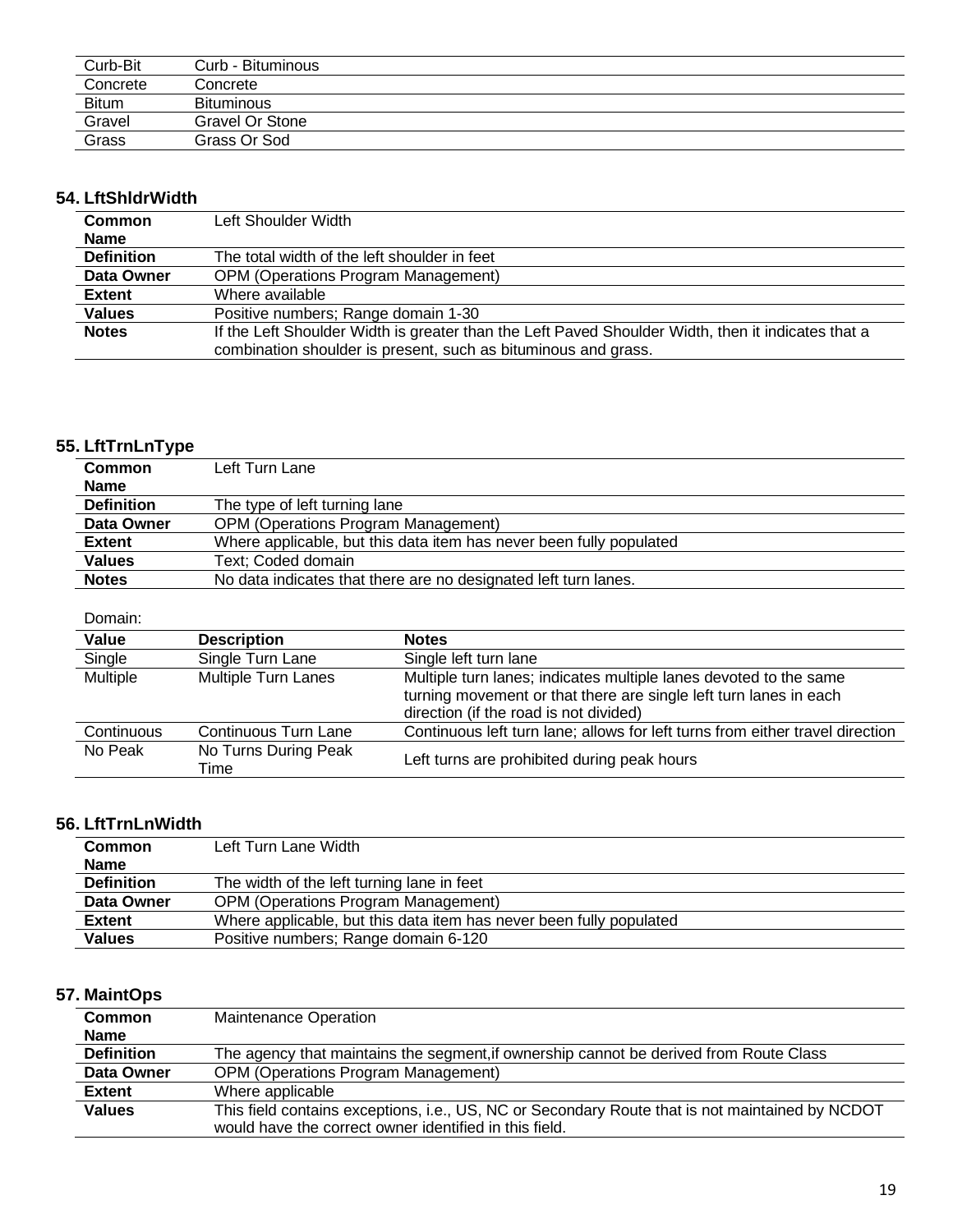| Curb-Bit     | Curb - Bituminous |
|--------------|-------------------|
| Concrete     | Concrete          |
| <b>Bitum</b> | <b>Bituminous</b> |
| Gravel       | Gravel Or Stone   |
| Grass        | Grass Or Sod      |

### **54. LftShldrWidth**

| <b>Common</b>     | Left Shoulder Width                                                                                |
|-------------------|----------------------------------------------------------------------------------------------------|
| <b>Name</b>       |                                                                                                    |
| <b>Definition</b> | The total width of the left shoulder in feet                                                       |
| Data Owner        | <b>OPM (Operations Program Management)</b>                                                         |
| <b>Extent</b>     | Where available                                                                                    |
| <b>Values</b>     | Positive numbers; Range domain 1-30                                                                |
| <b>Notes</b>      | If the Left Shoulder Width is greater than the Left Paved Shoulder Width, then it indicates that a |
|                   | combination shoulder is present, such as bituminous and grass.                                     |

## **55. LftTrnLnType**

| <b>Common</b>     | Left Turn Lane                                                      |
|-------------------|---------------------------------------------------------------------|
| <b>Name</b>       |                                                                     |
| <b>Definition</b> | The type of left turning lane                                       |
| Data Owner        | <b>OPM (Operations Program Management)</b>                          |
| <b>Extent</b>     | Where applicable, but this data item has never been fully populated |
| <b>Values</b>     | Text: Coded domain                                                  |
| <b>Notes</b>      | No data indicates that there are no designated left turn lanes.     |

### Domain:

| Value           | <b>Description</b>           | <b>Notes</b>                                                                                                                                                                     |
|-----------------|------------------------------|----------------------------------------------------------------------------------------------------------------------------------------------------------------------------------|
| Single          | Single Turn Lane             | Single left turn lane                                                                                                                                                            |
| <b>Multiple</b> | <b>Multiple Turn Lanes</b>   | Multiple turn lanes; indicates multiple lanes devoted to the same<br>turning movement or that there are single left turn lanes in each<br>direction (if the road is not divided) |
| Continuous      | Continuous Turn Lane         | Continuous left turn lane; allows for left turns from either travel direction                                                                                                    |
| No Peak         | No Turns During Peak<br>Time | Left turns are prohibited during peak hours                                                                                                                                      |

### **56. LftTrnLnWidth**

| <b>Common</b><br><b>Name</b> | Left Turn Lane Width                                                |
|------------------------------|---------------------------------------------------------------------|
| <b>Definition</b>            | The width of the left turning lane in feet                          |
| Data Owner                   | <b>OPM (Operations Program Management)</b>                          |
| <b>Extent</b>                | Where applicable, but this data item has never been fully populated |
| <b>Values</b>                | Positive numbers; Range domain 6-120                                |

## **57. MaintOps**

| <b>Common</b>     | <b>Maintenance Operation</b>                                                                    |  |
|-------------------|-------------------------------------------------------------------------------------------------|--|
| <b>Name</b>       |                                                                                                 |  |
| <b>Definition</b> | The agency that maintains the segment, if ownership cannot be derived from Route Class          |  |
| Data Owner        | <b>OPM (Operations Program Management)</b>                                                      |  |
| <b>Extent</b>     | Where applicable                                                                                |  |
| <b>Values</b>     | This field contains exceptions, i.e., US, NC or Secondary Route that is not maintained by NCDOT |  |
|                   | would have the correct owner identified in this field.                                          |  |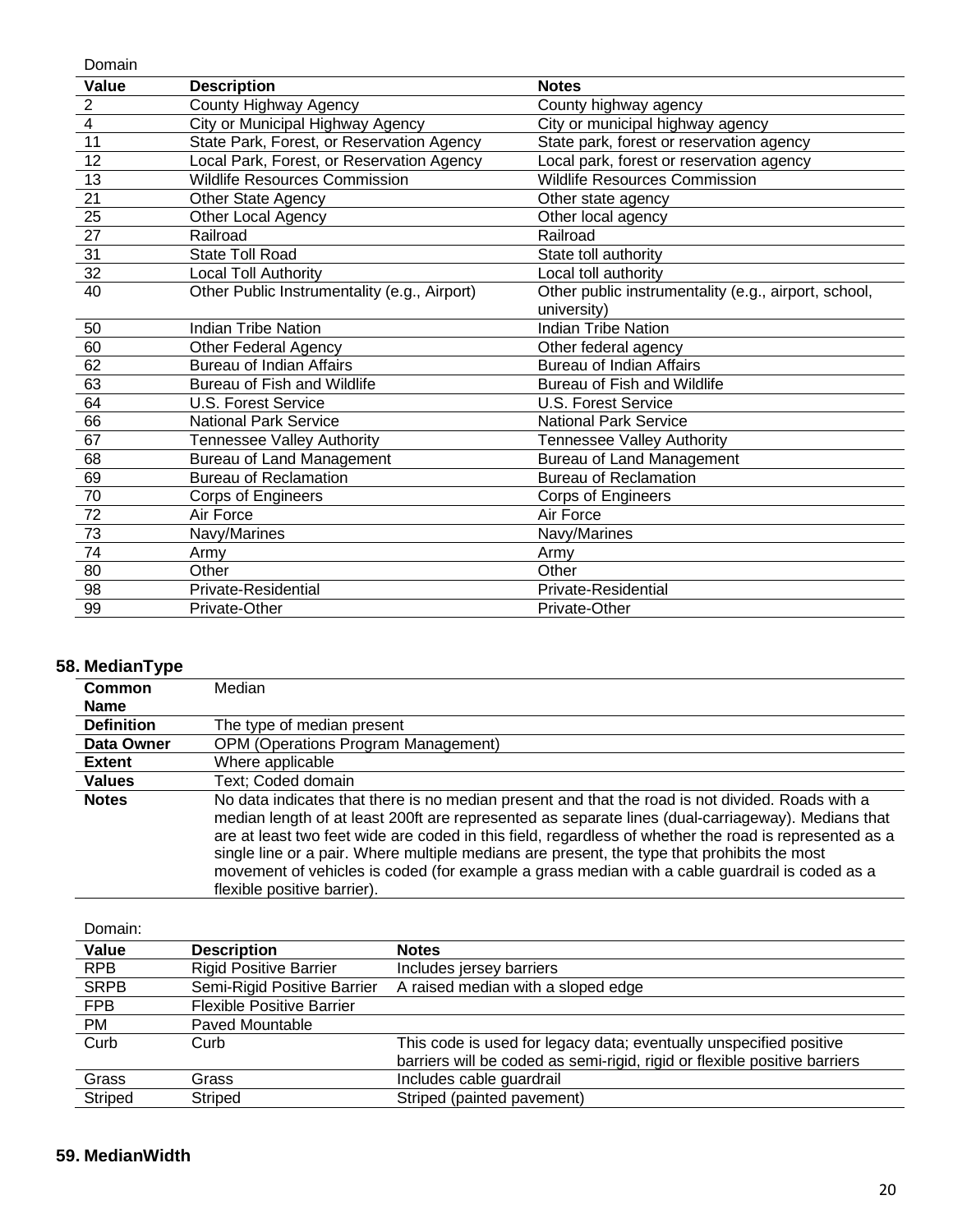Domain **Value Description Notes** 2 County Highway Agency County highway agency 4 City or Municipal Highway Agency City or municipal highway agency 11 State Park, Forest, or Reservation Agency State park, forest or reservation agency 12 Local Park, Forest, or Reservation Agency Local park, forest or reservation agency 13 Wildlife Resources Commission Wildlife Resources Commission 21 **Other State Agency Communist Communist Communist Communist Communist Communist Communist Communist Communist Communist Communist Communist Communist Communist Communist Communist Communist Communist Communist Communi** 25 Other Local Agency Other local agency 27 Railroad Railroad Railroad Railroad Railroad Railroad Railroad Railroad Railroad Railroad Railroad Railroad 31 State Toll Road State Toll authority State toll authority 32 Local Toll Authority Local toll authority 40 Other Public Instrumentality (e.g., Airport) Other public instrumentality (e.g., airport, school, university) 50 Indian Tribe Nation Indian Tribe Nation 60 Other Federal Agency Other federal agency 62 Bureau of Indian Affairs **Bureau of Indian Affairs Bureau of Indian Affairs** 63 Bureau of Fish and Wildlife Bureau of Fish and Wildlife 64 U.S. Forest Service U.S. Forest Service 66 National Park Service National Park Service 67 Tennessee Valley Authority Tennessee Valley Authority 68 Bureau of Land Management Bureau of Land Management 69 Bureau of Reclamation **Bureau of Reclamation** Bureau of Reclamation 70 Corps of Engineers Corps of Engineers The True Air Force Air Force Air Force Air Force Air Force Air Force Air Force Air Force Air Force Air Force Air Force Air Force Air Force Air Force Air Force Air Force Air Force Air Air Force Air Air Air Air Air Air Air A 73 Navy/Marines Navy/Marines 74 Army Army 80 Other Changes Other Changes Other Changes Other Changes Other Changes Other Changes Other Changes Other Changes Other Changes Other Changes Other Changes Other Changes Other Changes Other Changes Other Changes Other Cha 98 Private-Residential Private-Residential Private-Residential 99 Private-Other Private-Other Private-Other

#### **58. MedianType**

| . .               |                                                                                                                                                                                                                                                                                                                                                                                                                                                                                                                                                  |
|-------------------|--------------------------------------------------------------------------------------------------------------------------------------------------------------------------------------------------------------------------------------------------------------------------------------------------------------------------------------------------------------------------------------------------------------------------------------------------------------------------------------------------------------------------------------------------|
| Common            | Median                                                                                                                                                                                                                                                                                                                                                                                                                                                                                                                                           |
| <b>Name</b>       |                                                                                                                                                                                                                                                                                                                                                                                                                                                                                                                                                  |
| <b>Definition</b> | The type of median present                                                                                                                                                                                                                                                                                                                                                                                                                                                                                                                       |
| Data Owner        | <b>OPM (Operations Program Management)</b>                                                                                                                                                                                                                                                                                                                                                                                                                                                                                                       |
| <b>Extent</b>     | Where applicable                                                                                                                                                                                                                                                                                                                                                                                                                                                                                                                                 |
| <b>Values</b>     | Text; Coded domain                                                                                                                                                                                                                                                                                                                                                                                                                                                                                                                               |
| <b>Notes</b>      | No data indicates that there is no median present and that the road is not divided. Roads with a<br>median length of at least 200ft are represented as separate lines (dual-carriageway). Medians that<br>are at least two feet wide are coded in this field, regardless of whether the road is represented as a<br>single line or a pair. Where multiple medians are present, the type that prohibits the most<br>movement of vehicles is coded (for example a grass median with a cable guardrail is coded as a<br>flexible positive barrier). |

| Domain:     |                                  |                                                                           |
|-------------|----------------------------------|---------------------------------------------------------------------------|
| Value       | <b>Description</b>               | <b>Notes</b>                                                              |
| <b>RPB</b>  | <b>Rigid Positive Barrier</b>    | Includes jersey barriers                                                  |
| <b>SRPB</b> | Semi-Rigid Positive Barrier      | A raised median with a sloped edge                                        |
| <b>FPB</b>  | <b>Flexible Positive Barrier</b> |                                                                           |
| PM          | Paved Mountable                  |                                                                           |
| Curb        | Curb                             | This code is used for legacy data; eventually unspecified positive        |
|             |                                  | barriers will be coded as semi-rigid, rigid or flexible positive barriers |
| Grass       | Grass                            | Includes cable guardrail                                                  |
| Striped     | Striped                          | Striped (painted pavement)                                                |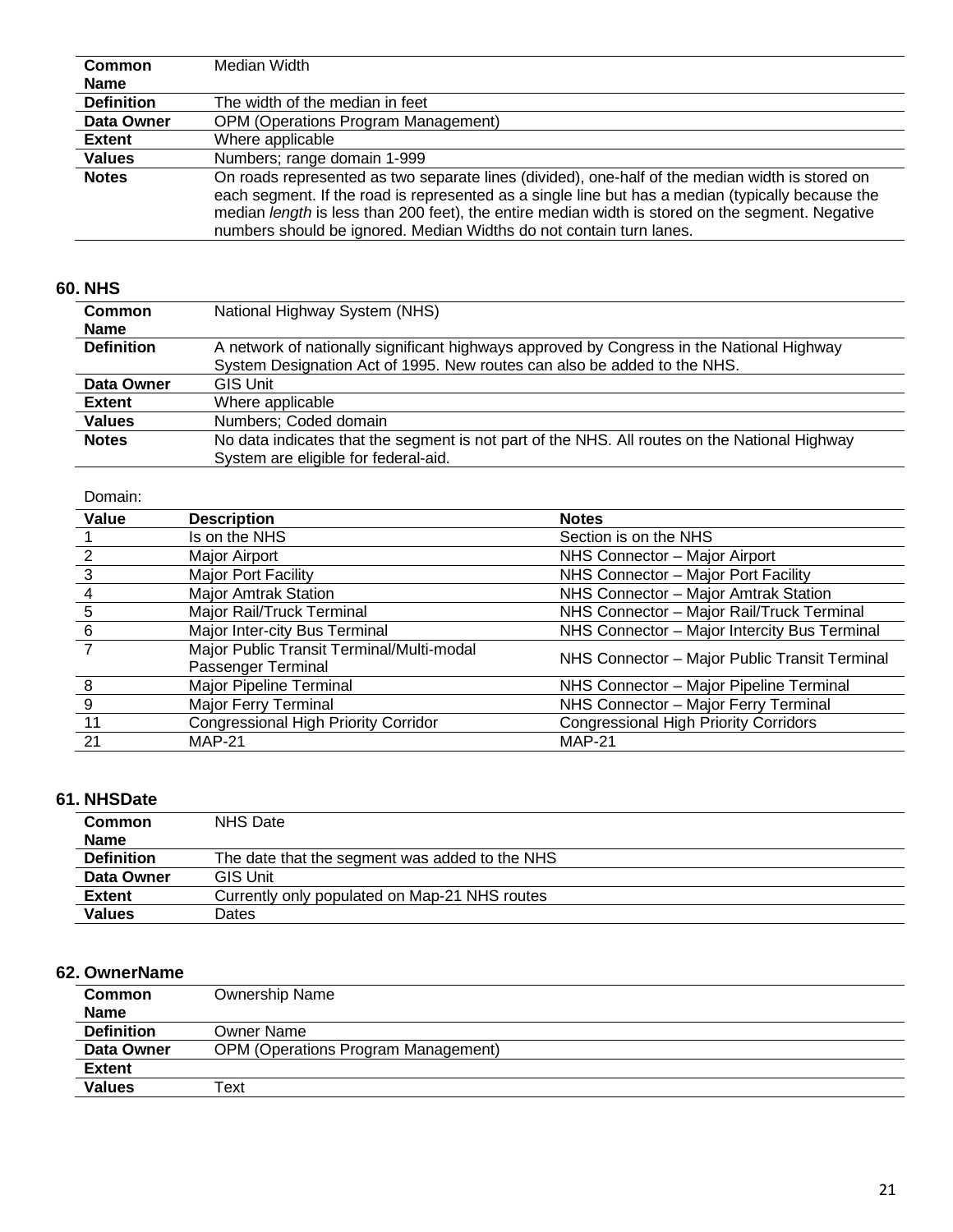| Common            | Median Width                                                                                                                                                                                                                                                                                                                                                                    |
|-------------------|---------------------------------------------------------------------------------------------------------------------------------------------------------------------------------------------------------------------------------------------------------------------------------------------------------------------------------------------------------------------------------|
| <b>Name</b>       |                                                                                                                                                                                                                                                                                                                                                                                 |
| <b>Definition</b> | The width of the median in feet                                                                                                                                                                                                                                                                                                                                                 |
| Data Owner        | <b>OPM (Operations Program Management)</b>                                                                                                                                                                                                                                                                                                                                      |
| <b>Extent</b>     | Where applicable                                                                                                                                                                                                                                                                                                                                                                |
| <b>Values</b>     | Numbers; range domain 1-999                                                                                                                                                                                                                                                                                                                                                     |
| <b>Notes</b>      | On roads represented as two separate lines (divided), one-half of the median width is stored on<br>each segment. If the road is represented as a single line but has a median (typically because the<br>median length is less than 200 feet), the entire median width is stored on the segment. Negative<br>numbers should be ignored. Median Widths do not contain turn lanes. |

## **60. NHS**

| Common            | National Highway System (NHS)                                                                 |  |
|-------------------|-----------------------------------------------------------------------------------------------|--|
| <b>Name</b>       |                                                                                               |  |
| <b>Definition</b> | A network of nationally significant highways approved by Congress in the National Highway     |  |
|                   | System Designation Act of 1995. New routes can also be added to the NHS.                      |  |
| Data Owner        | <b>GIS Unit</b>                                                                               |  |
| <b>Extent</b>     | Where applicable                                                                              |  |
| <b>Values</b>     | Numbers: Coded domain                                                                         |  |
| <b>Notes</b>      | No data indicates that the segment is not part of the NHS. All routes on the National Highway |  |
|                   | System are eligible for federal-aid.                                                          |  |

#### Domain:

| Value | <b>Description</b>                                              | <b>Notes</b>                                  |
|-------|-----------------------------------------------------------------|-----------------------------------------------|
|       | Is on the NHS                                                   | Section is on the NHS                         |
|       | Major Airport                                                   | NHS Connector - Major Airport                 |
| 3     | Major Port Facility                                             | NHS Connector - Major Port Facility           |
| 4     | <b>Major Amtrak Station</b>                                     | NHS Connector - Major Amtrak Station          |
| 5     | Major Rail/Truck Terminal                                       | NHS Connector - Major Rail/Truck Terminal     |
| 6     | Major Inter-city Bus Terminal                                   | NHS Connector - Major Intercity Bus Terminal  |
|       | Major Public Transit Terminal/Multi-modal<br>Passenger Terminal | NHS Connector - Major Public Transit Terminal |
| 8     | Major Pipeline Terminal                                         | NHS Connector - Major Pipeline Terminal       |
| 9     | Major Ferry Terminal                                            | NHS Connector - Major Ferry Terminal          |
| 11    | <b>Congressional High Priority Corridor</b>                     | <b>Congressional High Priority Corridors</b>  |
| 21    | <b>MAP-21</b>                                                   | <b>MAP-21</b>                                 |

#### **61. NHSDate**

| <b>Common</b>     | <b>NHS Date</b>                                |
|-------------------|------------------------------------------------|
| <b>Name</b>       |                                                |
| <b>Definition</b> | The date that the segment was added to the NHS |
| Data Owner        | <b>GIS Unit</b>                                |
| <b>Extent</b>     | Currently only populated on Map-21 NHS routes  |
| <b>Values</b>     | Dates                                          |

#### **62. OwnerName**

| <b>Common</b><br><b>Name</b> | Ownership Name                             |
|------------------------------|--------------------------------------------|
| <b>Definition</b>            | Owner Name                                 |
| Data Owner                   | <b>OPM (Operations Program Management)</b> |
| <b>Extent</b>                |                                            |
| <b>Values</b>                | Text                                       |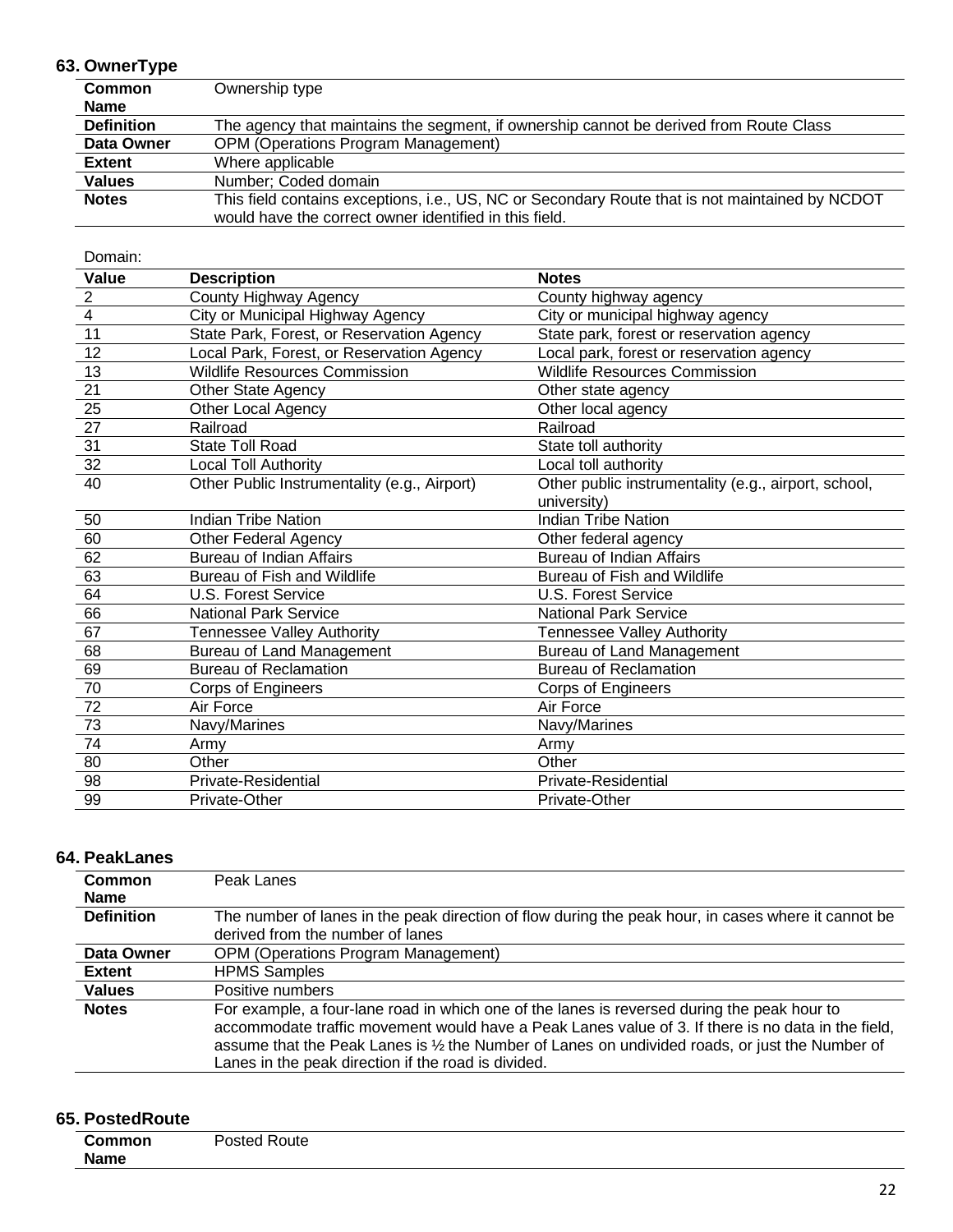### **63. OwnerType**

| <b>Common</b>     | Ownership type                                                                                  |
|-------------------|-------------------------------------------------------------------------------------------------|
| <b>Name</b>       |                                                                                                 |
| <b>Definition</b> | The agency that maintains the segment, if ownership cannot be derived from Route Class          |
| Data Owner        | <b>OPM (Operations Program Management)</b>                                                      |
| <b>Extent</b>     | Where applicable                                                                                |
| <b>Values</b>     | Number; Coded domain                                                                            |
| <b>Notes</b>      | This field contains exceptions, i.e., US, NC or Secondary Route that is not maintained by NCDOT |
|                   | would have the correct owner identified in this field.                                          |

| Domain:         |                                              |                                                      |
|-----------------|----------------------------------------------|------------------------------------------------------|
| Value           | <b>Description</b>                           | <b>Notes</b>                                         |
| $\overline{2}$  | County Highway Agency                        | County highway agency                                |
| $\overline{4}$  | City or Municipal Highway Agency             | City or municipal highway agency                     |
| 11              | State Park, Forest, or Reservation Agency    | State park, forest or reservation agency             |
| 12              | Local Park, Forest, or Reservation Agency    | Local park, forest or reservation agency             |
| 13              | <b>Wildlife Resources Commission</b>         | <b>Wildlife Resources Commission</b>                 |
| 21              | <b>Other State Agency</b>                    | Other state agency                                   |
| 25              | Other Local Agency                           | Other local agency                                   |
| 27              | Railroad                                     | Railroad                                             |
| $\overline{31}$ | <b>State Toll Road</b>                       | State toll authority                                 |
| 32              | Local Toll Authority                         | Local toll authority                                 |
| 40              | Other Public Instrumentality (e.g., Airport) | Other public instrumentality (e.g., airport, school, |
|                 |                                              | university)                                          |
| 50              | <b>Indian Tribe Nation</b>                   | <b>Indian Tribe Nation</b>                           |
| 60              | Other Federal Agency                         | Other federal agency                                 |
| 62              | <b>Bureau of Indian Affairs</b>              | <b>Bureau of Indian Affairs</b>                      |
| 63              | Bureau of Fish and Wildlife                  | Bureau of Fish and Wildlife                          |
| 64              | <b>U.S. Forest Service</b>                   | U.S. Forest Service                                  |
| 66              | <b>National Park Service</b>                 | <b>National Park Service</b>                         |
| 67              | Tennessee Valley Authority                   | Tennessee Valley Authority                           |
| 68              | Bureau of Land Management                    | <b>Bureau of Land Management</b>                     |
| 69              | <b>Bureau of Reclamation</b>                 | <b>Bureau of Reclamation</b>                         |
| 70              | Corps of Engineers                           | Corps of Engineers                                   |
| 72              | Air Force                                    | Air Force                                            |
| 73              | Navy/Marines                                 | Navy/Marines                                         |
| 74              | Army                                         | Army                                                 |
| 80              | Other                                        | Other                                                |
| 98              | <b>Private-Residential</b>                   | Private-Residential                                  |
| 99              | Private-Other                                | Private-Other                                        |

#### **64. PeakLanes**

| Common<br><b>Name</b> | Peak Lanes                                                                                                                                                                                                                                                                                                                                                  |
|-----------------------|-------------------------------------------------------------------------------------------------------------------------------------------------------------------------------------------------------------------------------------------------------------------------------------------------------------------------------------------------------------|
| <b>Definition</b>     | The number of lanes in the peak direction of flow during the peak hour, in cases where it cannot be<br>derived from the number of lanes                                                                                                                                                                                                                     |
| Data Owner            | <b>OPM (Operations Program Management)</b>                                                                                                                                                                                                                                                                                                                  |
| <b>Extent</b>         | <b>HPMS Samples</b>                                                                                                                                                                                                                                                                                                                                         |
| <b>Values</b>         | Positive numbers                                                                                                                                                                                                                                                                                                                                            |
| <b>Notes</b>          | For example, a four-lane road in which one of the lanes is reversed during the peak hour to<br>accommodate traffic movement would have a Peak Lanes value of 3. If there is no data in the field,<br>assume that the Peak Lanes is 1/2 the Number of Lanes on undivided roads, or just the Number of<br>Lanes in the peak direction if the road is divided. |

### **65. PostedRoute**

| <b>Common</b> | Posted Route |  |  |
|---------------|--------------|--|--|
| <b>Name</b>   |              |  |  |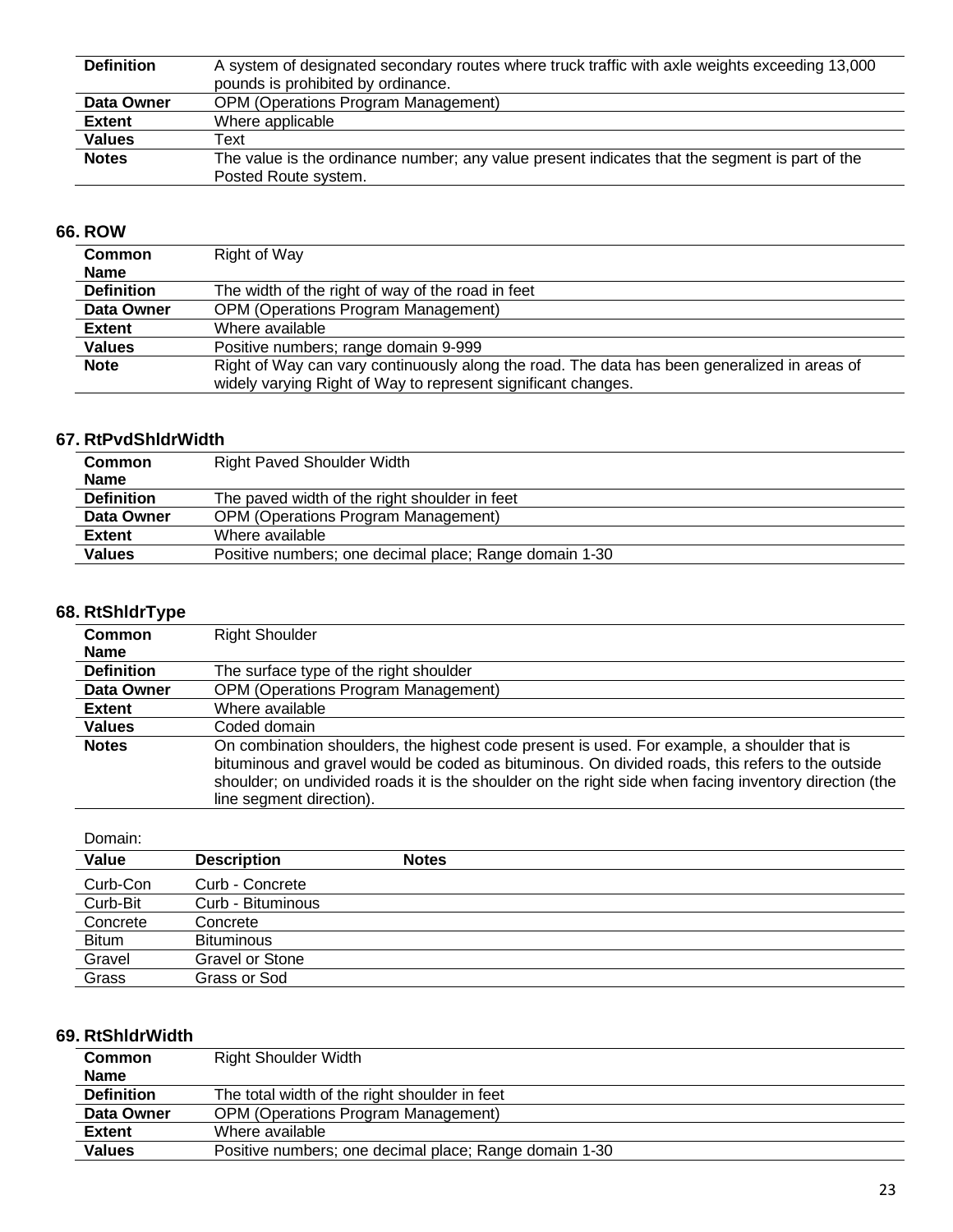| <b>Definition</b> | A system of designated secondary routes where truck traffic with axle weights exceeding 13,000 |  |
|-------------------|------------------------------------------------------------------------------------------------|--|
|                   | pounds is prohibited by ordinance.                                                             |  |
| Data Owner        | <b>OPM (Operations Program Management)</b>                                                     |  |
| <b>Extent</b>     | Where applicable                                                                               |  |
| <b>Values</b>     | Text                                                                                           |  |
| <b>Notes</b>      | The value is the ordinance number; any value present indicates that the segment is part of the |  |
|                   | Posted Route system.                                                                           |  |

#### **66. ROW**

| <b>Common</b>     | Right of Way                                                                                 |
|-------------------|----------------------------------------------------------------------------------------------|
| <b>Name</b>       |                                                                                              |
| <b>Definition</b> | The width of the right of way of the road in feet                                            |
| Data Owner        | <b>OPM (Operations Program Management)</b>                                                   |
| Extent            | Where available                                                                              |
| <b>Values</b>     | Positive numbers; range domain 9-999                                                         |
| <b>Note</b>       | Right of Way can vary continuously along the road. The data has been generalized in areas of |
|                   | widely varying Right of Way to represent significant changes.                                |

## **67. RtPvdShldrWidth**

| <b>Common</b>     | <b>Right Paved Shoulder Width</b>                      |
|-------------------|--------------------------------------------------------|
| <b>Name</b>       |                                                        |
| <b>Definition</b> | The paved width of the right shoulder in feet          |
| Data Owner        | <b>OPM (Operations Program Management)</b>             |
| <b>Extent</b>     | Where available                                        |
| <b>Values</b>     | Positive numbers; one decimal place; Range domain 1-30 |

#### **68. RtShldrType**

| <b>Right Shoulder</b>                                                                                                                                                                                                                                                                                                                 |
|---------------------------------------------------------------------------------------------------------------------------------------------------------------------------------------------------------------------------------------------------------------------------------------------------------------------------------------|
|                                                                                                                                                                                                                                                                                                                                       |
| The surface type of the right shoulder                                                                                                                                                                                                                                                                                                |
| <b>OPM (Operations Program Management)</b>                                                                                                                                                                                                                                                                                            |
| Where available                                                                                                                                                                                                                                                                                                                       |
| Coded domain                                                                                                                                                                                                                                                                                                                          |
| On combination shoulders, the highest code present is used. For example, a shoulder that is<br>bituminous and gravel would be coded as bituminous. On divided roads, this refers to the outside<br>shoulder; on undivided roads it is the shoulder on the right side when facing inventory direction (the<br>line segment direction). |
|                                                                                                                                                                                                                                                                                                                                       |

#### Domain:

| Value        | <b>Description</b> | <b>Notes</b> |
|--------------|--------------------|--------------|
| Curb-Con     | Curb - Concrete    |              |
| Curb-Bit     | Curb - Bituminous  |              |
| Concrete     | Concrete           |              |
| <b>Bitum</b> | <b>Bituminous</b>  |              |
| Gravel       | Gravel or Stone    |              |
| Grass        | Grass or Sod       |              |

### **69. RtShldrWidth**

| <b>Common</b>     | <b>Right Shoulder Width</b>                            |
|-------------------|--------------------------------------------------------|
| <b>Name</b>       |                                                        |
| <b>Definition</b> | The total width of the right shoulder in feet          |
| Data Owner        | <b>OPM (Operations Program Management)</b>             |
| <b>Extent</b>     | Where available                                        |
| <b>Values</b>     | Positive numbers; one decimal place; Range domain 1-30 |
|                   |                                                        |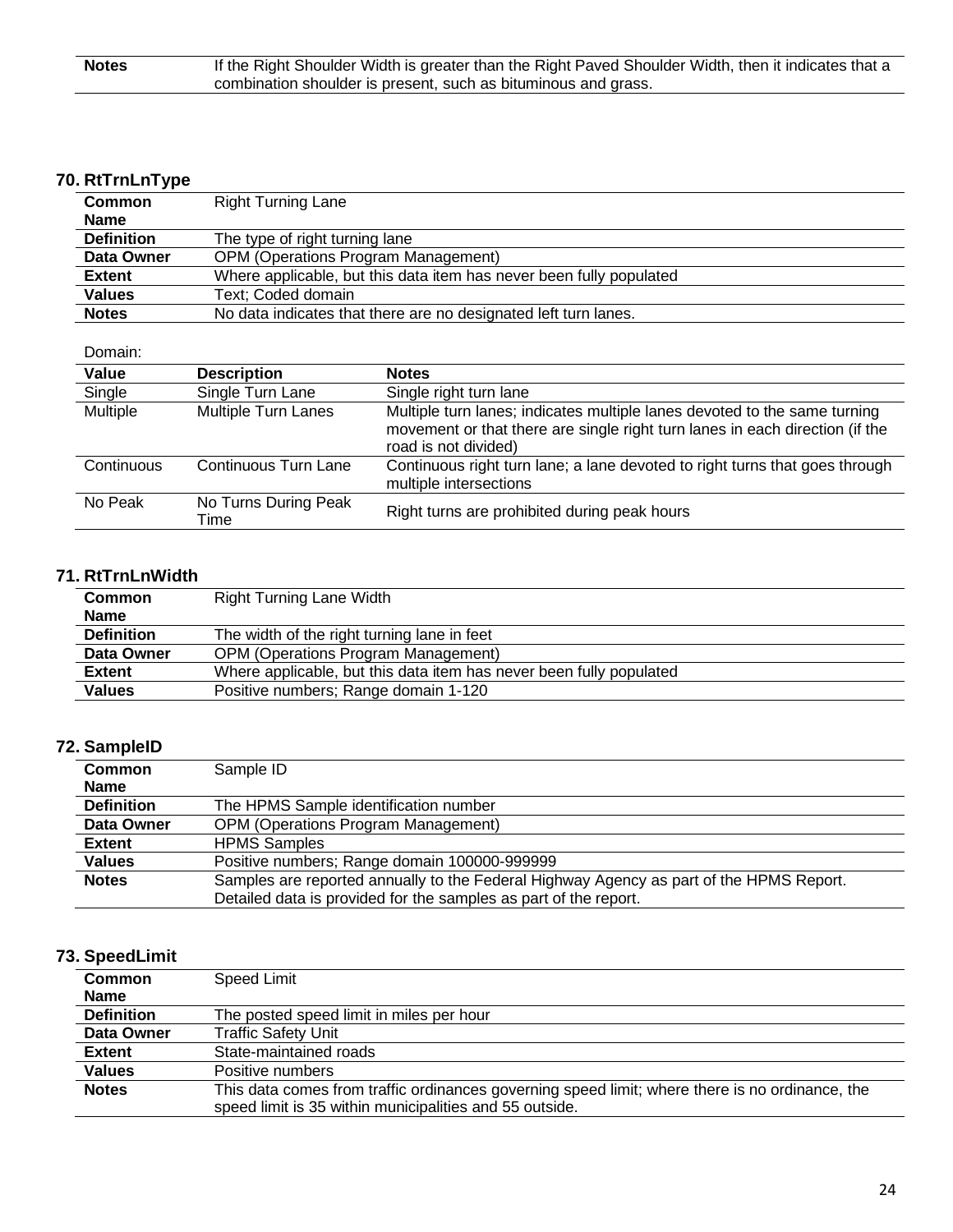| <b>Notes</b> | If the Right Shoulder Width is greater than the Right Paved Shoulder Width, then it indicates that a |
|--------------|------------------------------------------------------------------------------------------------------|
|              | combination shoulder is present, such as bituminous and grass.                                       |
|              |                                                                                                      |

## **70. RtTrnLnType**

| <b>Common</b>     | <b>Right Turning Lane</b>                                           |  |
|-------------------|---------------------------------------------------------------------|--|
| <b>Name</b>       |                                                                     |  |
| <b>Definition</b> | The type of right turning lane                                      |  |
| Data Owner        | <b>OPM (Operations Program Management)</b>                          |  |
| <b>Extent</b>     | Where applicable, but this data item has never been fully populated |  |
| <b>Values</b>     | Text: Coded domain                                                  |  |
| <b>Notes</b>      | No data indicates that there are no designated left turn lanes.     |  |

Domain:

| Value           | <b>Description</b>           | <b>Notes</b>                                                                                                                                                                      |
|-----------------|------------------------------|-----------------------------------------------------------------------------------------------------------------------------------------------------------------------------------|
| Single          | Single Turn Lane             | Single right turn lane                                                                                                                                                            |
| <b>Multiple</b> | <b>Multiple Turn Lanes</b>   | Multiple turn lanes; indicates multiple lanes devoted to the same turning<br>movement or that there are single right turn lanes in each direction (if the<br>road is not divided) |
| Continuous      | Continuous Turn Lane         | Continuous right turn lane; a lane devoted to right turns that goes through<br>multiple intersections                                                                             |
| No Peak         | No Turns During Peak<br>Time | Right turns are prohibited during peak hours                                                                                                                                      |

## **71. RtTrnLnWidth**

| <b>Common</b>     | <b>Right Turning Lane Width</b>                                     |  |
|-------------------|---------------------------------------------------------------------|--|
| <b>Name</b>       |                                                                     |  |
| <b>Definition</b> | The width of the right turning lane in feet                         |  |
| Data Owner        | <b>OPM (Operations Program Management)</b>                          |  |
| <b>Extent</b>     | Where applicable, but this data item has never been fully populated |  |
| <b>Values</b>     | Positive numbers; Range domain 1-120                                |  |

#### **72. SampleID**

| <b>Common</b>     | Sample ID                                                                               |  |
|-------------------|-----------------------------------------------------------------------------------------|--|
| <b>Name</b>       |                                                                                         |  |
| <b>Definition</b> | The HPMS Sample identification number                                                   |  |
| Data Owner        | <b>OPM (Operations Program Management)</b>                                              |  |
| <b>Extent</b>     | <b>HPMS Samples</b>                                                                     |  |
| <b>Values</b>     | Positive numbers; Range domain 100000-999999                                            |  |
| <b>Notes</b>      | Samples are reported annually to the Federal Highway Agency as part of the HPMS Report. |  |
|                   | Detailed data is provided for the samples as part of the report.                        |  |

### **73. SpeedLimit**

| <b>Common</b>     | Speed Limit                                                                                     |  |
|-------------------|-------------------------------------------------------------------------------------------------|--|
| <b>Name</b>       |                                                                                                 |  |
| <b>Definition</b> | The posted speed limit in miles per hour                                                        |  |
| Data Owner        | <b>Traffic Safety Unit</b>                                                                      |  |
| <b>Extent</b>     | State-maintained roads                                                                          |  |
| <b>Values</b>     | Positive numbers                                                                                |  |
| <b>Notes</b>      | This data comes from traffic ordinances governing speed limit; where there is no ordinance, the |  |
|                   | speed limit is 35 within municipalities and 55 outside.                                         |  |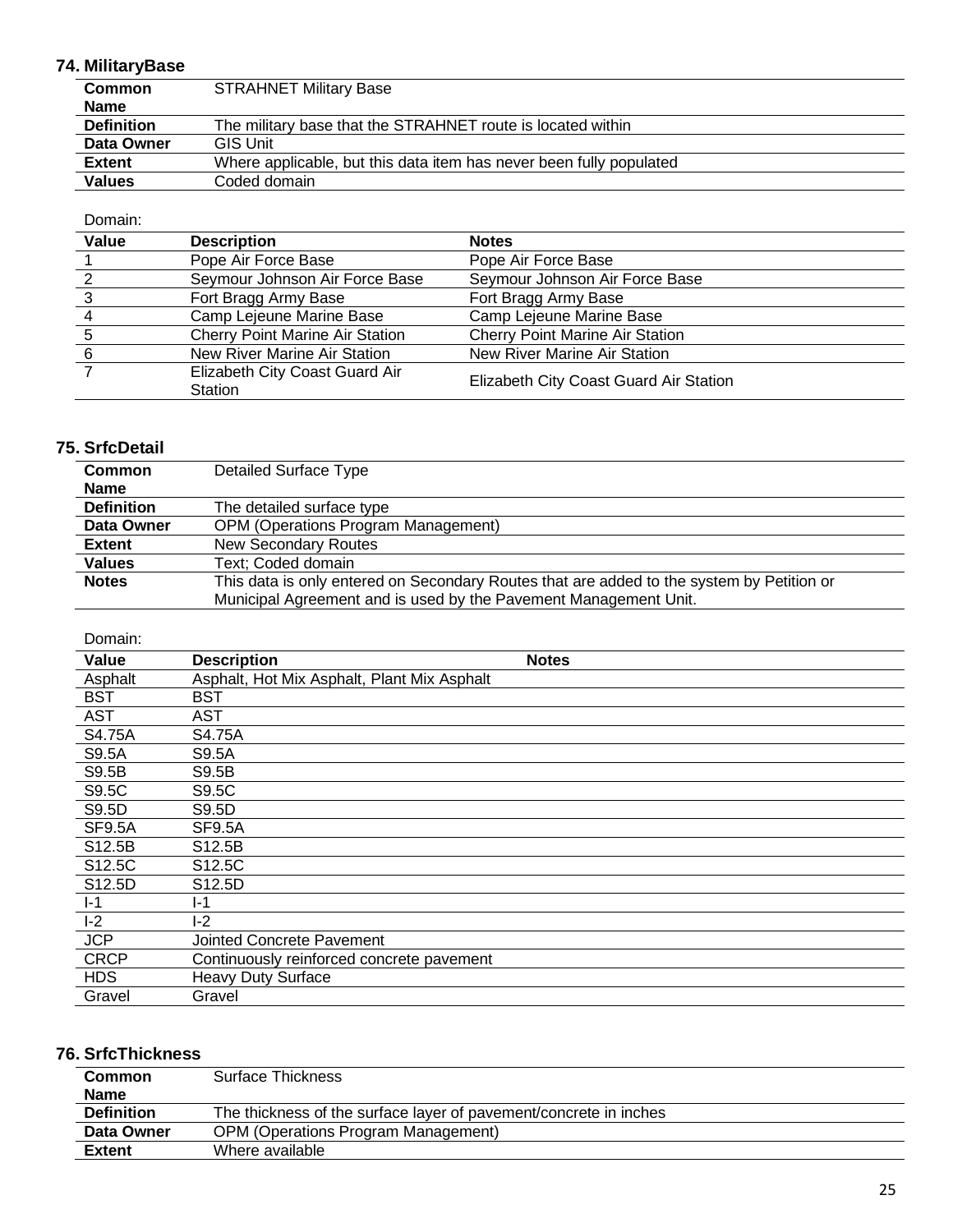## **74. MilitaryBase**

| <b>Common</b>     | <b>STRAHNET Military Base</b>                                       |  |
|-------------------|---------------------------------------------------------------------|--|
| <b>Name</b>       |                                                                     |  |
| <b>Definition</b> | The military base that the STRAHNET route is located within         |  |
| Data Owner        | <b>GIS Unit</b>                                                     |  |
| <b>Extent</b>     | Where applicable, but this data item has never been fully populated |  |
| <b>Values</b>     | Coded domain                                                        |  |

#### Domain:

| Value | <b>Description</b>                        | <b>Notes</b>                           |
|-------|-------------------------------------------|----------------------------------------|
|       | Pope Air Force Base                       | Pope Air Force Base                    |
|       | Seymour Johnson Air Force Base            | Seymour Johnson Air Force Base         |
|       | Fort Bragg Army Base                      | Fort Bragg Army Base                   |
|       | Camp Lejeune Marine Base                  | Camp Lejeune Marine Base               |
|       | <b>Cherry Point Marine Air Station</b>    | <b>Cherry Point Marine Air Station</b> |
| 6     | New River Marine Air Station              | New River Marine Air Station           |
|       | Elizabeth City Coast Guard Air<br>Station | Elizabeth City Coast Guard Air Station |

### **75. SrfcDetail**

| <b>Common</b>                                                                                             | <b>Detailed Surface Type</b>                                     |  |
|-----------------------------------------------------------------------------------------------------------|------------------------------------------------------------------|--|
| <b>Name</b>                                                                                               |                                                                  |  |
| <b>Definition</b>                                                                                         | The detailed surface type                                        |  |
| Data Owner                                                                                                | <b>OPM (Operations Program Management)</b>                       |  |
| <b>Extent</b>                                                                                             | <b>New Secondary Routes</b>                                      |  |
| <b>Values</b>                                                                                             | Text: Coded domain                                               |  |
| <b>Notes</b><br>This data is only entered on Secondary Routes that are added to the system by Petition or |                                                                  |  |
|                                                                                                           | Municipal Agreement and is used by the Pavement Management Unit. |  |

#### Domain:

| Value         | <b>Description</b>                          | <b>Notes</b> |
|---------------|---------------------------------------------|--------------|
| Asphalt       | Asphalt, Hot Mix Asphalt, Plant Mix Asphalt |              |
| <b>BST</b>    | <b>BST</b>                                  |              |
| <b>AST</b>    | <b>AST</b>                                  |              |
| S4.75A        | S4.75A                                      |              |
| S9.5A         | S9.5A                                       |              |
| S9.5B         | S9.5B                                       |              |
| S9.5C         | S9.5C                                       |              |
| S9.5D         | S9.5D                                       |              |
| <b>SF9.5A</b> | SF9.5A                                      |              |
| S12.5B        | S <sub>12.5</sub> B                         |              |
| S12.5C        | S12.5C                                      |              |
| S12.5D        | S12.5D                                      |              |
| $I-1$         | l-1                                         |              |
| $I-2$         | I-2                                         |              |
| <b>JCP</b>    | Jointed Concrete Pavement                   |              |
| <b>CRCP</b>   | Continuously reinforced concrete pavement   |              |
| <b>HDS</b>    | <b>Heavy Duty Surface</b>                   |              |
| Gravel        | Gravel                                      |              |

## **76. SrfcThickness**

| <b>Common</b><br><b>Name</b> | Surface Thickness                                                 |
|------------------------------|-------------------------------------------------------------------|
| <b>Definition</b>            | The thickness of the surface layer of pavement/concrete in inches |
| Data Owner                   | <b>OPM (Operations Program Management)</b>                        |
| Extent                       | Where available                                                   |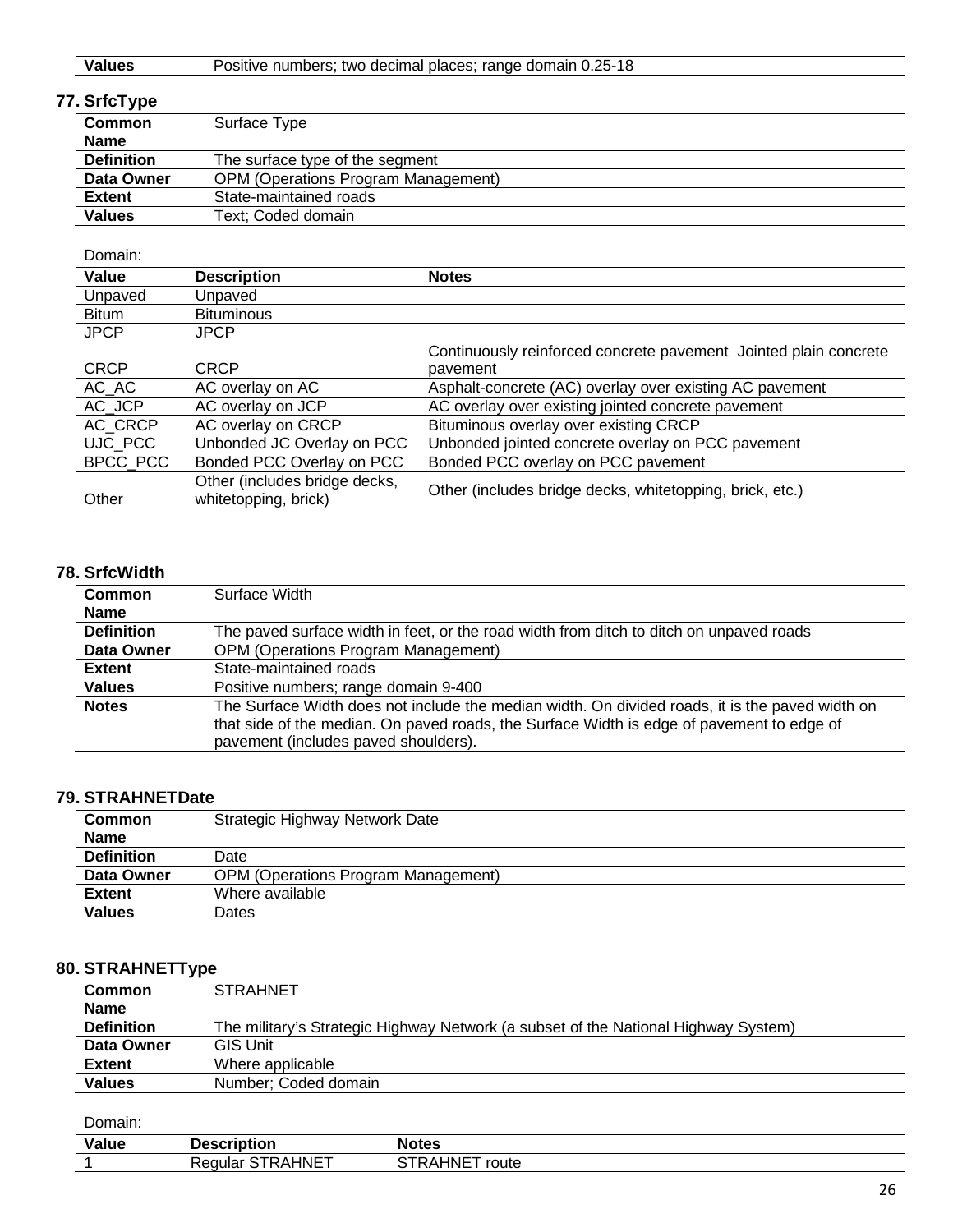| <b>Values</b>     | Positive numbers; two decimal places; range domain 0.25-18 |  |
|-------------------|------------------------------------------------------------|--|
| 77. SrfcType      |                                                            |  |
| Common            | Surface Type                                               |  |
| <b>Name</b>       |                                                            |  |
| <b>Definition</b> | The surface type of the segment                            |  |
| Data Owner        | <b>OPM (Operations Program Management)</b>                 |  |
| <b>Extent</b>     | State-maintained roads                                     |  |
| <b>Values</b>     | Text; Coded domain                                         |  |

#### Domain:

| Value        | <b>Description</b>                                    | <b>Notes</b>                                                     |
|--------------|-------------------------------------------------------|------------------------------------------------------------------|
| Unpaved      | Unpaved                                               |                                                                  |
| <b>Bitum</b> | <b>Bituminous</b>                                     |                                                                  |
| <b>JPCP</b>  | <b>JPCP</b>                                           |                                                                  |
|              |                                                       | Continuously reinforced concrete pavement Jointed plain concrete |
| <b>CRCP</b>  | <b>CRCP</b>                                           | pavement                                                         |
| AC_AC        | AC overlay on AC                                      | Asphalt-concrete (AC) overlay over existing AC pavement          |
| AC JCP       | AC overlay on JCP                                     | AC overlay over existing jointed concrete pavement               |
| AC CRCP      | AC overlay on CRCP                                    | Bituminous overlay over existing CRCP                            |
| UJC PCC      | Unbonded JC Overlay on PCC                            | Unbonded jointed concrete overlay on PCC pavement                |
| BPCC PCC     | Bonded PCC Overlay on PCC                             | Bonded PCC overlay on PCC pavement                               |
| Other        | Other (includes bridge decks,<br>whitetopping, brick) | Other (includes bridge decks, whitetopping, brick, etc.)         |

#### **78. SrfcWidth**

| Common            | Surface Width                                                                                                                                                                                                                        |  |
|-------------------|--------------------------------------------------------------------------------------------------------------------------------------------------------------------------------------------------------------------------------------|--|
| <b>Name</b>       |                                                                                                                                                                                                                                      |  |
| <b>Definition</b> | The paved surface width in feet, or the road width from ditch to ditch on unpaved roads                                                                                                                                              |  |
| Data Owner        | <b>OPM (Operations Program Management)</b>                                                                                                                                                                                           |  |
| <b>Extent</b>     | State-maintained roads                                                                                                                                                                                                               |  |
| <b>Values</b>     | Positive numbers; range domain 9-400                                                                                                                                                                                                 |  |
| <b>Notes</b>      | The Surface Width does not include the median width. On divided roads, it is the paved width on<br>that side of the median. On paved roads, the Surface Width is edge of pavement to edge of<br>pavement (includes paved shoulders). |  |

### **79. STRAHNETDate**

| <b>Common</b>     | Strategic Highway Network Date             |  |
|-------------------|--------------------------------------------|--|
| <b>Name</b>       |                                            |  |
| <b>Definition</b> | Date                                       |  |
| Data Owner        | <b>OPM (Operations Program Management)</b> |  |
| <b>Extent</b>     | Where available                            |  |
| <b>Values</b>     | Dates                                      |  |

### **80. STRAHNETType**

| <b>Common</b><br><b>Name</b> | <b>STRAHNET</b>                                                                    |
|------------------------------|------------------------------------------------------------------------------------|
| <b>Definition</b>            | The military's Strategic Highway Network (a subset of the National Highway System) |
| Data Owner                   | <b>GIS Unit</b>                                                                    |
| <b>Extent</b>                | Where applicable                                                                   |
| <b>Values</b>                | Number: Coded domain                                                               |

| $\sim$ $\sim$<br>Vali | .<br>$\blacksquare$<br>- 2000   | <b>Notes</b>                   |
|-----------------------|---------------------------------|--------------------------------|
|                       | <b>INF</b><br>Real<br>ulal<br>. | route<br>⊣N⊩<br>$\mathbf{A}$ r |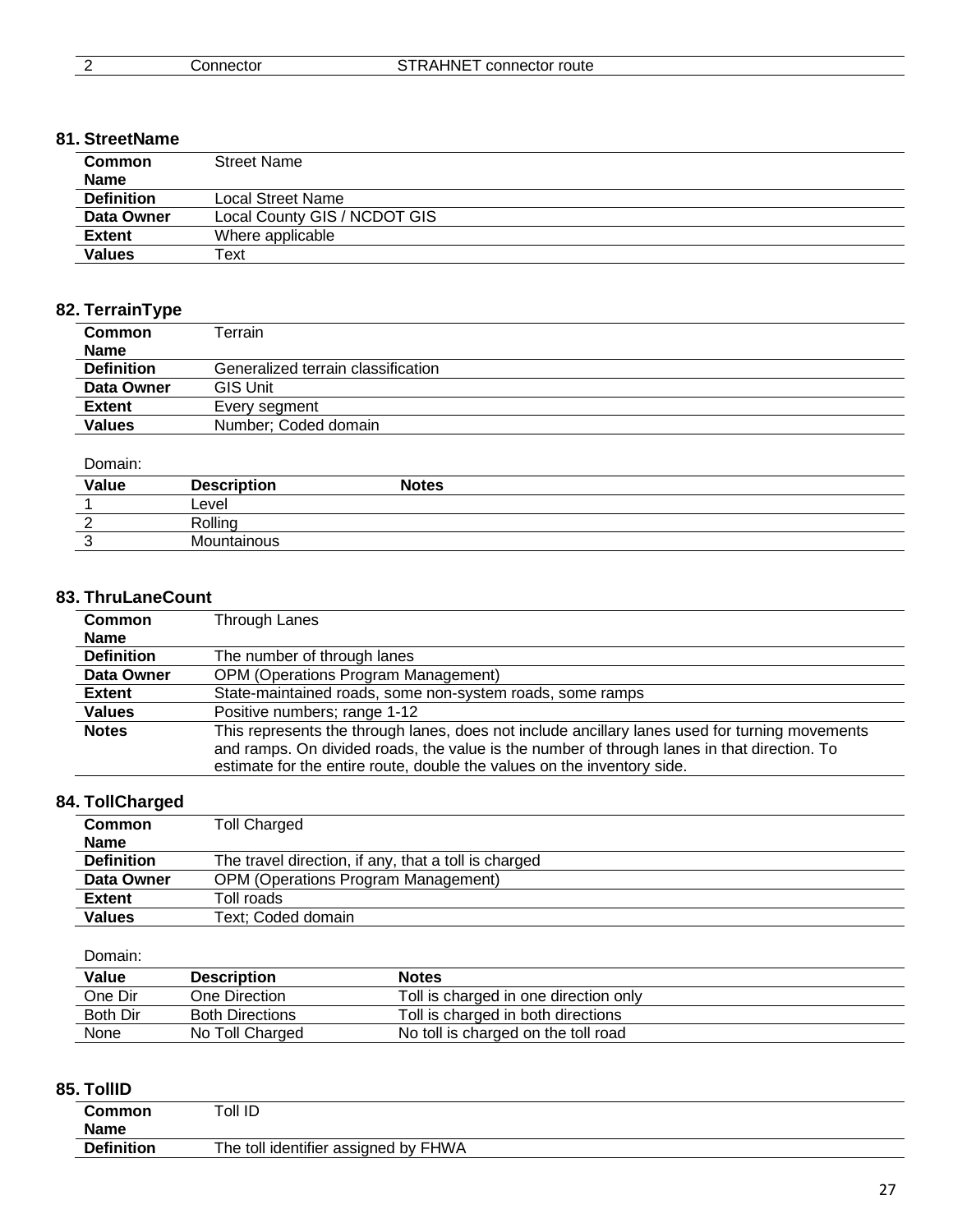#### **81. StreetName**

| <b>Common</b><br><b>Name</b> | <b>Street Name</b>           |  |
|------------------------------|------------------------------|--|
| <b>Definition</b>            | Local Street Name            |  |
| Data Owner                   | Local County GIS / NCDOT GIS |  |
| <b>Extent</b>                | Where applicable             |  |
| <b>Values</b>                | Text                         |  |

## **82. TerrainType**

| Terrain                            |  |
|------------------------------------|--|
|                                    |  |
| Generalized terrain classification |  |
| <b>GIS Unit</b>                    |  |
| Every segment                      |  |
| Number: Coded domain               |  |
|                                    |  |

#### Domain:

| ------- |                    |              |  |
|---------|--------------------|--------------|--|
| Value   | <b>Description</b> | <b>Notes</b> |  |
|         | Level              |              |  |
|         | Rolling            |              |  |
|         | Mountainous        |              |  |

### **83. ThruLaneCount**

| <b>Common</b>     | Through Lanes                                                                                                                                                                                                                                                            |  |
|-------------------|--------------------------------------------------------------------------------------------------------------------------------------------------------------------------------------------------------------------------------------------------------------------------|--|
| <b>Name</b>       |                                                                                                                                                                                                                                                                          |  |
| <b>Definition</b> | The number of through lanes                                                                                                                                                                                                                                              |  |
| Data Owner        | <b>OPM (Operations Program Management)</b>                                                                                                                                                                                                                               |  |
| <b>Extent</b>     | State-maintained roads, some non-system roads, some ramps                                                                                                                                                                                                                |  |
| <b>Values</b>     | Positive numbers; range 1-12                                                                                                                                                                                                                                             |  |
| <b>Notes</b>      | This represents the through lanes, does not include ancillary lanes used for turning movements<br>and ramps. On divided roads, the value is the number of through lanes in that direction. To<br>estimate for the entire route, double the values on the inventory side. |  |

## **84. TollCharged**

| <b>Common</b>     | <b>Toll Charged</b>                                  |  |
|-------------------|------------------------------------------------------|--|
| <b>Name</b>       |                                                      |  |
| <b>Definition</b> | The travel direction, if any, that a toll is charged |  |
| Data Owner        | <b>OPM (Operations Program Management)</b>           |  |
| <b>Extent</b>     | Toll roads                                           |  |
| <b>Values</b>     | Text: Coded domain                                   |  |

#### Domain:

| Value    | <b>Description</b>     | <b>Notes</b>                          |  |
|----------|------------------------|---------------------------------------|--|
| One Dir  | One Direction          | Toll is charged in one direction only |  |
| Both Dir | <b>Both Directions</b> | Toll is charged in both directions    |  |
| None     | No Toll Charged        | No toll is charged on the toll road   |  |

### **85. TollID**

| Common            | Toll ID                              |  |
|-------------------|--------------------------------------|--|
| <b>Name</b>       |                                      |  |
| <b>Definition</b> | The toll identifier assigned by FHWA |  |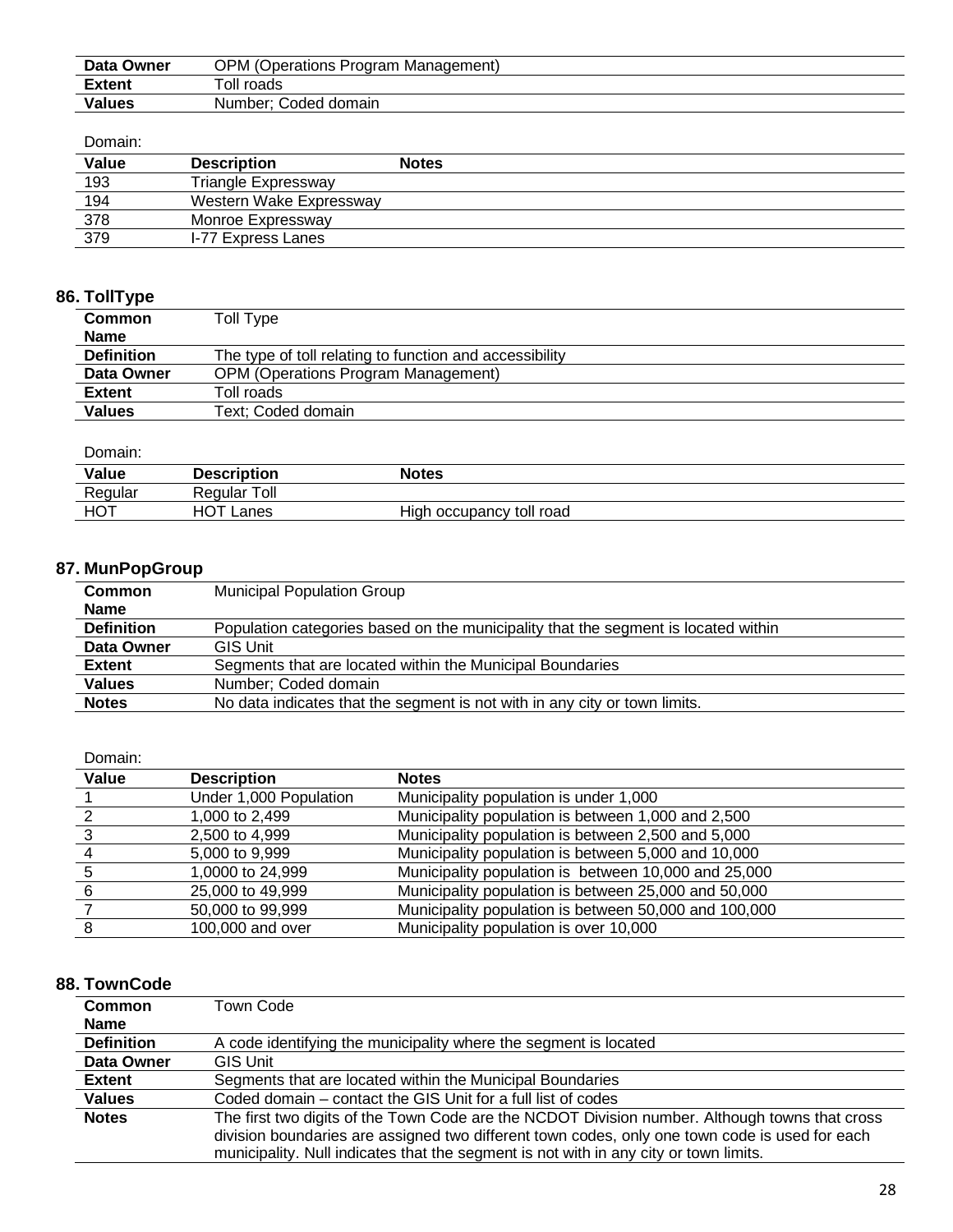| Data Owner    | <b>OPM (Operations Program Management)</b> |
|---------------|--------------------------------------------|
| <b>Extent</b> | $\tau$ oll roads                           |
| <b>Values</b> | Number; Coded domain                       |

#### Domain:

| Value | <b>Description</b>      | <b>Notes</b> |
|-------|-------------------------|--------------|
| 193   | Triangle Expressway     |              |
| 194   | Western Wake Expressway |              |
| 378   | Monroe Expressway       |              |
| 379   | I-77 Express Lanes      |              |

## **86. TollType**

| <b>Common</b>     | Toll Type                                               |
|-------------------|---------------------------------------------------------|
| <b>Name</b>       |                                                         |
| <b>Definition</b> | The type of toll relating to function and accessibility |
| Data Owner        | <b>OPM (Operations Program Management)</b>              |
| <b>Extent</b>     | Toll roads                                              |
| <b>Values</b>     | Text; Coded domain                                      |

Domain:

| Value   | <b>Description</b> | Notes                       |  |
|---------|--------------------|-----------------------------|--|
| Regular | Regular Toll       |                             |  |
| HOT     | HOT.<br>Lanes      | High<br>occupancy toll road |  |

## **87. MunPopGroup**

| <b>Common</b>     | <b>Municipal Population Group</b>                                                  |  |
|-------------------|------------------------------------------------------------------------------------|--|
| <b>Name</b>       |                                                                                    |  |
| <b>Definition</b> | Population categories based on the municipality that the segment is located within |  |
| Data Owner        | <b>GIS Unit</b>                                                                    |  |
| <b>Extent</b>     | Segments that are located within the Municipal Boundaries                          |  |
| <b>Values</b>     | Number; Coded domain                                                               |  |
| <b>Notes</b>      | No data indicates that the segment is not with in any city or town limits.         |  |

Domain:

| Value | <b>Description</b>     | <b>Notes</b>                                          |
|-------|------------------------|-------------------------------------------------------|
|       | Under 1,000 Population | Municipality population is under 1,000                |
|       | 1,000 to 2,499         | Municipality population is between 1,000 and 2,500    |
|       | 2,500 to 4,999         | Municipality population is between 2,500 and 5,000    |
|       | 5,000 to 9,999         | Municipality population is between 5,000 and 10,000   |
|       | 1,0000 to 24,999       | Municipality population is between 10,000 and 25,000  |
|       | 25,000 to 49,999       | Municipality population is between 25,000 and 50,000  |
|       | 50,000 to 99,999       | Municipality population is between 50,000 and 100,000 |
|       | 100,000 and over       | Municipality population is over 10,000                |

#### **88. TownCode**

| <b>Common</b><br><b>Name</b> | Town Code                                                                                                                                                                                                                                                                                 |
|------------------------------|-------------------------------------------------------------------------------------------------------------------------------------------------------------------------------------------------------------------------------------------------------------------------------------------|
| <b>Definition</b>            | A code identifying the municipality where the segment is located                                                                                                                                                                                                                          |
| Data Owner                   | <b>GIS Unit</b>                                                                                                                                                                                                                                                                           |
| <b>Extent</b>                | Segments that are located within the Municipal Boundaries                                                                                                                                                                                                                                 |
| <b>Values</b>                | Coded domain – contact the GIS Unit for a full list of codes                                                                                                                                                                                                                              |
| <b>Notes</b>                 | The first two digits of the Town Code are the NCDOT Division number. Although towns that cross<br>division boundaries are assigned two different town codes, only one town code is used for each<br>municipality. Null indicates that the segment is not with in any city or town limits. |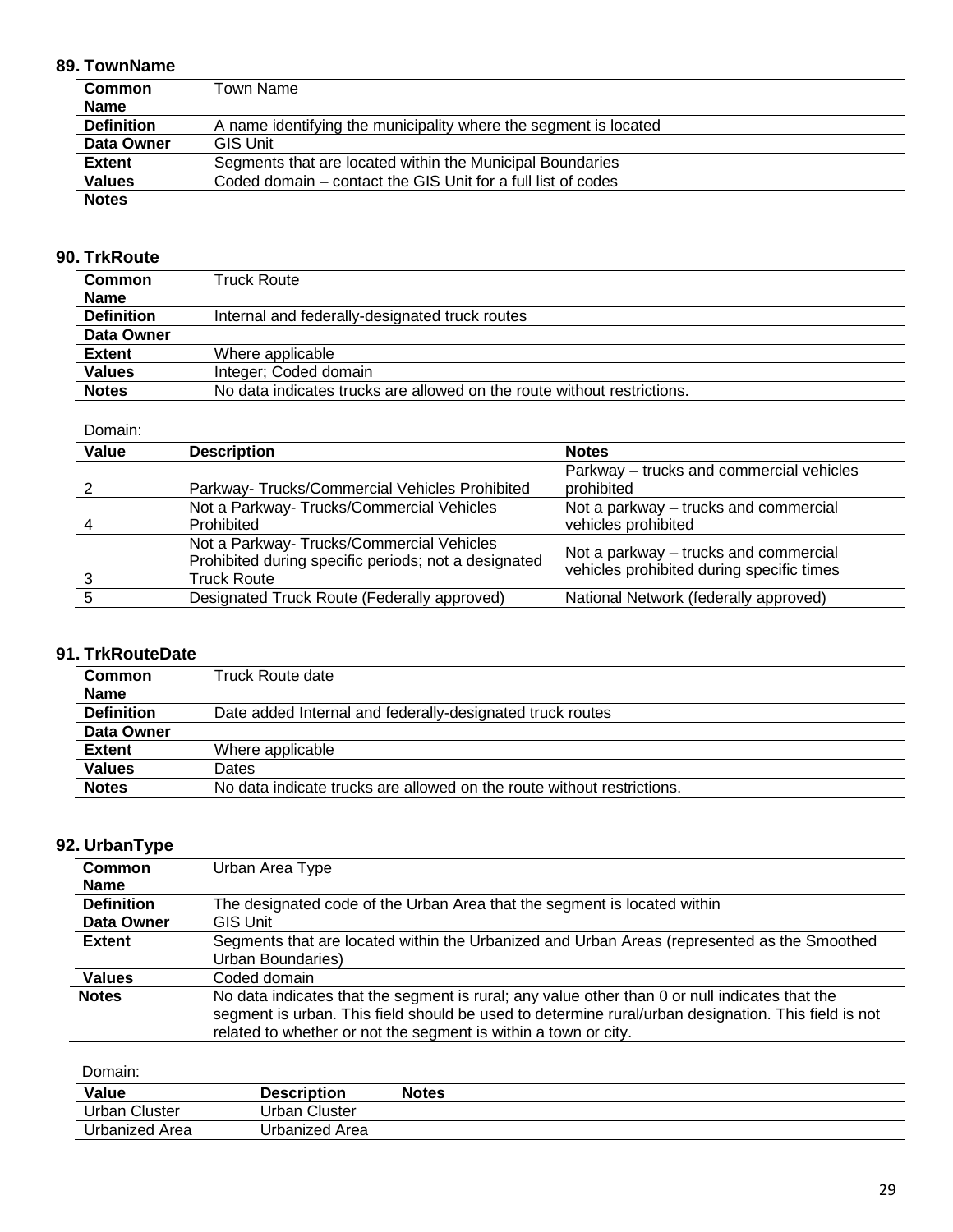## **89. TownName**

| <b>Common</b>     | Town Name                                                        |
|-------------------|------------------------------------------------------------------|
| <b>Name</b>       |                                                                  |
| <b>Definition</b> | A name identifying the municipality where the segment is located |
| Data Owner        | <b>GIS Unit</b>                                                  |
| <b>Extent</b>     | Segments that are located within the Municipal Boundaries        |
| <b>Values</b>     | Coded domain – contact the GIS Unit for a full list of codes     |
| <b>Notes</b>      |                                                                  |

## **90. TrkRoute**

| <b>Common</b>     | Truck Route                                                             |  |
|-------------------|-------------------------------------------------------------------------|--|
| <b>Name</b>       |                                                                         |  |
| <b>Definition</b> | Internal and federally-designated truck routes                          |  |
| Data Owner        |                                                                         |  |
| <b>Extent</b>     | Where applicable                                                        |  |
| <b>Values</b>     | Integer; Coded domain                                                   |  |
| <b>Notes</b>      | No data indicates trucks are allowed on the route without restrictions. |  |

#### Domain:

| Value | <b>Description</b>                                                                                                      | <b>Notes</b>                                                                       |
|-------|-------------------------------------------------------------------------------------------------------------------------|------------------------------------------------------------------------------------|
|       |                                                                                                                         | Parkway – trucks and commercial vehicles<br>prohibited                             |
|       | Parkway-Trucks/Commercial Vehicles Prohibited                                                                           |                                                                                    |
|       | Not a Parkway- Trucks/Commercial Vehicles                                                                               | Not a parkway – trucks and commercial                                              |
|       | Prohibited                                                                                                              | vehicles prohibited                                                                |
|       | Not a Parkway- Trucks/Commercial Vehicles<br>Prohibited during specific periods; not a designated<br><b>Truck Route</b> | Not a parkway – trucks and commercial<br>vehicles prohibited during specific times |
|       | Designated Truck Route (Federally approved)                                                                             | National Network (federally approved)                                              |

### **91. TrkRouteDate**

| Common            | Truck Route date                                                       |  |
|-------------------|------------------------------------------------------------------------|--|
| <b>Name</b>       |                                                                        |  |
| <b>Definition</b> | Date added Internal and federally-designated truck routes              |  |
| Data Owner        |                                                                        |  |
| <b>Extent</b>     | Where applicable                                                       |  |
| <b>Values</b>     | Dates                                                                  |  |
| <b>Notes</b>      | No data indicate trucks are allowed on the route without restrictions. |  |

### **92. UrbanType**

| <b>Common</b>     | Urban Area Type                                                                                     |  |
|-------------------|-----------------------------------------------------------------------------------------------------|--|
| <b>Name</b>       |                                                                                                     |  |
| <b>Definition</b> | The designated code of the Urban Area that the segment is located within                            |  |
| <b>Data Owner</b> | <b>GIS Unit</b>                                                                                     |  |
| <b>Extent</b>     | Segments that are located within the Urbanized and Urban Areas (represented as the Smoothed         |  |
|                   | Urban Boundaries)                                                                                   |  |
| <b>Values</b>     | Coded domain                                                                                        |  |
| <b>Notes</b>      | No data indicates that the segment is rural; any value other than 0 or null indicates that the      |  |
|                   | segment is urban. This field should be used to determine rural/urban designation. This field is not |  |
|                   | related to whether or not the segment is within a town or city.                                     |  |

| Value            | <b>Description</b> | <b>Notes</b> |
|------------------|--------------------|--------------|
| Jrban<br>Cluster | Urban Cluster      |              |
| Urbanized Area   | Urbanized Area     |              |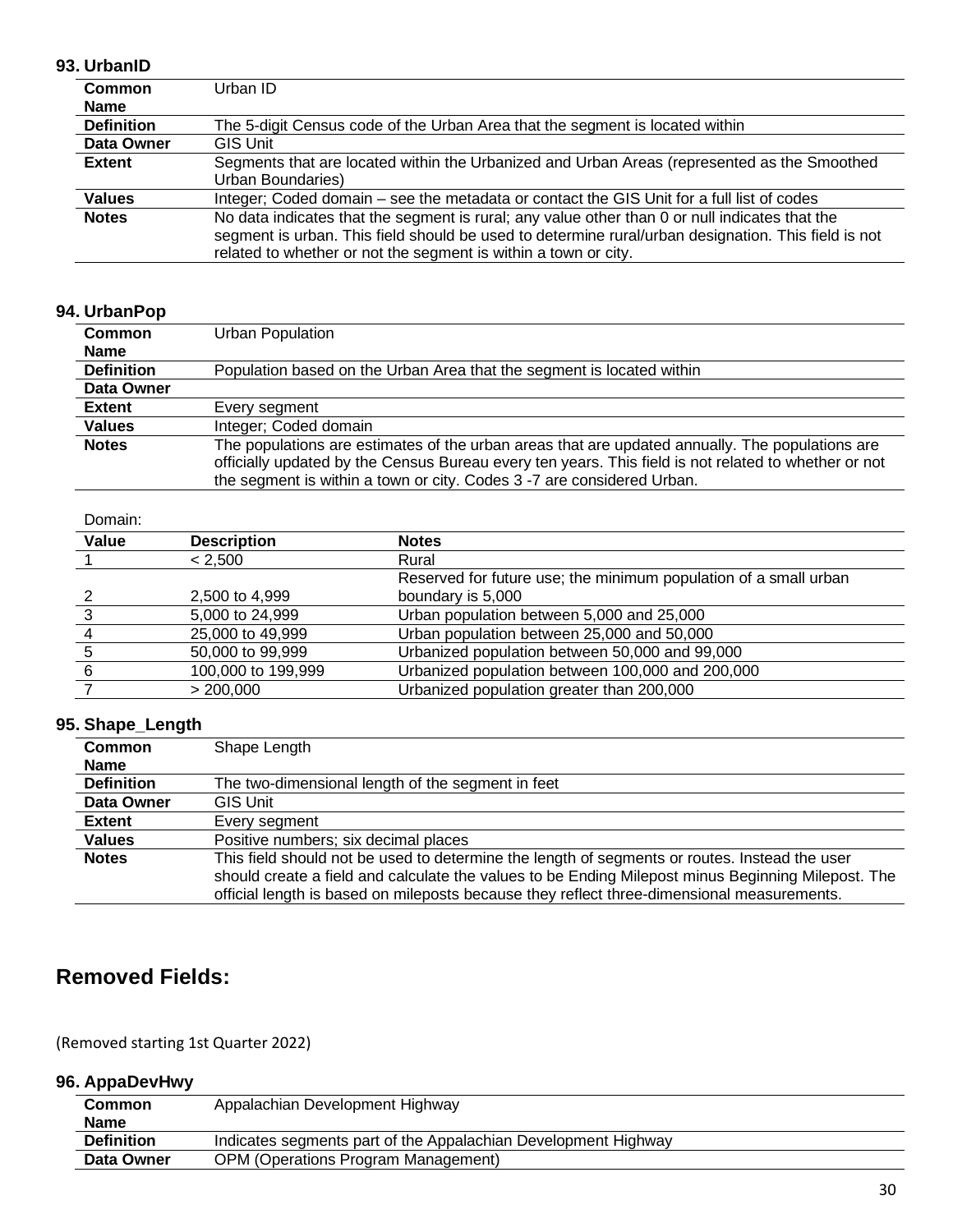#### **93. UrbanID**

| Common            | Urban ID                                                                                            |  |
|-------------------|-----------------------------------------------------------------------------------------------------|--|
| <b>Name</b>       |                                                                                                     |  |
| <b>Definition</b> | The 5-digit Census code of the Urban Area that the segment is located within                        |  |
| Data Owner        | <b>GIS Unit</b>                                                                                     |  |
| <b>Extent</b>     | Segments that are located within the Urbanized and Urban Areas (represented as the Smoothed         |  |
|                   | Urban Boundaries)                                                                                   |  |
| <b>Values</b>     | Integer; Coded domain – see the metadata or contact the GIS Unit for a full list of codes           |  |
| <b>Notes</b>      | No data indicates that the segment is rural; any value other than 0 or null indicates that the      |  |
|                   | segment is urban. This field should be used to determine rural/urban designation. This field is not |  |
|                   | related to whether or not the segment is within a town or city.                                     |  |

## **94. UrbanPop**

| <b>Common</b>     | Urban Population                                                                                                                                                                                                                                                                  |  |
|-------------------|-----------------------------------------------------------------------------------------------------------------------------------------------------------------------------------------------------------------------------------------------------------------------------------|--|
| <b>Name</b>       |                                                                                                                                                                                                                                                                                   |  |
| <b>Definition</b> | Population based on the Urban Area that the segment is located within                                                                                                                                                                                                             |  |
| Data Owner        |                                                                                                                                                                                                                                                                                   |  |
| <b>Extent</b>     | Every segment                                                                                                                                                                                                                                                                     |  |
| <b>Values</b>     | Integer; Coded domain                                                                                                                                                                                                                                                             |  |
| <b>Notes</b>      | The populations are estimates of the urban areas that are updated annually. The populations are<br>officially updated by the Census Bureau every ten years. This field is not related to whether or not<br>the segment is within a town or city. Codes 3 -7 are considered Urban. |  |

Domain:

| -------      |                    |                                                                  |
|--------------|--------------------|------------------------------------------------------------------|
| <b>Value</b> | <b>Description</b> | <b>Notes</b>                                                     |
|              | < 2.500            | Rural                                                            |
|              |                    | Reserved for future use; the minimum population of a small urban |
|              | 2.500 to 4.999     | boundary is 5,000                                                |
|              | 5,000 to 24,999    | Urban population between 5,000 and 25,000                        |
|              | 25,000 to 49,999   | Urban population between 25,000 and 50,000                       |
|              | 50,000 to 99,999   | Urbanized population between 50,000 and 99,000                   |
|              | 100,000 to 199,999 | Urbanized population between 100,000 and 200,000                 |
|              | > 200,000          | Urbanized population greater than 200,000                        |
|              |                    |                                                                  |

#### **95. Shape\_Length**

| <b>Common</b>     | Shape Length                                                                                       |
|-------------------|----------------------------------------------------------------------------------------------------|
| <b>Name</b>       |                                                                                                    |
| <b>Definition</b> | The two-dimensional length of the segment in feet                                                  |
| Data Owner        | GIS Unit                                                                                           |
| <b>Extent</b>     | Every seament                                                                                      |
| <b>Values</b>     | Positive numbers; six decimal places                                                               |
| <b>Notes</b>      | This field should not be used to determine the length of segments or routes. Instead the user      |
|                   | should create a field and calculate the values to be Ending Milepost minus Beginning Milepost. The |
|                   | official length is based on mileposts because they reflect three-dimensional measurements.         |

## **Removed Fields:**

(Removed starting 1st Quarter 2022)

**96. AppaDevHwy** 

| <b>Common</b>     | Appalachian Development Highway                                |
|-------------------|----------------------------------------------------------------|
| <b>Name</b>       |                                                                |
| <b>Definition</b> | Indicates segments part of the Appalachian Development Highway |
| Data Owner        | <b>OPM (Operations Program Management)</b>                     |
|                   |                                                                |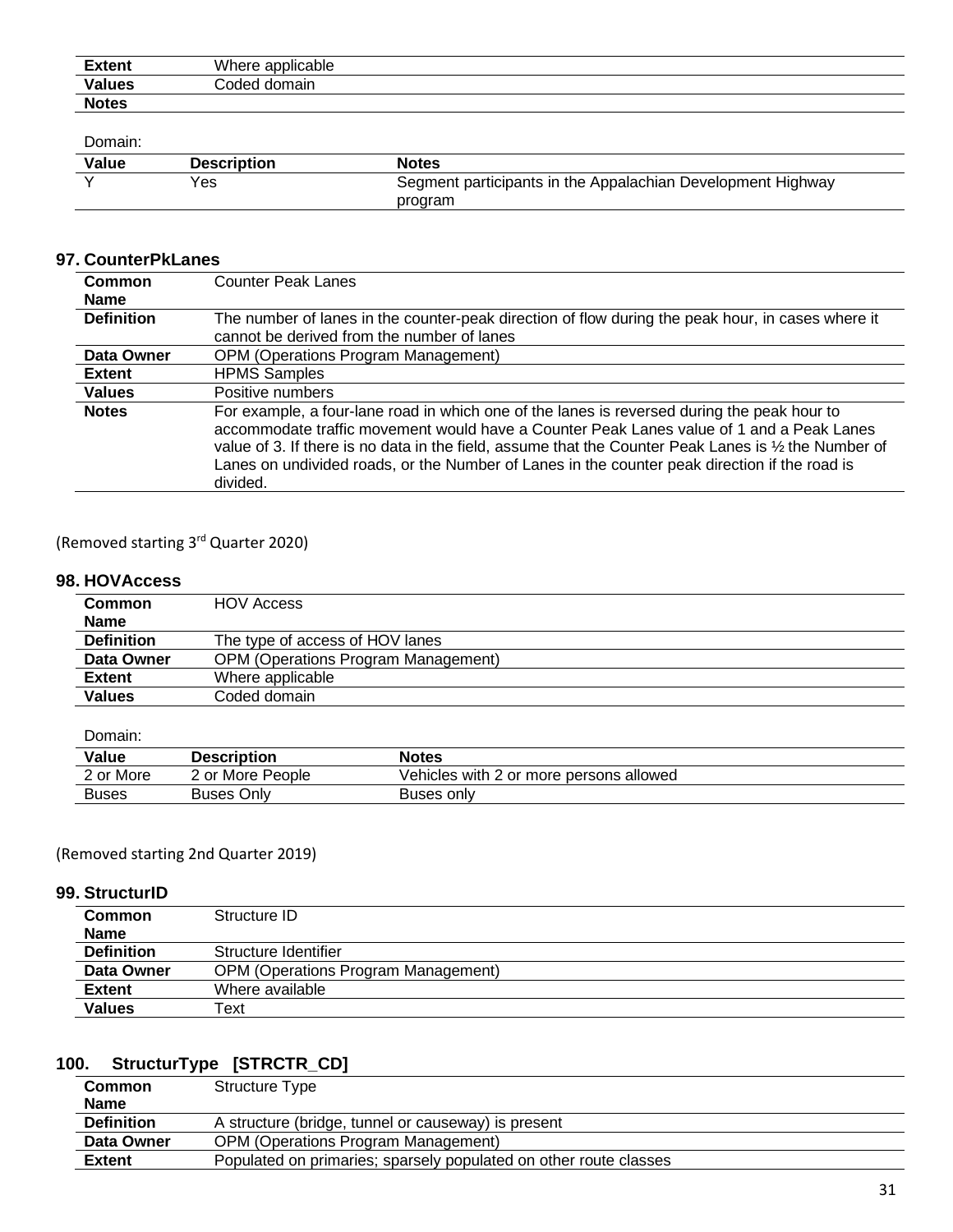| <b>Extent</b> | Where applicable |
|---------------|------------------|
| <b>Values</b> | Coded domain     |
| <b>Notes</b>  |                  |

Domain:

| Value | <b>Description</b> | <b>Notes</b>                                                |
|-------|--------------------|-------------------------------------------------------------|
|       | Yes                | Segment participants in the Appalachian Development Highway |
|       |                    | program                                                     |

#### **97. CounterPkLanes**

| Common<br><b>Name</b> | <b>Counter Peak Lanes</b>                                                                                                                                                                                                                                                                                                                                                                                     |
|-----------------------|---------------------------------------------------------------------------------------------------------------------------------------------------------------------------------------------------------------------------------------------------------------------------------------------------------------------------------------------------------------------------------------------------------------|
| <b>Definition</b>     | The number of lanes in the counter-peak direction of flow during the peak hour, in cases where it<br>cannot be derived from the number of lanes                                                                                                                                                                                                                                                               |
| Data Owner            | <b>OPM (Operations Program Management)</b>                                                                                                                                                                                                                                                                                                                                                                    |
| <b>Extent</b>         | <b>HPMS Samples</b>                                                                                                                                                                                                                                                                                                                                                                                           |
| <b>Values</b>         | Positive numbers                                                                                                                                                                                                                                                                                                                                                                                              |
| <b>Notes</b>          | For example, a four-lane road in which one of the lanes is reversed during the peak hour to<br>accommodate traffic movement would have a Counter Peak Lanes value of 1 and a Peak Lanes<br>value of 3. If there is no data in the field, assume that the Counter Peak Lanes is 1/2 the Number of<br>Lanes on undivided roads, or the Number of Lanes in the counter peak direction if the road is<br>divided. |

(Removed starting 3rd Quarter 2020)

#### **98. HOVAccess**

| <b>Common</b>     | <b>HOV Access</b>                          |
|-------------------|--------------------------------------------|
| <b>Name</b>       |                                            |
| <b>Definition</b> | The type of access of HOV lanes            |
| Data Owner        | <b>OPM (Operations Program Management)</b> |
| <b>Extent</b>     | Where applicable                           |
| <b>Values</b>     | Coded domain                               |

Domain:

| Value        | <b>Description</b> | Notes                                   |
|--------------|--------------------|-----------------------------------------|
| 2 or More    | 2 or More People   | Vehicles with 2 or more persons allowed |
| <b>Buses</b> | <b>Buses Only</b>  | Buses only                              |

#### (Removed starting 2nd Quarter 2019)

#### **99. StructurID**

| Common<br><b>Name</b> | Structure ID                               |
|-----------------------|--------------------------------------------|
| <b>Definition</b>     | Structure Identifier                       |
| Data Owner            | <b>OPM (Operations Program Management)</b> |
| <b>Extent</b>         | Where available                            |
| Values                | Text                                       |

## **100. StructurType [STRCTR\_CD]**

| <b>Common</b>     | Structure Type                                                    |
|-------------------|-------------------------------------------------------------------|
| <b>Name</b>       |                                                                   |
| <b>Definition</b> | A structure (bridge, tunnel or causeway) is present               |
| Data Owner        | <b>OPM (Operations Program Management)</b>                        |
| <b>Extent</b>     | Populated on primaries; sparsely populated on other route classes |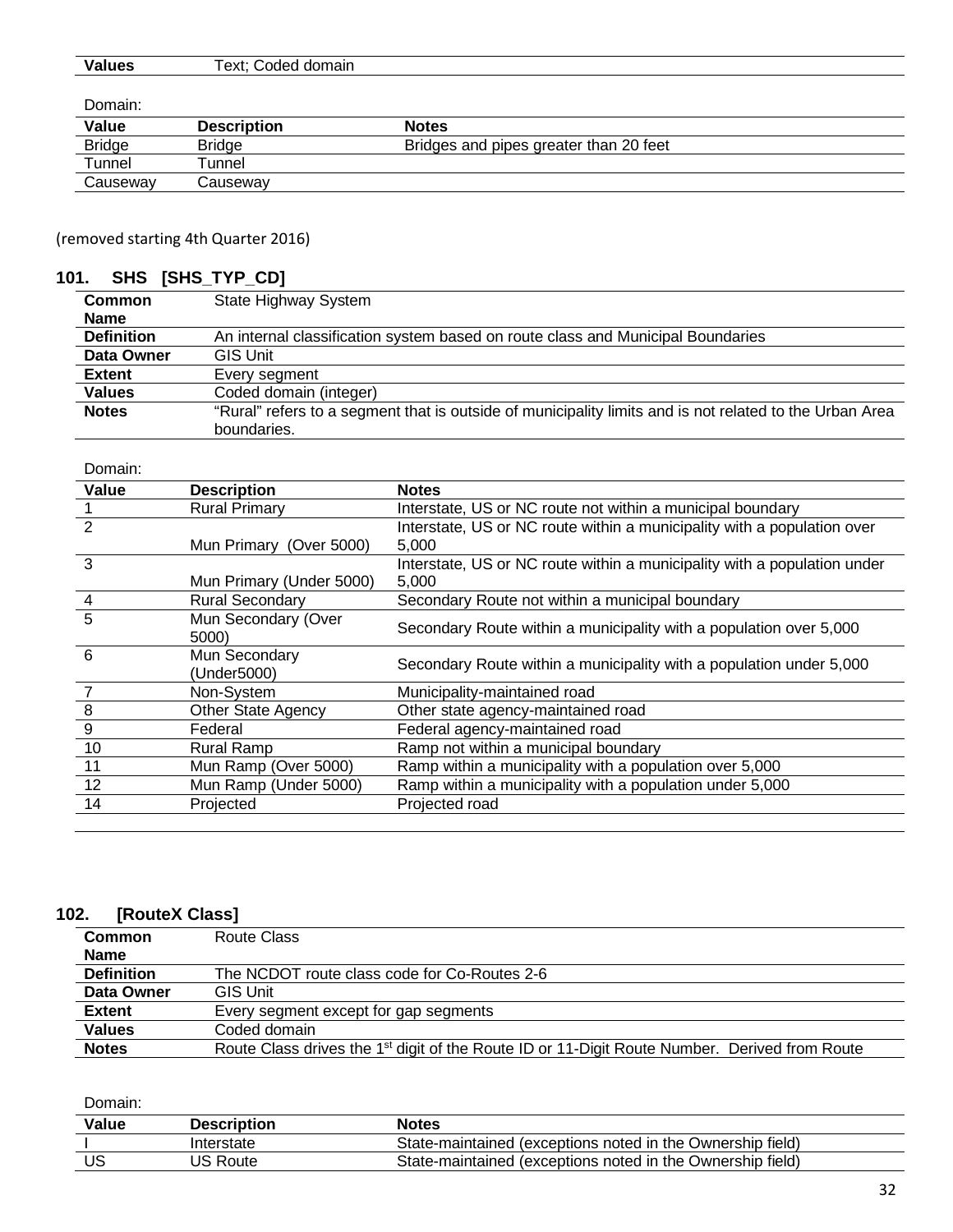| <b>Values</b> | ⊥ext:<br>domain<br>heho. |
|---------------|--------------------------|
|               |                          |

Domain:

| Value         | <b>Description</b> | <b>Notes</b>                           |
|---------------|--------------------|----------------------------------------|
| <b>Bridge</b> | <b>Bridge</b>      | Bridges and pipes greater than 20 feet |
| $\tau$ unnel  | ™unnel             |                                        |
| Causeway      | شcauseway          |                                        |
|               |                    |                                        |

(removed starting 4th Quarter 2016)

## **101. SHS [SHS\_TYP\_CD]**

| <b>Common</b>     | State Highway System                                                                                    |  |
|-------------------|---------------------------------------------------------------------------------------------------------|--|
| <b>Name</b>       |                                                                                                         |  |
| <b>Definition</b> | An internal classification system based on route class and Municipal Boundaries                         |  |
| Data Owner        | <b>GIS Unit</b>                                                                                         |  |
| <b>Extent</b>     | Every segment                                                                                           |  |
| <b>Values</b>     | Coded domain (integer)                                                                                  |  |
| <b>Notes</b>      | "Rural" refers to a segment that is outside of municipality limits and is not related to the Urban Area |  |
|                   | boundaries.                                                                                             |  |

| Domain:        |                           |                                                                          |
|----------------|---------------------------|--------------------------------------------------------------------------|
| Value          | <b>Description</b>        | <b>Notes</b>                                                             |
|                | <b>Rural Primary</b>      | Interstate, US or NC route not within a municipal boundary               |
| $\overline{2}$ |                           | Interstate, US or NC route within a municipality with a population over  |
|                | Mun Primary (Over 5000)   | 5,000                                                                    |
| 3              |                           | Interstate, US or NC route within a municipality with a population under |
|                | Mun Primary (Under 5000)  | 5,000                                                                    |
| $\overline{4}$ | <b>Rural Secondary</b>    | Secondary Route not within a municipal boundary                          |
| 5              | Mun Secondary (Over       | Secondary Route within a municipality with a population over 5,000       |
|                | 5000)                     |                                                                          |
| 6              | Mun Secondary             | Secondary Route within a municipality with a population under 5,000      |
|                | (Under5000)               |                                                                          |
| $\overline{7}$ | Non-System                | Municipality-maintained road                                             |
|                | <b>Other State Agency</b> | Other state agency-maintained road                                       |
| $\frac{8}{9}$  | Federal                   | Federal agency-maintained road                                           |
| 10             | <b>Rural Ramp</b>         | Ramp not within a municipal boundary                                     |
| 11             | Mun Ramp (Over 5000)      | Ramp within a municipality with a population over 5,000                  |
| 12             | Mun Ramp (Under 5000)     | Ramp within a municipality with a population under 5,000                 |
| 14             | Projected                 | Projected road                                                           |
|                |                           |                                                                          |

### **102. [RouteX Class]**

| Common            | Route Class                                                                                               |  |
|-------------------|-----------------------------------------------------------------------------------------------------------|--|
| <b>Name</b>       |                                                                                                           |  |
| <b>Definition</b> | The NCDOT route class code for Co-Routes 2-6                                                              |  |
| Data Owner        | <b>GIS Unit</b>                                                                                           |  |
| <b>Extent</b>     | Every segment except for gap segments                                                                     |  |
| <b>Values</b>     | Coded domain                                                                                              |  |
| <b>Notes</b>      | Route Class drives the 1 <sup>st</sup> digit of the Route ID or 11-Digit Route Number. Derived from Route |  |

| Value | <b>Description</b> | <b>Notes</b>                                               |
|-------|--------------------|------------------------------------------------------------|
|       | Interstate         | State-maintained (exceptions noted in the Ownership field) |
| US    | US Route           | State-maintained (exceptions noted in the Ownership field) |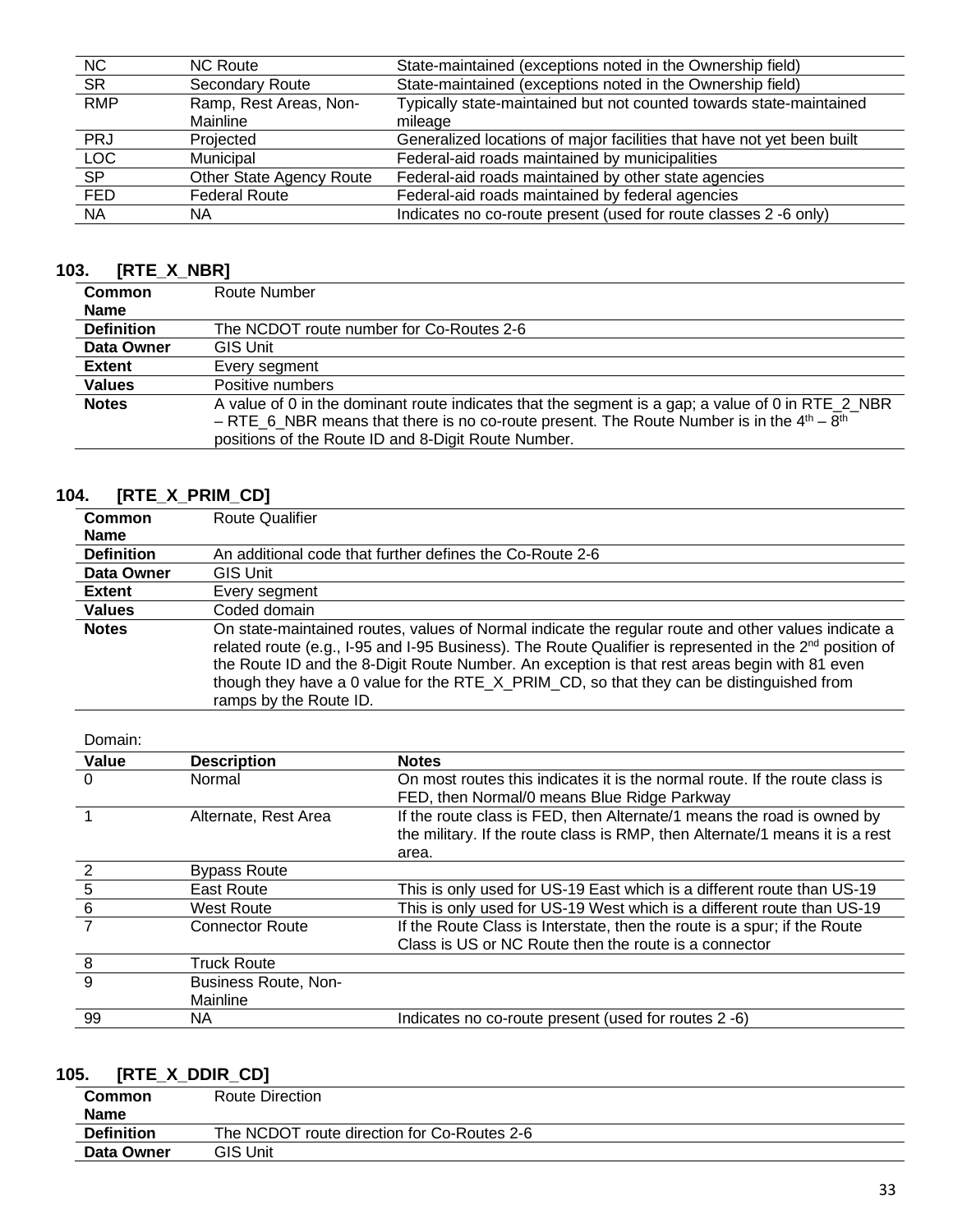| NC.        | <b>NC Route</b>          | State-maintained (exceptions noted in the Ownership field)             |
|------------|--------------------------|------------------------------------------------------------------------|
| <b>SR</b>  | <b>Secondary Route</b>   | State-maintained (exceptions noted in the Ownership field)             |
| <b>RMP</b> | Ramp, Rest Areas, Non-   | Typically state-maintained but not counted towards state-maintained    |
|            | Mainline                 | mileage                                                                |
| <b>PRJ</b> | Projected                | Generalized locations of major facilities that have not yet been built |
| <b>LOC</b> | Municipal                | Federal-aid roads maintained by municipalities                         |
| <b>SP</b>  | Other State Agency Route | Federal-aid roads maintained by other state agencies                   |
| <b>FED</b> | <b>Federal Route</b>     | Federal-aid roads maintained by federal agencies                       |
| <b>NA</b>  | ΝA                       | Indicates no co-route present (used for route classes 2 -6 only)       |

## **103. [RTE\_X\_NBR]**

| <b>Common</b>     | Route Number                                                                                                                                                                                                                                            |  |
|-------------------|---------------------------------------------------------------------------------------------------------------------------------------------------------------------------------------------------------------------------------------------------------|--|
| <b>Name</b>       |                                                                                                                                                                                                                                                         |  |
| <b>Definition</b> | The NCDOT route number for Co-Routes 2-6                                                                                                                                                                                                                |  |
| Data Owner        | <b>GIS Unit</b>                                                                                                                                                                                                                                         |  |
| <b>Extent</b>     | Every segment                                                                                                                                                                                                                                           |  |
| <b>Values</b>     | Positive numbers                                                                                                                                                                                                                                        |  |
| <b>Notes</b>      | A value of 0 in the dominant route indicates that the segment is a gap; a value of 0 in RTE_2_NBR<br>- RTE_6_NBR means that there is no co-route present. The Route Number is in the $4th - 8th$<br>positions of the Route ID and 8-Digit Route Number. |  |

# **104. [RTE\_X\_PRIM\_CD]**

| <b>Common</b><br><b>Name</b> | <b>Route Qualifier</b>                                                                                                                                                                                                                                                                                                                                                                                                                          |  |
|------------------------------|-------------------------------------------------------------------------------------------------------------------------------------------------------------------------------------------------------------------------------------------------------------------------------------------------------------------------------------------------------------------------------------------------------------------------------------------------|--|
| <b>Definition</b>            | An additional code that further defines the Co-Route 2-6                                                                                                                                                                                                                                                                                                                                                                                        |  |
| Data Owner                   | <b>GIS Unit</b>                                                                                                                                                                                                                                                                                                                                                                                                                                 |  |
| <b>Extent</b>                | Every segment                                                                                                                                                                                                                                                                                                                                                                                                                                   |  |
| <b>Values</b>                | Coded domain                                                                                                                                                                                                                                                                                                                                                                                                                                    |  |
| <b>Notes</b>                 | On state-maintained routes, values of Normal indicate the regular route and other values indicate a<br>related route (e.g., 1-95 and 1-95 Business). The Route Qualifier is represented in the $2^{nd}$ position of<br>the Route ID and the 8-Digit Route Number. An exception is that rest areas begin with 81 even<br>though they have a 0 value for the RTE $\chi$ PRIM CD, so that they can be distinguished from<br>ramps by the Route ID. |  |

Domain:

| Value          | <b>Description</b>     | <b>Notes</b>                                                                                                                                                    |
|----------------|------------------------|-----------------------------------------------------------------------------------------------------------------------------------------------------------------|
| 0              | Normal                 | On most routes this indicates it is the normal route. If the route class is<br>FED, then Normal/0 means Blue Ridge Parkway                                      |
|                | Alternate, Rest Area   | If the route class is FED, then Alternate/1 means the road is owned by<br>the military. If the route class is RMP, then Alternate/1 means it is a rest<br>area. |
| $\overline{2}$ | <b>Bypass Route</b>    |                                                                                                                                                                 |
| 5              | East Route             | This is only used for US-19 East which is a different route than US-19                                                                                          |
| 6              | <b>West Route</b>      | This is only used for US-19 West which is a different route than US-19                                                                                          |
|                | <b>Connector Route</b> | If the Route Class is Interstate, then the route is a spur; if the Route<br>Class is US or NC Route then the route is a connector                               |
| 8              | <b>Truck Route</b>     |                                                                                                                                                                 |
| 9              | Business Route, Non-   |                                                                                                                                                                 |
|                | Mainline               |                                                                                                                                                                 |
| 99             | ΝA                     | Indicates no co-route present (used for routes 2 -6)                                                                                                            |

## **105. [RTE\_X\_DDIR\_CD]**

| Common            | Route Direction                             |
|-------------------|---------------------------------------------|
| <b>Name</b>       |                                             |
| <b>Definition</b> | The NCDOT route direction for Co-Routes 2-6 |
| Data Owner        | <b>GIS Unit</b>                             |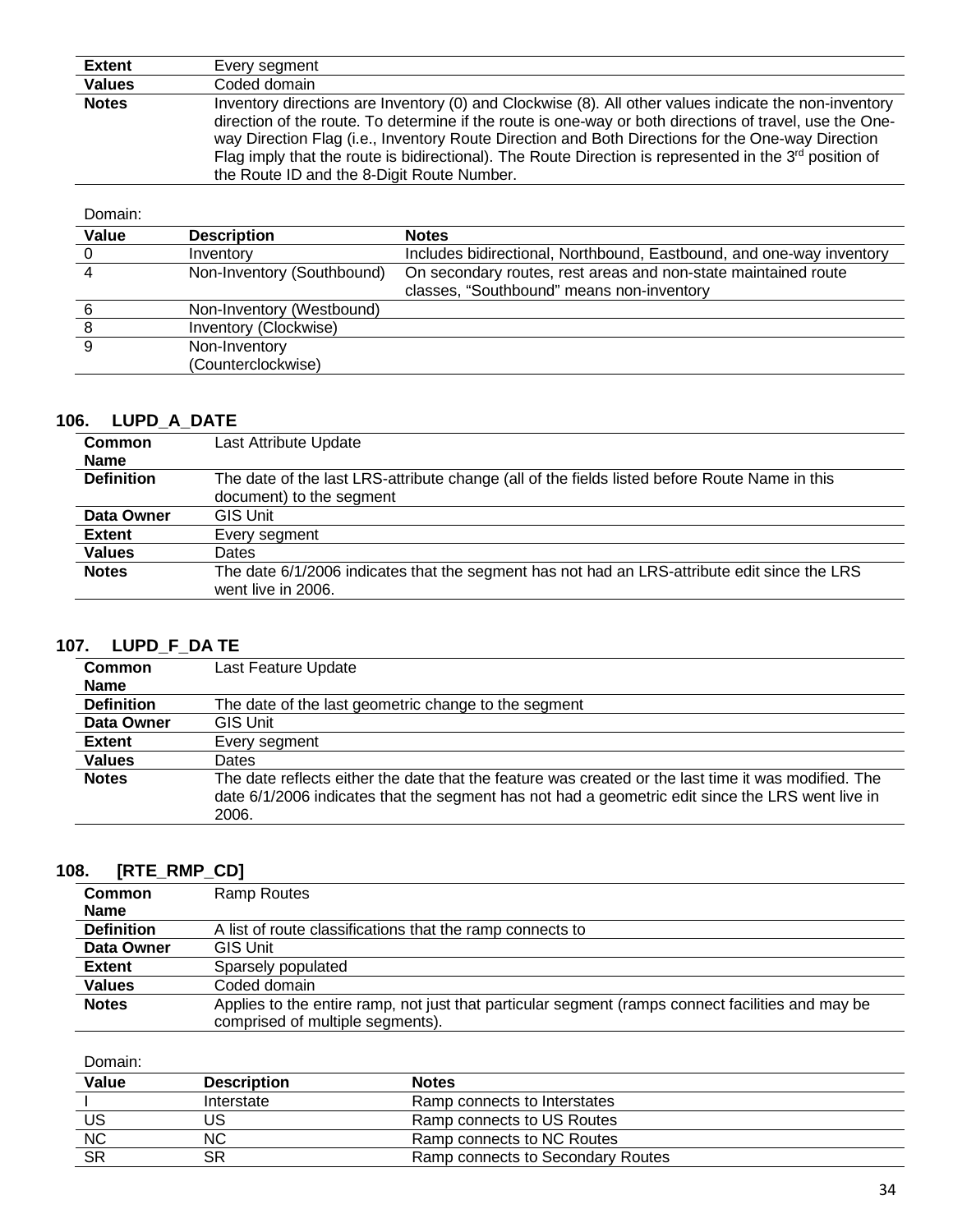| <b>Extent</b> | Every segment                                                                                                                                                                                                                                                                                                                                                                                                                                                                      |
|---------------|------------------------------------------------------------------------------------------------------------------------------------------------------------------------------------------------------------------------------------------------------------------------------------------------------------------------------------------------------------------------------------------------------------------------------------------------------------------------------------|
| <b>Values</b> | Coded domain                                                                                                                                                                                                                                                                                                                                                                                                                                                                       |
| <b>Notes</b>  | Inventory directions are Inventory (0) and Clockwise (8). All other values indicate the non-inventory<br>direction of the route. To determine if the route is one-way or both directions of travel, use the One-<br>way Direction Flag (i.e., Inventory Route Direction and Both Directions for the One-way Direction<br>Flag imply that the route is bidirectional). The Route Direction is represented in the $3^{rd}$ position of<br>the Route ID and the 8-Digit Route Number. |

| Domain: |                            |                                                                      |
|---------|----------------------------|----------------------------------------------------------------------|
| Value   | <b>Description</b>         | <b>Notes</b>                                                         |
|         | Inventory                  | Includes bidirectional, Northbound, Eastbound, and one-way inventory |
|         | Non-Inventory (Southbound) | On secondary routes, rest areas and non-state maintained route       |
|         |                            | classes, "Southbound" means non-inventory                            |
|         | Non-Inventory (Westbound)  |                                                                      |
|         | Inventory (Clockwise)      |                                                                      |
| 9       | Non-Inventory              |                                                                      |
|         | (Counterclockwise)         |                                                                      |

### **106. LUPD\_A\_DATE**

| <b>Common</b>     | Last Attribute Update                                                                                                     |
|-------------------|---------------------------------------------------------------------------------------------------------------------------|
| <b>Name</b>       |                                                                                                                           |
| <b>Definition</b> | The date of the last LRS-attribute change (all of the fields listed before Route Name in this<br>document) to the segment |
| Data Owner        | <b>GIS Unit</b>                                                                                                           |
| <b>Extent</b>     | Every segment                                                                                                             |
| <b>Values</b>     | Dates                                                                                                                     |
| <b>Notes</b>      | The date 6/1/2006 indicates that the segment has not had an LRS-attribute edit since the LRS<br>went live in 2006.        |

## **107. LUPD\_F\_DA TE**

| <b>Common</b>     | Last Feature Update                                                                                                                                                                                               |
|-------------------|-------------------------------------------------------------------------------------------------------------------------------------------------------------------------------------------------------------------|
| <b>Name</b>       |                                                                                                                                                                                                                   |
| <b>Definition</b> | The date of the last geometric change to the segment                                                                                                                                                              |
| Data Owner        | <b>GIS Unit</b>                                                                                                                                                                                                   |
| <b>Extent</b>     | Every segment                                                                                                                                                                                                     |
| <b>Values</b>     | <b>Dates</b>                                                                                                                                                                                                      |
| <b>Notes</b>      | The date reflects either the date that the feature was created or the last time it was modified. The<br>date 6/1/2006 indicates that the segment has not had a geometric edit since the LRS went live in<br>2006. |

### **108. [RTE\_RMP\_CD]**

| <b>Common</b>     | Ramp Routes                                                                                                                           |
|-------------------|---------------------------------------------------------------------------------------------------------------------------------------|
| <b>Name</b>       |                                                                                                                                       |
| <b>Definition</b> | A list of route classifications that the ramp connects to                                                                             |
| Data Owner        | <b>GIS Unit</b>                                                                                                                       |
| <b>Extent</b>     | Sparsely populated                                                                                                                    |
| <b>Values</b>     | Coded domain                                                                                                                          |
| <b>Notes</b>      | Applies to the entire ramp, not just that particular segment (ramps connect facilities and may be<br>comprised of multiple segments). |

| Value     | <b>Description</b> | <b>Notes</b>                      |
|-----------|--------------------|-----------------------------------|
|           | Interstate         | Ramp connects to Interstates      |
| US        | JS                 | Ramp connects to US Routes        |
| <b>NC</b> | <b>NC</b>          | Ramp connects to NC Routes        |
| <b>SR</b> | SR                 | Ramp connects to Secondary Routes |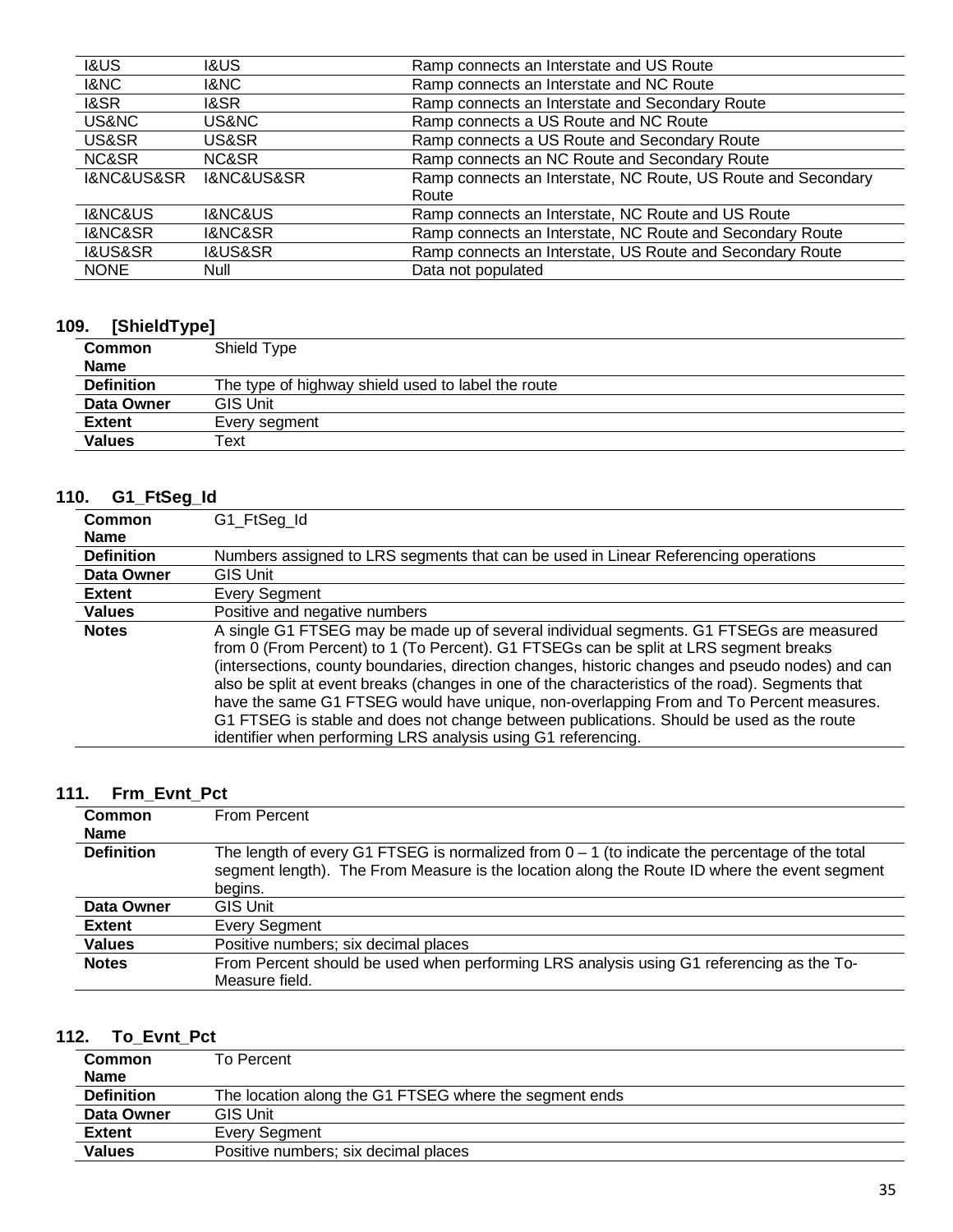| <b>I&amp;US</b>               | <b>I&amp;US</b>               | Ramp connects an Interstate and US Route                      |
|-------------------------------|-------------------------------|---------------------------------------------------------------|
| 1&NC                          | 1&NC                          | Ramp connects an Interstate and NC Route                      |
| 1&SR                          | 1&SR                          | Ramp connects an Interstate and Secondary Route               |
| US&NC                         | US&NC.                        | Ramp connects a US Route and NC Route                         |
| US&SR                         | US&SR                         | Ramp connects a US Route and Secondary Route                  |
| NC&SR                         | NC&SR                         | Ramp connects an NC Route and Secondary Route                 |
| <b>I&amp;NC&amp;US&amp;SR</b> | <b>I&amp;NC&amp;US&amp;SR</b> | Ramp connects an Interstate, NC Route, US Route and Secondary |
|                               |                               | Route                                                         |
| <b>I&amp;NC&amp;US</b>        | <b>I&amp;NC&amp;US</b>        | Ramp connects an Interstate, NC Route and US Route            |
| <b>I&amp;NC&amp;SR</b>        | <b>I&amp;NC&amp;SR</b>        | Ramp connects an Interstate, NC Route and Secondary Route     |
| <b>I&amp;US&amp;SR</b>        | <b>I&amp;US&amp;SR</b>        | Ramp connects an Interstate, US Route and Secondary Route     |
| <b>NONE</b>                   | Null                          | Data not populated                                            |

#### **109. [ShieldType]**

| . .<br>. .        |                                                    |
|-------------------|----------------------------------------------------|
| <b>Common</b>     | Shield Type                                        |
| <b>Name</b>       |                                                    |
| <b>Definition</b> | The type of highway shield used to label the route |
| Data Owner        | <b>GIS Unit</b>                                    |
| <b>Extent</b>     | Every segment                                      |
| <b>Values</b>     | Text                                               |

## **110. G1\_FtSeg\_Id**

| <b>Common</b>     | G1_FtSeg_Id                                                                                                                                                                                                                                                                                                                                                                                                                                                                                                                                                                                                                                      |
|-------------------|--------------------------------------------------------------------------------------------------------------------------------------------------------------------------------------------------------------------------------------------------------------------------------------------------------------------------------------------------------------------------------------------------------------------------------------------------------------------------------------------------------------------------------------------------------------------------------------------------------------------------------------------------|
| Name              |                                                                                                                                                                                                                                                                                                                                                                                                                                                                                                                                                                                                                                                  |
| <b>Definition</b> | Numbers assigned to LRS segments that can be used in Linear Referencing operations                                                                                                                                                                                                                                                                                                                                                                                                                                                                                                                                                               |
| Data Owner        | <b>GIS Unit</b>                                                                                                                                                                                                                                                                                                                                                                                                                                                                                                                                                                                                                                  |
| Extent            | <b>Every Segment</b>                                                                                                                                                                                                                                                                                                                                                                                                                                                                                                                                                                                                                             |
| <b>Values</b>     | Positive and negative numbers                                                                                                                                                                                                                                                                                                                                                                                                                                                                                                                                                                                                                    |
| <b>Notes</b>      | A single G1 FTSEG may be made up of several individual segments. G1 FTSEGs are measured<br>from 0 (From Percent) to 1 (To Percent). G1 FTSEGs can be split at LRS segment breaks<br>(intersections, county boundaries, direction changes, historic changes and pseudo nodes) and can<br>also be split at event breaks (changes in one of the characteristics of the road). Segments that<br>have the same G1 FTSEG would have unique, non-overlapping From and To Percent measures.<br>G1 FTSEG is stable and does not change between publications. Should be used as the route<br>identifier when performing LRS analysis using G1 referencing. |

## **111. Frm\_Evnt\_Pct**

| Common            | From Percent                                                                                                                                                                                                |
|-------------------|-------------------------------------------------------------------------------------------------------------------------------------------------------------------------------------------------------------|
| <b>Name</b>       |                                                                                                                                                                                                             |
| <b>Definition</b> | The length of every G1 FTSEG is normalized from $0 - 1$ (to indicate the percentage of the total<br>segment length). The From Measure is the location along the Route ID where the event segment<br>begins. |
| Data Owner        | <b>GIS Unit</b>                                                                                                                                                                                             |
| <b>Extent</b>     | <b>Every Segment</b>                                                                                                                                                                                        |
| <b>Values</b>     | Positive numbers; six decimal places                                                                                                                                                                        |
| <b>Notes</b>      | From Percent should be used when performing LRS analysis using G1 referencing as the To-                                                                                                                    |
|                   | Measure field.                                                                                                                                                                                              |

# **112. To\_Evnt\_Pct**

| To Percent                                             |
|--------------------------------------------------------|
|                                                        |
| The location along the G1 FTSEG where the segment ends |
| GIS Unit                                               |
| Every Segment                                          |
| Positive numbers; six decimal places                   |
|                                                        |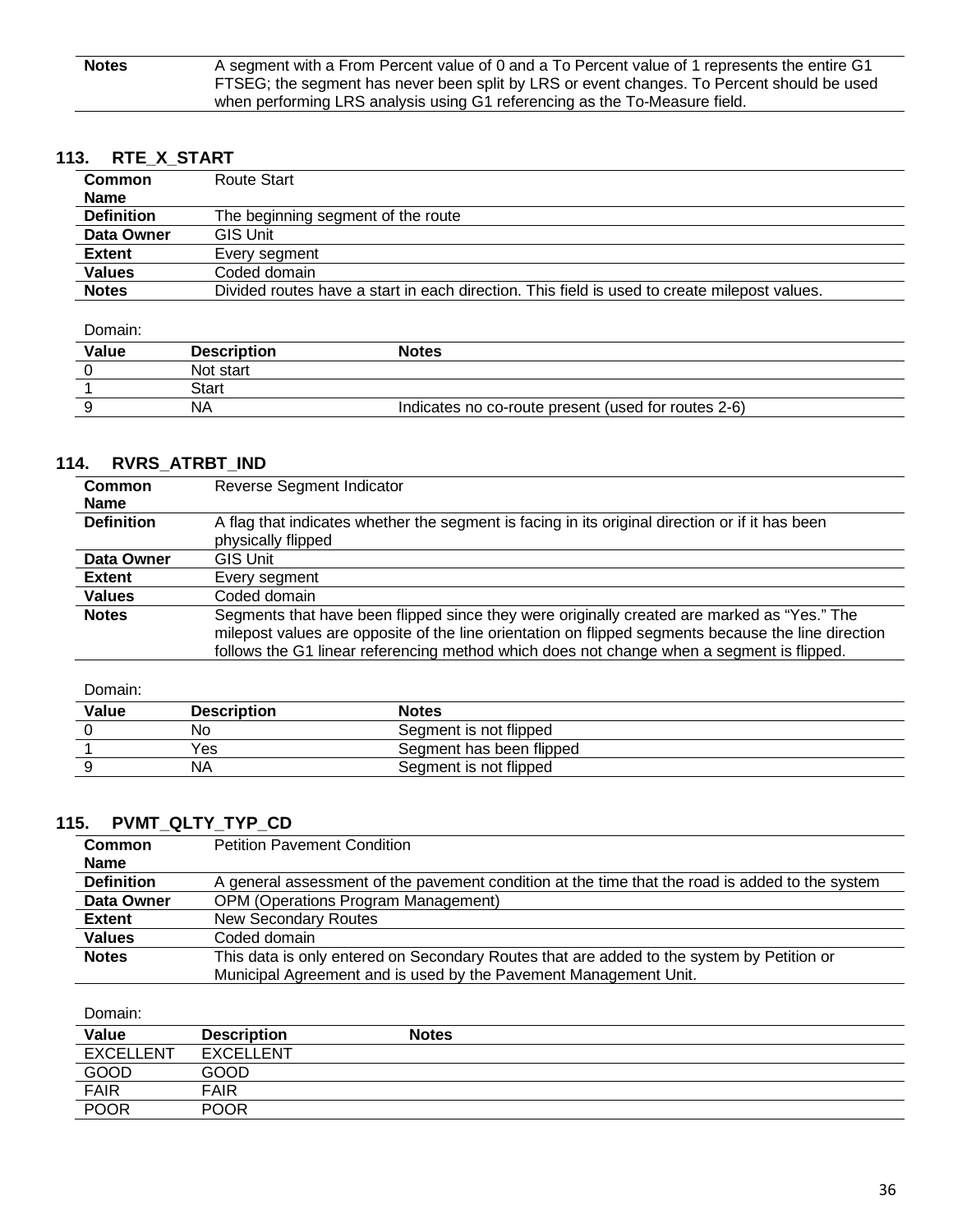| <b>Notes</b> | A segment with a From Percent value of 0 and a To Percent value of 1 represents the entire G1 |
|--------------|-----------------------------------------------------------------------------------------------|
|              | FTSEG; the segment has never been split by LRS or event changes. To Percent should be used    |
|              | when performing LRS analysis using G1 referencing as the To-Measure field.                    |

## **113. RTE\_X\_START**

| <b>Common</b>     | Route Start                                                                                  |  |
|-------------------|----------------------------------------------------------------------------------------------|--|
| <b>Name</b>       |                                                                                              |  |
| <b>Definition</b> | The beginning segment of the route                                                           |  |
| Data Owner        | <b>GIS Unit</b>                                                                              |  |
| <b>Extent</b>     | Every segment                                                                                |  |
| <b>Values</b>     | Coded domain                                                                                 |  |
| <b>Notes</b>      | Divided routes have a start in each direction. This field is used to create milepost values. |  |

Domain:

| Value | <b>Description</b> | <b>Notes</b>                                        |
|-------|--------------------|-----------------------------------------------------|
|       | Not start          |                                                     |
|       | Start              |                                                     |
|       | ΝA                 | Indicates no co-route present (used for routes 2-6) |

### **114. RVRS\_ATRBT\_IND**

| <b>Common</b><br><b>Name</b> | Reverse Segment Indicator                                                                                                                                                                                                                                                                       |  |  |
|------------------------------|-------------------------------------------------------------------------------------------------------------------------------------------------------------------------------------------------------------------------------------------------------------------------------------------------|--|--|
| <b>Definition</b>            | A flag that indicates whether the segment is facing in its original direction or if it has been<br>physically flipped                                                                                                                                                                           |  |  |
| Data Owner                   | <b>GIS Unit</b>                                                                                                                                                                                                                                                                                 |  |  |
| <b>Extent</b>                | Every segment                                                                                                                                                                                                                                                                                   |  |  |
| <b>Values</b>                | Coded domain                                                                                                                                                                                                                                                                                    |  |  |
| <b>Notes</b>                 | Segments that have been flipped since they were originally created are marked as "Yes." The<br>milepost values are opposite of the line orientation on flipped segments because the line direction<br>follows the G1 linear referencing method which does not change when a segment is flipped. |  |  |

Domain:

| Value | <b>Description</b> | Notes                    |
|-------|--------------------|--------------------------|
|       | No                 | Segment is not flipped   |
|       | Yes                | Segment has been flipped |
|       | ΝA                 | Segment is not flipped   |

## **115. PVMT\_QLTY\_TYP\_CD**

| <b>Common</b>     | <b>Petition Pavement Condition</b>                                                              |  |
|-------------------|-------------------------------------------------------------------------------------------------|--|
| <b>Name</b>       |                                                                                                 |  |
| <b>Definition</b> | A general assessment of the pavement condition at the time that the road is added to the system |  |
| Data Owner        | <b>OPM (Operations Program Management)</b>                                                      |  |
| Extent            | <b>New Secondary Routes</b>                                                                     |  |
| <b>Values</b>     | Coded domain                                                                                    |  |
| <b>Notes</b>      | This data is only entered on Secondary Routes that are added to the system by Petition or       |  |
|                   | Municipal Agreement and is used by the Pavement Management Unit.                                |  |

| Value            | <b>Description</b> | <b>Notes</b> |
|------------------|--------------------|--------------|
| <b>EXCELLENT</b> | <b>EXCELLENT</b>   |              |
| GOOD             | GOOD               |              |
| <b>FAIR</b>      | <b>FAIR</b>        |              |
| <b>POOR</b>      | <b>POOR</b>        |              |
|                  |                    |              |